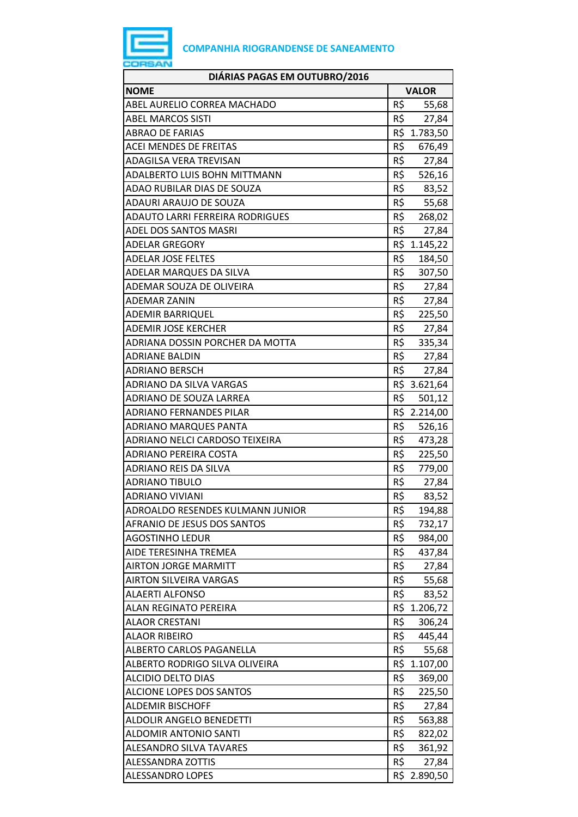

| DIÁRIAS PAGAS EM OUTUBRO/2016          |               |
|----------------------------------------|---------------|
| <b>NOME</b>                            | <b>VALOR</b>  |
| ABEL AURELIO CORREA MACHADO            | R\$<br>55,68  |
| <b>ABEL MARCOS SISTI</b>               | R\$<br>27,84  |
| <b>ABRAO DE FARIAS</b>                 | R\$ 1.783,50  |
| <b>ACEI MENDES DE FREITAS</b>          | R\$<br>676,49 |
| ADAGILSA VERA TREVISAN                 | R\$<br>27,84  |
| ADALBERTO LUIS BOHN MITTMANN           | R\$<br>526,16 |
| ADAO RUBILAR DIAS DE SOUZA             | R\$<br>83,52  |
| ADAURI ARAUJO DE SOUZA                 | R\$<br>55,68  |
| <b>ADAUTO LARRI FERREIRA RODRIGUES</b> | R\$ 268,02    |
| ADEL DOS SANTOS MASRI                  | R\$<br>27,84  |
| <b>ADELAR GREGORY</b>                  | R\$ 1.145,22  |
| <b>ADELAR JOSE FELTES</b>              | R\$<br>184,50 |
| ADELAR MARQUES DA SILVA                | R\$<br>307,50 |
| ADEMAR SOUZA DE OLIVEIRA               | R\$<br>27,84  |
| <b>ADEMAR ZANIN</b>                    | R\$<br>27,84  |
| <b>ADEMIR BARRIQUEL</b>                | R\$<br>225,50 |
| <b>ADEMIR JOSE KERCHER</b>             | R\$<br>27,84  |
| ADRIANA DOSSIN PORCHER DA MOTTA        | R\$ 335,34    |
| <b>ADRIANE BALDIN</b>                  | R\$ 27,84     |
| <b>ADRIANO BERSCH</b>                  | R\$<br>27,84  |
| ADRIANO DA SILVA VARGAS                | R\$ 3.621,64  |
| ADRIANO DE SOUZA LARREA                | R\$<br>501,12 |
| ADRIANO FERNANDES PILAR                | R\$ 2.214,00  |
| <b>ADRIANO MARQUES PANTA</b>           | R\$<br>526,16 |
| ADRIANO NELCI CARDOSO TEIXEIRA         | R\$<br>473,28 |
| <b>ADRIANO PEREIRA COSTA</b>           | R\$<br>225,50 |
| ADRIANO REIS DA SILVA                  | R\$<br>779,00 |
| <b>ADRIANO TIBULO</b>                  | R\$ 27,84     |
| <b>ADRIANO VIVIANI</b>                 | R\$<br>83,52  |
| ADROALDO RESENDES KULMANN JUNIOR       | R\$<br>194,88 |
| AFRANIO DE JESUS DOS SANTOS            | R\$<br>732,17 |
| <b>AGOSTINHO LEDUR</b>                 | R\$<br>984,00 |
| AIDE TERESINHA TREMEA                  | R\$<br>437,84 |
| <b>AIRTON JORGE MARMITT</b>            | R\$<br>27,84  |
| <b>AIRTON SILVEIRA VARGAS</b>          | R\$<br>55,68  |
| <b>ALAERTI ALFONSO</b>                 | R\$<br>83,52  |
| <b>ALAN REGINATO PEREIRA</b>           | R\$ 1.206,72  |
| <b>ALAOR CRESTANI</b>                  | R\$<br>306,24 |
| <b>ALAOR RIBEIRO</b>                   | R\$<br>445,44 |
| ALBERTO CARLOS PAGANELLA               | R\$<br>55,68  |
| ALBERTO RODRIGO SILVA OLIVEIRA         | R\$ 1.107,00  |
| <b>ALCIDIO DELTO DIAS</b>              | R\$<br>369,00 |
| ALCIONE LOPES DOS SANTOS               | R\$<br>225,50 |
| <b>ALDEMIR BISCHOFF</b>                | R\$<br>27,84  |
| ALDOLIR ANGELO BENEDETTI               | R\$<br>563,88 |
| <b>ALDOMIR ANTONIO SANTI</b>           | R\$<br>822,02 |
| <b>ALESANDRO SILVA TAVARES</b>         | R\$<br>361,92 |
| <b>ALESSANDRA ZOTTIS</b>               | R\$<br>27,84  |
| ALESSANDRO LOPES                       | R\$ 2.890,50  |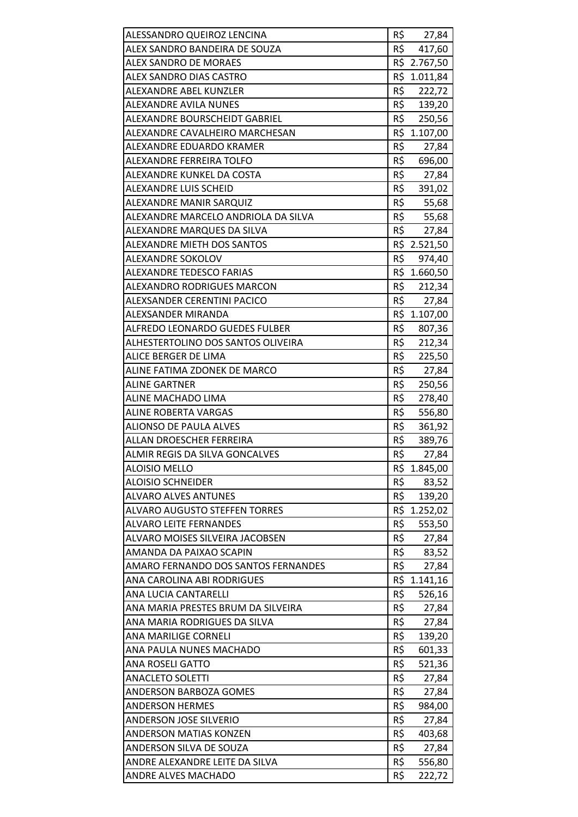| ALESSANDRO QUEIROZ LENCINA                                   | R\$        |                       |
|--------------------------------------------------------------|------------|-----------------------|
| ALEX SANDRO BANDEIRA DE SOUZA                                | R\$        | 27,84<br>417,60       |
| <b>ALEX SANDRO DE MORAES</b>                                 |            | R\$ 2.767,50          |
| ALEX SANDRO DIAS CASTRO                                      |            | R\$ 1.011,84          |
| ALEXANDRE ABEL KUNZLER                                       | R\$        | 222,72                |
| <b>ALEXANDRE AVILA NUNES</b>                                 | R\$        | 139,20                |
| ALEXANDRE BOURSCHEIDT GABRIEL                                | R\$        | 250,56                |
| ALEXANDRE CAVALHEIRO MARCHESAN                               |            | R\$ 1.107,00          |
| ALEXANDRE EDUARDO KRAMER                                     | R\$        | 27,84                 |
| ALEXANDRE FERREIRA TOLFO                                     | R\$        | 696,00                |
| ALEXANDRE KUNKEL DA COSTA                                    | R\$        | 27,84                 |
| <b>ALEXANDRE LUIS SCHEID</b>                                 | R\$        | 391,02                |
| ALEXANDRE MANIR SARQUIZ                                      | R\$        | 55,68                 |
| ALEXANDRE MARCELO ANDRIOLA DA SILVA                          | R\$        | 55,68                 |
| ALEXANDRE MARQUES DA SILVA                                   | R\$        |                       |
| ALEXANDRE MIETH DOS SANTOS                                   |            | 27,84<br>R\$ 2.521,50 |
| ALEXANDRE SOKOLOV                                            | R\$        | 974,40                |
| <b>ALEXANDRE TEDESCO FARIAS</b>                              |            | R\$ 1.660,50          |
| <b>ALEXANDRO RODRIGUES MARCON</b>                            | R\$        |                       |
|                                                              |            | 212,34                |
| ALEXSANDER CERENTINI PACICO                                  |            | R\$ 27,84             |
| ALEXSANDER MIRANDA                                           |            | R\$ 1.107,00          |
| ALFREDO LEONARDO GUEDES FULBER                               | R\$        | 807,36                |
| ALHESTERTOLINO DOS SANTOS OLIVEIRA                           | R\$        | 212,34                |
| ALICE BERGER DE LIMA                                         | R\$        | 225,50                |
| ALINE FATIMA ZDONEK DE MARCO                                 | R\$        | 27,84                 |
| <b>ALINE GARTNER</b>                                         | R\$        | 250,56                |
|                                                              |            |                       |
| ALINE MACHADO LIMA                                           | R\$        | 278,40                |
| <b>ALINE ROBERTA VARGAS</b>                                  | R\$        | 556,80                |
| <b>ALIONSO DE PAULA ALVES</b>                                | R\$        | 361,92                |
| ALLAN DROESCHER FERREIRA                                     | R\$        | 389,76                |
| ALMIR REGIS DA SILVA GONCALVES                               | R\$        | 27,84                 |
| <b>ALOISIO MELLO</b>                                         |            | R\$ 1.845,00          |
| <b>ALOISIO SCHNEIDER</b>                                     | R\$        | 83,52                 |
| <b>ALVARO ALVES ANTUNES</b>                                  | R\$        | 139,20                |
| <b>ALVARO AUGUSTO STEFFEN TORRES</b>                         | R\$        | 1.252,02              |
| <b>ALVARO LEITE FERNANDES</b>                                | R\$        | 553,50                |
| ALVARO MOISES SILVEIRA JACOBSEN                              | R\$        | 27,84                 |
| AMANDA DA PAIXAO SCAPIN                                      | R\$        | 83,52                 |
| AMARO FERNANDO DOS SANTOS FERNANDES                          | R\$        | 27,84                 |
| ANA CAROLINA ABI RODRIGUES                                   | R\$        | 1.141,16              |
| ANA LUCIA CANTARELLI                                         | R\$        | 526,16                |
| ANA MARIA PRESTES BRUM DA SILVEIRA                           | R\$        | 27,84                 |
| ANA MARIA RODRIGUES DA SILVA                                 | R\$        | 27,84                 |
| ANA MARILIGE CORNELI                                         | R\$        | 139,20                |
| ANA PAULA NUNES MACHADO                                      | R\$        | 601,33                |
| <b>ANA ROSELI GATTO</b>                                      | R\$        | 521,36                |
| <b>ANACLETO SOLETTI</b>                                      | R\$        | 27,84                 |
| <b>ANDERSON BARBOZA GOMES</b>                                | R\$        | 27,84                 |
| <b>ANDERSON HERMES</b>                                       | R\$        | 984,00                |
| <b>ANDERSON JOSE SILVERIO</b>                                | R\$        | 27,84                 |
| <b>ANDERSON MATIAS KONZEN</b>                                | R\$        | 403,68                |
| ANDERSON SILVA DE SOUZA                                      | R\$        | 27,84                 |
| ANDRE ALEXANDRE LEITE DA SILVA<br><b>ANDRE ALVES MACHADO</b> | R\$<br>R\$ | 556,80<br>222,72      |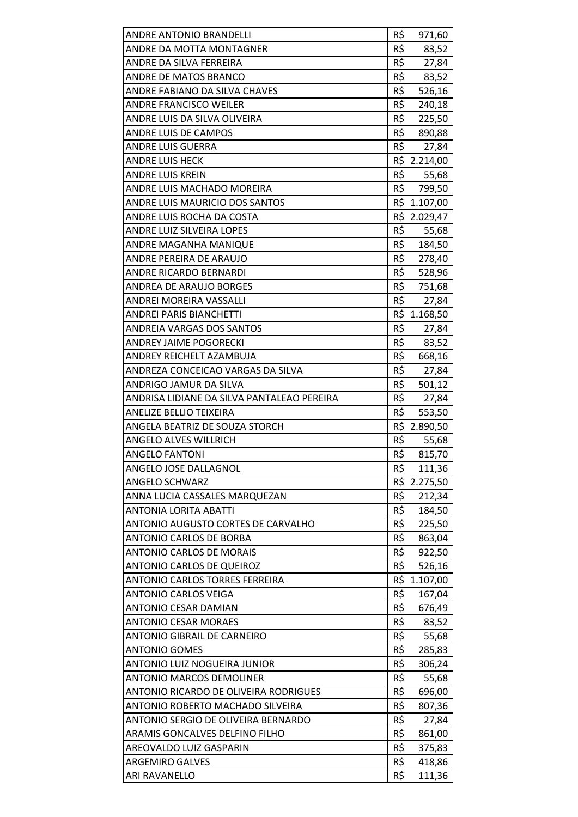| ANDRE ANTONIO BRANDELLI                    | R\$ | 971,60       |
|--------------------------------------------|-----|--------------|
| ANDRE DA MOTTA MONTAGNER                   | R\$ | 83,52        |
| ANDRE DA SILVA FERREIRA                    | R\$ | 27,84        |
| ANDRE DE MATOS BRANCO                      | R\$ | 83,52        |
| ANDRE FABIANO DA SILVA CHAVES              | R\$ | 526,16       |
| <b>ANDRE FRANCISCO WEILER</b>              | R\$ | 240,18       |
| ANDRE LUIS DA SILVA OLIVEIRA               | R\$ | 225,50       |
| <b>ANDRE LUIS DE CAMPOS</b>                | R\$ | 890,88       |
| <b>ANDRE LUIS GUERRA</b>                   | R\$ | 27,84        |
| ANDRE LUIS HECK                            |     | R\$ 2.214,00 |
| <b>ANDRE LUIS KREIN</b>                    | R\$ | 55,68        |
| ANDRE LUIS MACHADO MOREIRA                 | R\$ | 799,50       |
| ANDRE LUIS MAURICIO DOS SANTOS             |     | R\$ 1.107,00 |
| ANDRE LUIS ROCHA DA COSTA                  |     | R\$ 2.029,47 |
| ANDRE LUIZ SILVEIRA LOPES                  |     | R\$ 55,68    |
| ANDRE MAGANHA MANIQUE                      |     | R\$ 184,50   |
| ANDRE PEREIRA DE ARAUJO                    | R\$ | 278,40       |
| <b>ANDRE RICARDO BERNARDI</b>              | R\$ | 528,96       |
| ANDREA DE ARAUJO BORGES                    | R\$ | 751,68       |
| ANDREI MOREIRA VASSALLI                    | R\$ | 27,84        |
| <b>ANDREI PARIS BIANCHETTI</b>             |     | R\$ 1.168,50 |
| <b>ANDREIA VARGAS DOS SANTOS</b>           | R\$ | 27,84        |
| <b>ANDREY JAIME POGORECKI</b>              | R\$ | 83,52        |
| ANDREY REICHELT AZAMBUJA                   | R\$ | 668,16       |
| ANDREZA CONCEICAO VARGAS DA SILVA          | R\$ | 27,84        |
| ANDRIGO JAMUR DA SILVA                     |     | R\$ 501,12   |
| ANDRISA LIDIANE DA SILVA PANTALEAO PEREIRA | R\$ | 27,84        |
| <b>ANELIZE BELLIO TEIXEIRA</b>             | R\$ | 553,50       |
| ANGELA BEATRIZ DE SOUZA STORCH             |     | R\$ 2.890,50 |
| <b>ANGELO ALVES WILLRICH</b>               | R\$ | 55,68        |
| <b>ANGELO FANTONI</b>                      | R\$ | 815,70       |
| ANGELO JOSE DALLAGNOL                      | R\$ | 111,36       |
| <b>ANGELO SCHWARZ</b>                      | R\$ | 2.275,50     |
| ANNA LUCIA CASSALES MARQUEZAN              | R\$ | 212,34       |
| <b>ANTONIA LORITA ABATTI</b>               | R\$ | 184,50       |
| ANTONIO AUGUSTO CORTES DE CARVALHO         | R\$ | 225,50       |
| <b>ANTONIO CARLOS DE BORBA</b>             | R\$ | 863,04       |
| <b>ANTONIO CARLOS DE MORAIS</b>            | R\$ | 922,50       |
| <b>ANTONIO CARLOS DE QUEIROZ</b>           | R\$ | 526,16       |
| ANTONIO CARLOS TORRES FERREIRA             | R\$ | 1.107,00     |
| <b>ANTONIO CARLOS VEIGA</b>                | R\$ | 167,04       |
| ANTONIO CESAR DAMIAN                       | R\$ | 676,49       |
| <b>ANTONIO CESAR MORAES</b>                | R\$ | 83,52        |
| <b>ANTONIO GIBRAIL DE CARNEIRO</b>         | R\$ | 55,68        |
| <b>ANTONIO GOMES</b>                       | R\$ | 285,83       |
| ANTONIO LUIZ NOGUEIRA JUNIOR               | R\$ | 306,24       |
| <b>ANTONIO MARCOS DEMOLINER</b>            | R\$ | 55,68        |
| ANTONIO RICARDO DE OLIVEIRA RODRIGUES      | R\$ | 696,00       |
| ANTONIO ROBERTO MACHADO SILVEIRA           | R\$ | 807,36       |
| ANTONIO SERGIO DE OLIVEIRA BERNARDO        | R\$ | 27,84        |
| ARAMIS GONCALVES DELFINO FILHO             | R\$ | 861,00       |
| AREOVALDO LUIZ GASPARIN                    | R\$ | 375,83       |
| <b>ARGEMIRO GALVES</b><br>ARI RAVANELLO    | R\$ | 418,86       |
|                                            | R\$ | 111,36       |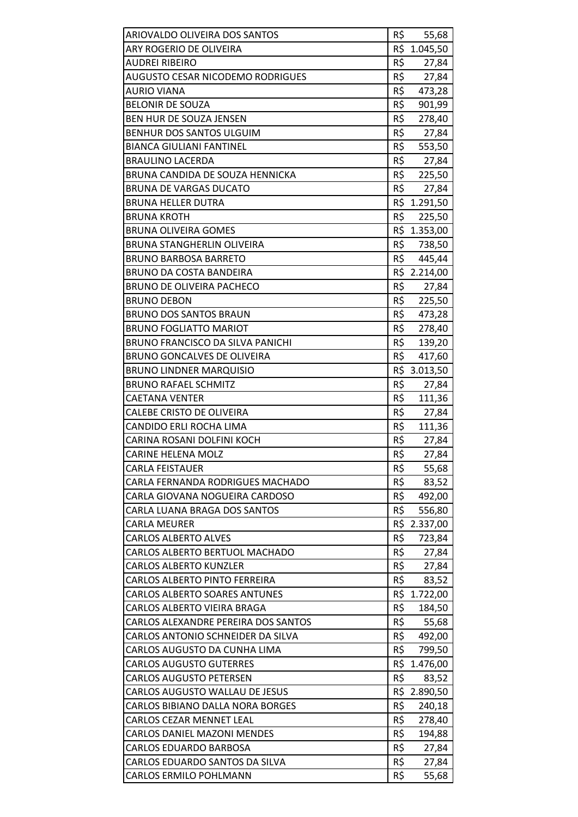| ARIOVALDO OLIVEIRA DOS SANTOS                            | R\$        | 55,68          |
|----------------------------------------------------------|------------|----------------|
| ARY ROGERIO DE OLIVEIRA                                  |            | R\$ 1.045,50   |
| AUDREI RIBEIRO                                           | R\$        | 27,84          |
| <b>AUGUSTO CESAR NICODEMO RODRIGUES</b>                  | R\$        | 27,84          |
| <b>AURIO VIANA</b>                                       | R\$        | 473,28         |
| <b>BELONIR DE SOUZA</b>                                  | R\$        | 901,99         |
| BEN HUR DE SOUZA JENSEN                                  | R\$        | 278,40         |
| <b>BENHUR DOS SANTOS ULGUIM</b>                          | R\$        | 27,84          |
| <b>BIANCA GIULIANI FANTINEL</b>                          | R\$        | 553,50         |
| <b>BRAULINO LACERDA</b>                                  | R\$        | 27,84          |
| BRUNA CANDIDA DE SOUZA HENNICKA                          | R\$        | 225,50         |
| <b>BRUNA DE VARGAS DUCATO</b>                            | R\$        | 27,84          |
| <b>BRUNA HELLER DUTRA</b>                                |            | R\$ 1.291,50   |
| <b>BRUNA KROTH</b>                                       | R\$        | 225,50         |
| <b>BRUNA OLIVEIRA GOMES</b>                              |            | R\$ 1.353,00   |
| BRUNA STANGHERLIN OLIVEIRA                               |            | R\$ 738,50     |
| <b>BRUNO BARBOSA BARRETO</b>                             | R\$        | 445,44         |
| <b>BRUNO DA COSTA BANDEIRA</b>                           | R\$        | 2.214,00       |
| BRUNO DE OLIVEIRA PACHECO                                | R\$        | 27,84          |
| <b>BRUNO DEBON</b>                                       | R\$        | 225,50         |
| <b>BRUNO DOS SANTOS BRAUN</b>                            | R\$        | 473,28         |
| <b>BRUNO FOGLIATTO MARIOT</b>                            | R\$        | 278,40         |
| <b>BRUNO FRANCISCO DA SILVA PANICHI</b>                  | R\$        | 139,20         |
| BRUNO GONCALVES DE OLIVEIRA                              | R\$        | 417,60         |
| <b>BRUNO LINDNER MARQUISIO</b>                           |            | R\$ 3.013,50   |
| <b>BRUNO RAFAEL SCHMITZ</b>                              | R\$        | 27,84          |
| <b>CAETANA VENTER</b>                                    | R\$        | 111,36         |
| CALEBE CRISTO DE OLIVEIRA                                | R\$        | 27,84          |
| CANDIDO ERLI ROCHA LIMA                                  | R\$        | 111,36         |
| CARINA ROSANI DOLFINI KOCH                               | R\$        | 27,84          |
| <b>CARINE HELENA MOLZ</b>                                | R\$        | 27,84          |
| <b>CARLA FEISTAUER</b>                                   | R\$        | 55,68          |
| CARLA FERNANDA RODRIGUES MACHADO                         | R\$        | 83,52          |
| CARLA GIOVANA NOGUEIRA CARDOSO                           | R\$        | 492,00         |
| <b>CARLA LUANA BRAGA DOS SANTOS</b>                      | R\$        | 556,80         |
| <b>CARLA MEURER</b>                                      |            | R\$ 2.337,00   |
| <b>CARLOS ALBERTO ALVES</b>                              | R\$        | 723,84         |
| CARLOS ALBERTO BERTUOL MACHADO                           | R\$        | 27,84          |
| <b>CARLOS ALBERTO KUNZLER</b>                            | R\$        | 27,84          |
| <b>CARLOS ALBERTO PINTO FERREIRA</b>                     | R\$        | 83,52          |
| <b>CARLOS ALBERTO SOARES ANTUNES</b>                     | R\$        | 1.722,00       |
| CARLOS ALBERTO VIEIRA BRAGA                              | R\$        | 184,50         |
| CARLOS ALEXANDRE PEREIRA DOS SANTOS                      | R\$        | 55,68          |
| CARLOS ANTONIO SCHNEIDER DA SILVA                        | R\$        | 492,00         |
| CARLOS AUGUSTO DA CUNHA LIMA                             | R\$        | 799,50         |
| <b>CARLOS AUGUSTO GUTERRES</b>                           |            | R\$ 1.476,00   |
| <b>CARLOS AUGUSTO PETERSEN</b>                           | R\$        | 83,52          |
| CARLOS AUGUSTO WALLAU DE JESUS                           |            | R\$ 2.890,50   |
| CARLOS BIBIANO DALLA NORA BORGES                         | R\$        | 240,18         |
| CARLOS CEZAR MENNET LEAL                                 | R\$        | 278,40         |
| <b>CARLOS DANIEL MAZONI MENDES</b>                       |            | 194,88         |
|                                                          | R\$        |                |
| <b>CARLOS EDUARDO BARBOSA</b>                            | R\$        | 27,84          |
| CARLOS EDUARDO SANTOS DA SILVA<br>CARLOS ERMILO POHLMANN | R\$<br>R\$ | 27,84<br>55,68 |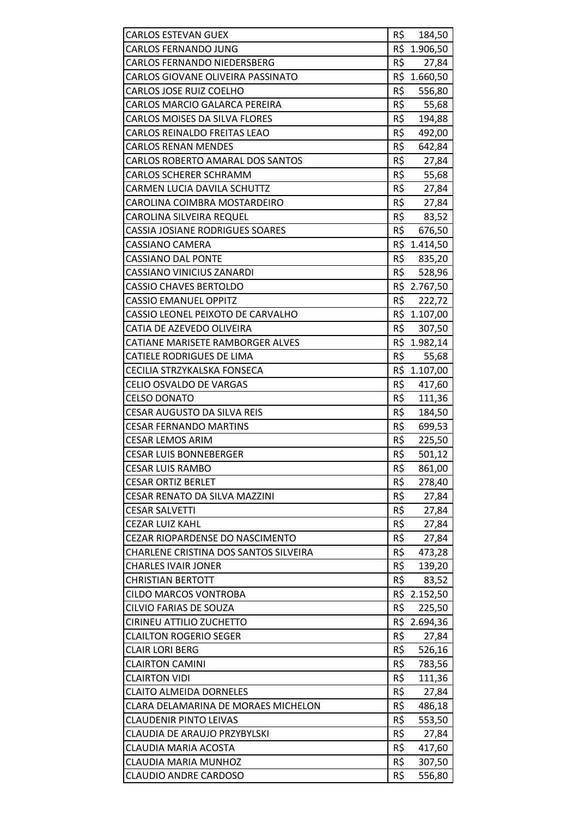| <b>CARLOS ESTEVAN GUEX</b>             | R\$ | 184,50       |
|----------------------------------------|-----|--------------|
| <b>CARLOS FERNANDO JUNG</b>            |     | R\$ 1.906,50 |
| <b>CARLOS FERNANDO NIEDERSBERG</b>     | R\$ | 27,84        |
| CARLOS GIOVANE OLIVEIRA PASSINATO      | R\$ | 1.660,50     |
| CARLOS JOSE RUIZ COELHO                | R\$ | 556,80       |
| CARLOS MARCIO GALARCA PEREIRA          | R\$ | 55,68        |
| <b>CARLOS MOISES DA SILVA FLORES</b>   | R\$ | 194,88       |
| CARLOS REINALDO FREITAS LEAO           | R\$ | 492,00       |
| <b>CARLOS RENAN MENDES</b>             | R\$ | 642,84       |
| CARLOS ROBERTO AMARAL DOS SANTOS       | R\$ | 27,84        |
| <b>CARLOS SCHERER SCHRAMM</b>          | R\$ | 55,68        |
| CARMEN LUCIA DAVILA SCHUTTZ            | R\$ | 27,84        |
| CAROLINA COIMBRA MOSTARDEIRO           | R\$ | 27,84        |
| CAROLINA SILVEIRA REQUEL               | R\$ | 83,52        |
| <b>CASSIA JOSIANE RODRIGUES SOARES</b> | R\$ | 676,50       |
| <b>CASSIANO CAMERA</b>                 |     | R\$ 1.414,50 |
| <b>CASSIANO DAL PONTE</b>              | R\$ | 835,20       |
| <b>CASSIANO VINICIUS ZANARDI</b>       | R\$ | 528,96       |
| <b>CASSIO CHAVES BERTOLDO</b>          |     | R\$ 2.767,50 |
| <b>CASSIO EMANUEL OPPITZ</b>           | R\$ | 222,72       |
| CASSIO LEONEL PEIXOTO DE CARVALHO      |     | R\$ 1.107,00 |
| CATIA DE AZEVEDO OLIVEIRA              | R\$ | 307,50       |
| CATIANE MARISETE RAMBORGER ALVES       |     | R\$ 1.982,14 |
| <b>CATIELE RODRIGUES DE LIMA</b>       | R\$ | 55,68        |
| CECILIA STRZYKALSKA FONSECA            |     | R\$ 1.107,00 |
| CELIO OSVALDO DE VARGAS                | R\$ | 417,60       |
| <b>CELSO DONATO</b>                    | R\$ | 111,36       |
| <b>CESAR AUGUSTO DA SILVA REIS</b>     | R\$ | 184,50       |
| <b>CESAR FERNANDO MARTINS</b>          | R\$ | 699,53       |
| <b>CESAR LEMOS ARIM</b>                | R\$ | 225,50       |
| <b>CESAR LUIS BONNEBERGER</b>          | R\$ | 501,12       |
| <b>CESAR LUIS RAMBO</b>                | R\$ | 861,00       |
| <b>CESAR ORTIZ BERLET</b>              | R\$ | 278,40       |
| CESAR RENATO DA SILVA MAZZINI          | R\$ | 27,84        |
| <b>CESAR SALVETTI</b>                  | R\$ | 27,84        |
| <b>CEZAR LUIZ KAHL</b>                 | R\$ | 27,84        |
| <b>CEZAR RIOPARDENSE DO NASCIMENTO</b> | R\$ | 27,84        |
| CHARLENE CRISTINA DOS SANTOS SILVEIRA  | R\$ | 473,28       |
| <b>CHARLES IVAIR JONER</b>             | R\$ | 139,20       |
| <b>CHRISTIAN BERTOTT</b>               | R\$ | 83,52        |
| <b>CILDO MARCOS VONTROBA</b>           |     | R\$ 2.152,50 |
| CILVIO FARIAS DE SOUZA                 | R\$ | 225,50       |
| CIRINEU ATTILIO ZUCHETTO               |     | R\$ 2.694,36 |
| <b>CLAILTON ROGERIO SEGER</b>          | R\$ | 27,84        |
| <b>CLAIR LORI BERG</b>                 | R\$ | 526,16       |
| <b>CLAIRTON CAMINI</b>                 | R\$ | 783,56       |
| <b>CLAIRTON VIDI</b>                   | R\$ | 111,36       |
| <b>CLAITO ALMEIDA DORNELES</b>         | R\$ | 27,84        |
| CLARA DELAMARINA DE MORAES MICHELON    | R\$ | 486,18       |
| <b>CLAUDENIR PINTO LEIVAS</b>          | R\$ | 553,50       |
| CLAUDIA DE ARAUJO PRZYBYLSKI           | R\$ | 27,84        |
| CLAUDIA MARIA ACOSTA                   | R\$ | 417,60       |
| <b>CLAUDIA MARIA MUNHOZ</b>            | R\$ | 307,50       |
|                                        | R\$ | 556,80       |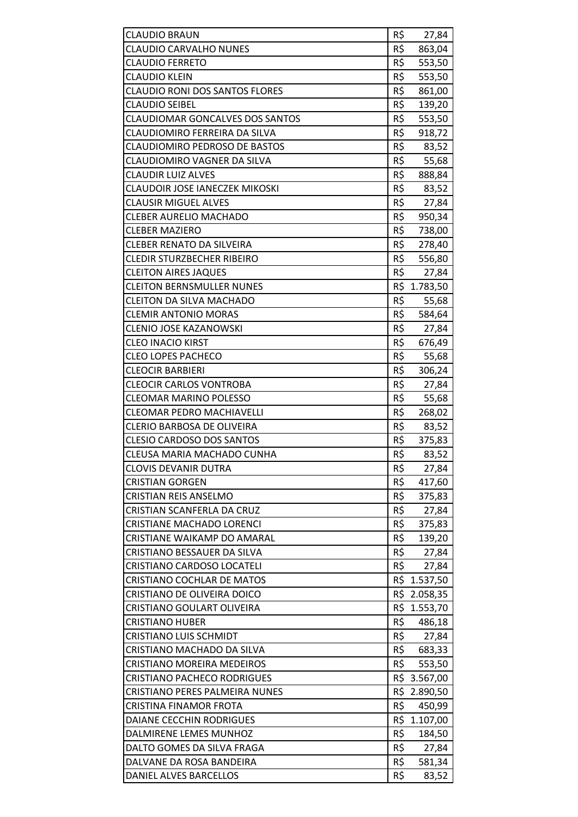| <b>CLAUDIO BRAUN</b>                   | R\$ | 27,84        |
|----------------------------------------|-----|--------------|
| <b>CLAUDIO CARVALHO NUNES</b>          | R\$ | 863,04       |
| <b>CLAUDIO FERRETO</b>                 | R\$ | 553,50       |
| <b>CLAUDIO KLEIN</b>                   | R\$ | 553,50       |
| <b>CLAUDIO RONI DOS SANTOS FLORES</b>  | R\$ | 861,00       |
| <b>CLAUDIO SEIBEL</b>                  | R\$ | 139,20       |
| <b>CLAUDIOMAR GONCALVES DOS SANTOS</b> | R\$ | 553,50       |
| CLAUDIOMIRO FERREIRA DA SILVA          | R\$ | 918,72       |
| <b>CLAUDIOMIRO PEDROSO DE BASTOS</b>   | R\$ | 83,52        |
| CLAUDIOMIRO VAGNER DA SILVA            | R\$ | 55,68        |
| <b>CLAUDIR LUIZ ALVES</b>              | R\$ | 888,84       |
| <b>CLAUDOIR JOSE IANECZEK MIKOSKI</b>  | R\$ | 83,52        |
| <b>CLAUSIR MIGUEL ALVES</b>            | R\$ | 27,84        |
| <b>CLEBER AURELIO MACHADO</b>          | R\$ | 950,34       |
| <b>CLEBER MAZIERO</b>                  | R\$ | 738,00       |
| <b>CLEBER RENATO DA SILVEIRA</b>       | R\$ | 278,40       |
| <b>CLEDIR STURZBECHER RIBEIRO</b>      | R\$ | 556,80       |
| <b>CLEITON AIRES JAQUES</b>            | R\$ | 27,84        |
| <b>CLEITON BERNSMULLER NUNES</b>       | R\$ | 1.783,50     |
| <b>CLEITON DA SILVA MACHADO</b>        | R\$ | 55,68        |
| <b>CLEMIR ANTONIO MORAS</b>            | R\$ | 584,64       |
| <b>CLENIO JOSE KAZANOWSKI</b>          | R\$ | 27,84        |
| <b>CLEO INACIO KIRST</b>               | R\$ | 676,49       |
| <b>CLEO LOPES PACHECO</b>              | R\$ | 55,68        |
| <b>CLEOCIR BARBIERI</b>                | R\$ | 306,24       |
| <b>CLEOCIR CARLOS VONTROBA</b>         | R\$ | 27,84        |
| <b>CLEOMAR MARINO POLESSO</b>          | R\$ | 55,68        |
| <b>CLEOMAR PEDRO MACHIAVELLI</b>       | R\$ | 268,02       |
| <b>CLERIO BARBOSA DE OLIVEIRA</b>      | R\$ | 83,52        |
| <b>CLESIO CARDOSO DOS SANTOS</b>       | R\$ | 375,83       |
| CLEUSA MARIA MACHADO CUNHA             | R\$ | 83,52        |
| <b>CLOVIS DEVANIR DUTRA</b>            | R\$ | 27,84        |
| <b>CRISTIAN GORGEN</b>                 | R\$ | 417,60       |
| <b>CRISTIAN REIS ANSELMO</b>           | R\$ | 375,83       |
| CRISTIAN SCANFERLA DA CRUZ             | R\$ | 27,84        |
| <b>CRISTIANE MACHADO LORENCI</b>       | R\$ | 375,83       |
| CRISTIANE WAIKAMP DO AMARAL            | R\$ | 139,20       |
| CRISTIANO BESSAUER DA SILVA            | R\$ | 27,84        |
| CRISTIANO CARDOSO LOCATELI             | R\$ | 27,84        |
| <b>CRISTIANO COCHLAR DE MATOS</b>      |     | R\$ 1.537,50 |
| CRISTIANO DE OLIVEIRA DOICO            |     | R\$ 2.058,35 |
| CRISTIANO GOULART OLIVEIRA             |     | R\$ 1.553,70 |
| <b>CRISTIANO HUBER</b>                 | R\$ | 486,18       |
| <b>CRISTIANO LUIS SCHMIDT</b>          | R\$ | 27,84        |
| CRISTIANO MACHADO DA SILVA             | R\$ | 683,33       |
| CRISTIANO MOREIRA MEDEIROS             | R\$ | 553,50       |
| <b>CRISTIANO PACHECO RODRIGUES</b>     |     | R\$ 3.567,00 |
| CRISTIANO PERES PALMEIRA NUNES         |     | R\$ 2.890,50 |
| <b>CRISTINA FINAMOR FROTA</b>          | R\$ | 450,99       |
| DAIANE CECCHIN RODRIGUES               | R\$ | 1.107,00     |
| DALMIRENE LEMES MUNHOZ                 | R\$ | 184,50       |
| DALTO GOMES DA SILVA FRAGA             | R\$ | 27,84        |
| DALVANE DA ROSA BANDEIRA               | R\$ | 581,34       |
| DANIEL ALVES BARCELLOS                 | R\$ | 83,52        |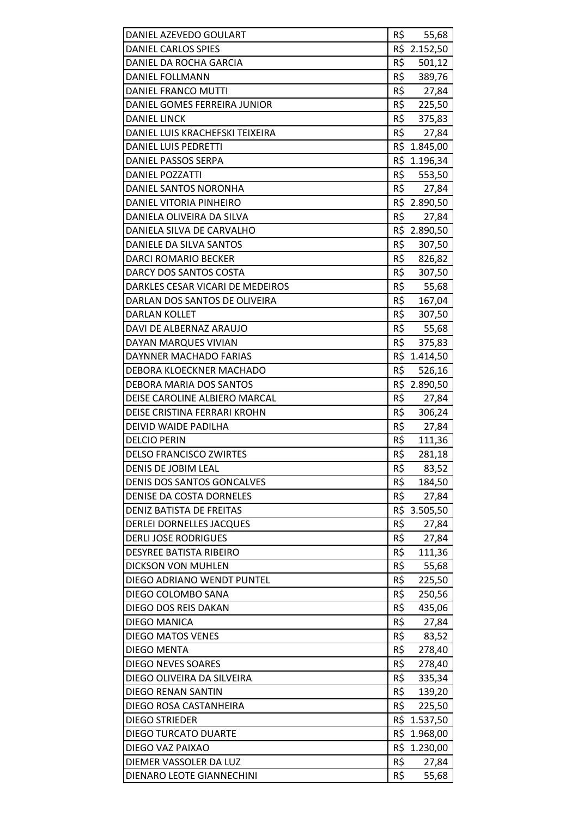| DANIEL AZEVEDO GOULART            | R\$ | 55,68        |
|-----------------------------------|-----|--------------|
| DANIEL CARLOS SPIES               |     | R\$ 2.152,50 |
| DANIEL DA ROCHA GARCIA            | R\$ | 501,12       |
| <b>DANIEL FOLLMANN</b>            | R\$ | 389,76       |
| DANIEL FRANCO MUTTI               | R\$ | 27,84        |
| DANIEL GOMES FERREIRA JUNIOR      | R\$ | 225,50       |
| <b>DANIEL LINCK</b>               | R\$ | 375,83       |
| DANIEL LUIS KRACHEFSKI TEIXEIRA   | R\$ | 27,84        |
| DANIEL LUIS PEDRETTI              |     | R\$ 1.845,00 |
| DANIEL PASSOS SERPA               |     | R\$ 1.196,34 |
| <b>DANIEL POZZATTI</b>            | R\$ | 553,50       |
| DANIEL SANTOS NORONHA             | R\$ | 27,84        |
| DANIEL VITORIA PINHEIRO           |     | R\$ 2.890,50 |
| DANIELA OLIVEIRA DA SILVA         | R\$ | 27,84        |
| DANIELA SILVA DE CARVALHO         |     | R\$ 2.890,50 |
| DANIELE DA SILVA SANTOS           | R\$ | 307,50       |
| <b>DARCI ROMARIO BECKER</b>       | R\$ | 826,82       |
| DARCY DOS SANTOS COSTA            | R\$ | 307,50       |
| DARKLES CESAR VICARI DE MEDEIROS  | R\$ | 55,68        |
| DARLAN DOS SANTOS DE OLIVEIRA     | R\$ | 167,04       |
| <b>DARLAN KOLLET</b>              | R\$ | 307,50       |
| DAVI DE ALBERNAZ ARAUJO           | R\$ | 55,68        |
| DAYAN MARQUES VIVIAN              | R\$ | 375,83       |
| DAYNNER MACHADO FARIAS            |     | R\$ 1.414,50 |
| DEBORA KLOECKNER MACHADO          | R\$ | 526,16       |
| DEBORA MARIA DOS SANTOS           |     | R\$ 2.890,50 |
| DEISE CAROLINE ALBIERO MARCAL     | R\$ | 27,84        |
| DEISE CRISTINA FERRARI KROHN      | R\$ | 306,24       |
| DEIVID WAIDE PADILHA              | R\$ | 27,84        |
| <b>DELCIO PERIN</b>               | R\$ | 111,36       |
| <b>DELSO FRANCISCO ZWIRTES</b>    | R\$ | 281,18       |
| DENIS DE JOBIM LEAL               | R\$ | 83,52        |
| <b>DENIS DOS SANTOS GONCALVES</b> | R\$ | 184,50       |
| DENISE DA COSTA DORNELES          | R\$ | 27,84        |
| <b>DENIZ BATISTA DE FREITAS</b>   | R\$ | 3.505,50     |
| DERLEI DORNELLES JACQUES          | R\$ | 27,84        |
| <b>DERLI JOSE RODRIGUES</b>       | R\$ | 27,84        |
| <b>DESYREE BATISTA RIBEIRO</b>    | R\$ | 111,36       |
| <b>DICKSON VON MUHLEN</b>         | R\$ | 55,68        |
| DIEGO ADRIANO WENDT PUNTEL        | R\$ | 225,50       |
| DIEGO COLOMBO SANA                | R\$ | 250,56       |
| DIEGO DOS REIS DAKAN              | R\$ | 435,06       |
| DIEGO MANICA                      | R\$ | 27,84        |
| <b>DIEGO MATOS VENES</b>          | R\$ | 83,52        |
| <b>DIEGO MENTA</b>                | R\$ | 278,40       |
| <b>DIEGO NEVES SOARES</b>         | R\$ | 278,40       |
| DIEGO OLIVEIRA DA SILVEIRA        | R\$ | 335,34       |
| <b>DIEGO RENAN SANTIN</b>         | R\$ | 139,20       |
| DIEGO ROSA CASTANHEIRA            | R\$ | 225,50       |
| <b>DIEGO STRIEDER</b>             | R\$ | 1.537,50     |
| <b>DIEGO TURCATO DUARTE</b>       | R\$ | 1.968,00     |
| DIEGO VAZ PAIXAO                  |     | R\$ 1.230,00 |
| DIEMER VASSOLER DA LUZ            | R\$ | 27,84        |
| DIENARO LEOTE GIANNECHINI         | R\$ | 55,68        |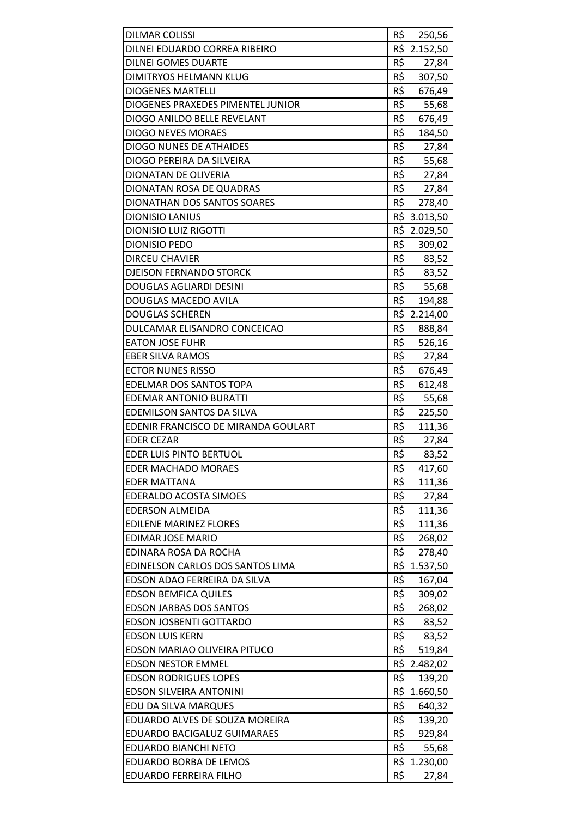| <b>DILMAR COLISSI</b>               | R\$ | 250,56       |
|-------------------------------------|-----|--------------|
| DILNEI EDUARDO CORREA RIBEIRO       |     | R\$ 2.152,50 |
| <b>DILNEI GOMES DUARTE</b>          | R\$ | 27,84        |
| DIMITRYOS HELMANN KLUG              | R\$ | 307,50       |
| <b>DIOGENES MARTELLI</b>            | R\$ | 676,49       |
| DIOGENES PRAXEDES PIMENTEL JUNIOR   | R\$ | 55,68        |
| DIOGO ANILDO BELLE REVELANT         | R\$ | 676,49       |
| <b>DIOGO NEVES MORAES</b>           | R\$ |              |
| DIOGO NUNES DE ATHAIDES             | R\$ | 184,50       |
|                                     |     | 27,84        |
| DIOGO PEREIRA DA SILVEIRA           |     | R\$ 55,68    |
| DIONATAN DE OLIVERIA                | R\$ | 27,84        |
| DIONATAN ROSA DE QUADRAS            | R\$ | 27,84        |
| DIONATHAN DOS SANTOS SOARES         | R\$ | 278,40       |
| <b>DIONISIO LANIUS</b>              | R\$ | 3.013,50     |
| <b>DIONISIO LUIZ RIGOTTI</b>        |     | R\$ 2.029,50 |
| <b>DIONISIO PEDO</b>                | R\$ | 309,02       |
| <b>DIRCEU CHAVIER</b>               | R\$ | 83,52        |
| <b>DJEISON FERNANDO STORCK</b>      | R\$ | 83,52        |
| DOUGLAS AGLIARDI DESINI             | R\$ | 55,68        |
| DOUGLAS MACEDO AVILA                | R\$ | 194,88       |
| <b>DOUGLAS SCHEREN</b>              |     | R\$ 2.214,00 |
| DULCAMAR ELISANDRO CONCEICAO        | R\$ | 888,84       |
| <b>EATON JOSE FUHR</b>              | R\$ | 526,16       |
| <b>EBER SILVA RAMOS</b>             | R\$ | 27,84        |
| <b>ECTOR NUNES RISSO</b>            | R\$ | 676,49       |
| EDELMAR DOS SANTOS TOPA             | R\$ | 612,48       |
| <b>EDEMAR ANTONIO BURATTI</b>       | R\$ | 55,68        |
| <b>EDEMILSON SANTOS DA SILVA</b>    | R\$ | 225,50       |
| EDENIR FRANCISCO DE MIRANDA GOULART | R\$ | 111,36       |
| <b>EDER CEZAR</b>                   | R\$ | 27,84        |
| <b>EDER LUIS PINTO BERTUOL</b>      | R\$ | 83,52        |
| <b>EDER MACHADO MORAES</b>          | R\$ | 417,60       |
| <b>EDER MATTANA</b>                 | R\$ | 111,36       |
| <b>EDERALDO ACOSTA SIMOES</b>       | R\$ | 27,84        |
| <b>EDERSON ALMEIDA</b>              | R\$ | 111,36       |
| <b>EDILENE MARINEZ FLORES</b>       | R\$ | 111,36       |
| <b>EDIMAR JOSE MARIO</b>            | R\$ | 268,02       |
| EDINARA ROSA DA ROCHA               | R\$ | 278,40       |
| EDINELSON CARLOS DOS SANTOS LIMA    | R\$ | 1.537,50     |
| EDSON ADAO FERREIRA DA SILVA        | R\$ | 167,04       |
| <b>EDSON BEMFICA QUILES</b>         | R\$ | 309,02       |
| <b>EDSON JARBAS DOS SANTOS</b>      | R\$ | 268,02       |
| <b>EDSON JOSBENTI GOTTARDO</b>      | R\$ | 83,52        |
| <b>EDSON LUIS KERN</b>              | R\$ | 83,52        |
| EDSON MARIAO OLIVEIRA PITUCO        | R\$ | 519,84       |
| <b>EDSON NESTOR EMMEL</b>           | R\$ | 2.482,02     |
| <b>EDSON RODRIGUES LOPES</b>        | R\$ | 139,20       |
| <b>EDSON SILVEIRA ANTONINI</b>      |     | R\$ 1.660,50 |
| EDU DA SILVA MARQUES                | R\$ | 640,32       |
| EDUARDO ALVES DE SOUZA MOREIRA      | R\$ | 139,20       |
| EDUARDO BACIGALUZ GUIMARAES         | R\$ | 929,84       |
| EDUARDO BIANCHI NETO                | R\$ | 55,68        |
| EDUARDO BORBA DE LEMOS              |     | R\$ 1.230,00 |
| EDUARDO FERREIRA FILHO              | R\$ | 27,84        |
|                                     |     |              |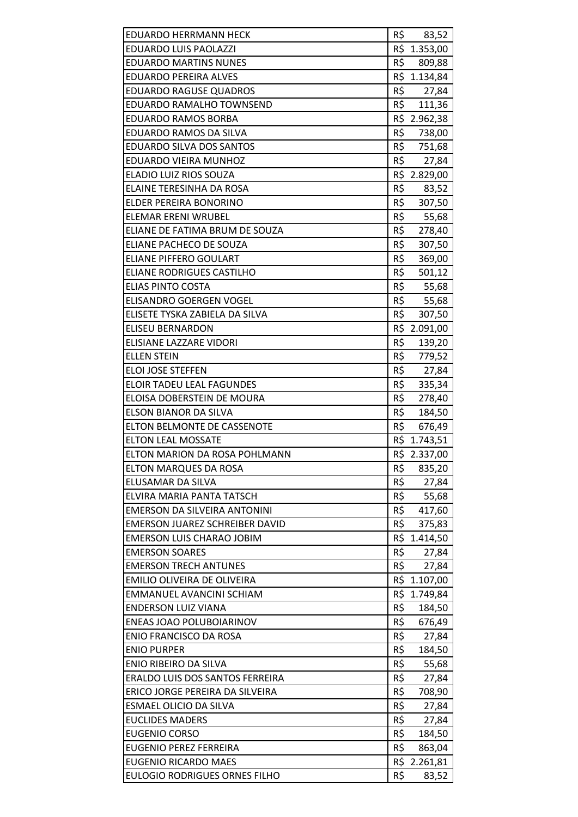| <b>EDUARDO HERRMANN HECK</b>                              | R\$ | 83,52                 |
|-----------------------------------------------------------|-----|-----------------------|
| <b>EDUARDO LUIS PAOLAZZI</b>                              |     | R\$ 1.353,00          |
| <b>EDUARDO MARTINS NUNES</b>                              | R\$ | 809,88                |
| <b>EDUARDO PEREIRA ALVES</b>                              |     | R\$ 1.134,84          |
| <b>EDUARDO RAGUSE QUADROS</b>                             | R\$ | 27,84                 |
| EDUARDO RAMALHO TOWNSEND                                  | R\$ | 111,36                |
| <b>EDUARDO RAMOS BORBA</b>                                |     | R\$ 2.962,38          |
|                                                           | R\$ |                       |
| EDUARDO RAMOS DA SILVA<br><b>EDUARDO SILVA DOS SANTOS</b> | R\$ | 738,00                |
|                                                           | R\$ | 751,68                |
| EDUARDO VIEIRA MUNHOZ                                     |     | 27,84<br>R\$ 2.829,00 |
| ELADIO LUIZ RIOS SOUZA                                    |     |                       |
| ELAINE TERESINHA DA ROSA                                  | R\$ | 83,52                 |
| ELDER PEREIRA BONORINO                                    | R\$ | 307,50                |
| <b>ELEMAR ERENI WRUBEL</b>                                | R\$ | 55,68                 |
| ELIANE DE FATIMA BRUM DE SOUZA                            | R\$ | 278,40                |
| ELIANE PACHECO DE SOUZA                                   | R\$ | 307,50                |
| <b>ELIANE PIFFERO GOULART</b>                             | R\$ | 369,00                |
| <b>ELIANE RODRIGUES CASTILHO</b>                          | R\$ | 501,12                |
| <b>ELIAS PINTO COSTA</b>                                  | R\$ | 55,68                 |
| ELISANDRO GOERGEN VOGEL                                   | R\$ | 55,68                 |
| ELISETE TYSKA ZABIELA DA SILVA                            | R\$ | 307,50                |
| <b>ELISEU BERNARDON</b>                                   |     | R\$ 2.091,00          |
| ELISIANE LAZZARE VIDORI                                   | R\$ | 139,20                |
| <b>ELLEN STEIN</b>                                        | R\$ | 779,52                |
| <b>ELOI JOSE STEFFEN</b>                                  | R\$ | 27,84                 |
| <b>ELOIR TADEU LEAL FAGUNDES</b>                          | R\$ | 335,34                |
| ELOISA DOBERSTEIN DE MOURA                                | R\$ | 278,40                |
| ELSON BIANOR DA SILVA                                     | R\$ | 184,50                |
| <b>ELTON BELMONTE DE CASSENOTE</b>                        | R\$ | 676,49                |
| <b>ELTON LEAL MOSSATE</b>                                 |     | R\$ 1.743,51          |
| ELTON MARION DA ROSA POHLMANN                             |     | R\$ 2.337,00          |
| <b>ELTON MARQUES DA ROSA</b>                              | R\$ | 835,20                |
| ELUSAMAR DA SILVA                                         | R\$ | 27,84                 |
| ELVIRA MARIA PANTA TATSCH                                 | R\$ | 55,68                 |
| EMERSON DA SILVEIRA ANTONINI                              | R\$ | 417,60                |
| <b>EMERSON JUAREZ SCHREIBER DAVID</b>                     | R\$ | 375,83                |
| <b>EMERSON LUIS CHARAO JOBIM</b>                          |     | R\$ 1.414,50          |
| <b>EMERSON SOARES</b>                                     | R\$ | 27,84                 |
| <b>EMERSON TRECH ANTUNES</b>                              | R\$ | 27,84                 |
| EMILIO OLIVEIRA DE OLIVEIRA                               | R\$ | 1.107,00              |
| EMMANUEL AVANCINI SCHIAM                                  | R\$ | 1.749,84              |
| <b>ENDERSON LUIZ VIANA</b>                                | R\$ | 184,50                |
| ENEAS JOAO POLUBOIARINOV                                  | R\$ | 676,49                |
| <b>ENIO FRANCISCO DA ROSA</b>                             | R\$ | 27,84                 |
| <b>ENIO PURPER</b>                                        | R\$ | 184,50                |
| ENIO RIBEIRO DA SILVA                                     | R\$ | 55,68                 |
| ERALDO LUIS DOS SANTOS FERREIRA                           | R\$ | 27,84                 |
| ERICO JORGE PEREIRA DA SILVEIRA                           | R\$ | 708,90                |
| ESMAEL OLICIO DA SILVA                                    | R\$ | 27,84                 |
| <b>EUCLIDES MADERS</b>                                    | R\$ | 27,84                 |
| <b>EUGENIO CORSO</b>                                      | R\$ | 184,50                |
| <b>EUGENIO PEREZ FERREIRA</b>                             | R\$ | 863,04                |
| <b>EUGENIO RICARDO MAES</b>                               |     | R\$ 2.261,81          |
| <b>EULOGIO RODRIGUES ORNES FILHO</b>                      | R\$ | 83,52                 |
|                                                           |     |                       |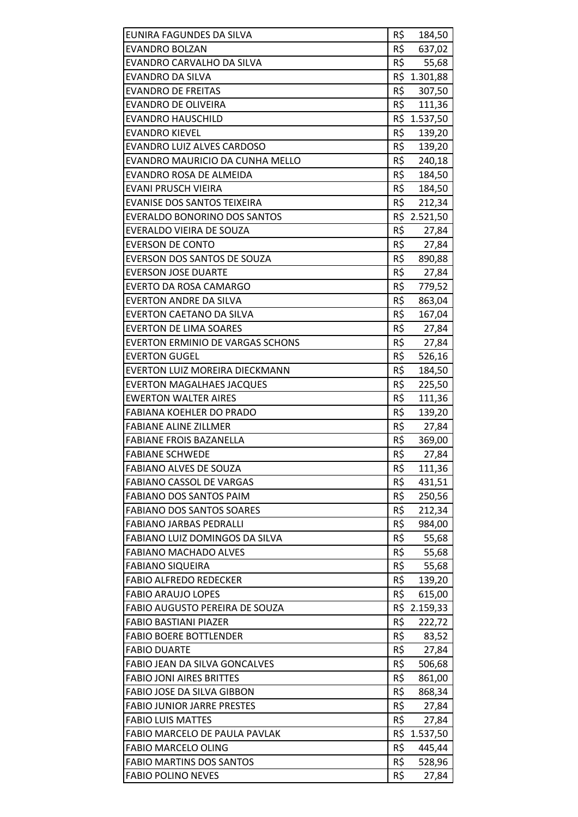| EUNIRA FAGUNDES DA SILVA                | R\$ | 184,50       |
|-----------------------------------------|-----|--------------|
| <b>EVANDRO BOLZAN</b>                   | R\$ | 637,02       |
| EVANDRO CARVALHO DA SILVA               | R\$ | 55,68        |
| <b>EVANDRO DA SILVA</b>                 | R\$ | 1.301,88     |
| <b>EVANDRO DE FREITAS</b>               | R\$ | 307,50       |
| <b>EVANDRO DE OLIVEIRA</b>              | R\$ | 111,36       |
| EVANDRO HAUSCHILD                       |     | R\$ 1.537,50 |
| <b>EVANDRO KIEVEL</b>                   | R\$ | 139,20       |
| <b>EVANDRO LUIZ ALVES CARDOSO</b>       | R\$ | 139,20       |
| EVANDRO MAURICIO DA CUNHA MELLO         | R\$ | 240,18       |
| EVANDRO ROSA DE ALMEIDA                 |     | R\$ 184,50   |
| EVANI PRUSCH VIEIRA                     | R\$ | 184,50       |
| EVANISE DOS SANTOS TEIXEIRA             | R\$ | 212,34       |
| <b>EVERALDO BONORINO DOS SANTOS</b>     | R\$ | 2.521,50     |
| EVERALDO VIEIRA DE SOUZA                | R\$ | 27,84        |
| <b>EVERSON DE CONTO</b>                 | R\$ | 27,84        |
| EVERSON DOS SANTOS DE SOUZA             | R\$ | 890,88       |
| <b>EVERSON JOSE DUARTE</b>              | R\$ | 27,84        |
| <b>EVERTO DA ROSA CAMARGO</b>           | R\$ | 779,52       |
| <b>EVERTON ANDRE DA SILVA</b>           | R\$ | 863,04       |
| <b>EVERTON CAETANO DA SILVA</b>         | R\$ | 167,04       |
| <b>EVERTON DE LIMA SOARES</b>           | R\$ | 27,84        |
| <b>EVERTON ERMINIO DE VARGAS SCHONS</b> | R\$ | 27,84        |
| <b>EVERTON GUGEL</b>                    | R\$ | 526,16       |
| EVERTON LUIZ MOREIRA DIECKMANN          | R\$ | 184,50       |
| <b>EVERTON MAGALHAES JACQUES</b>        | R\$ | 225,50       |
| <b>EWERTON WALTER AIRES</b>             | R\$ | 111,36       |
| FABIANA KOEHLER DO PRADO                | R\$ | 139,20       |
| <b>FABIANE ALINE ZILLMER</b>            | R\$ | 27,84        |
| <b>FABIANE FROIS BAZANELLA</b>          | R\$ | 369,00       |
| <b>FABIANE SCHWEDE</b>                  | R\$ | 27,84        |
| <b>FABIANO ALVES DE SOUZA</b>           | R\$ | 111,36       |
| <b>FABIANO CASSOL DE VARGAS</b>         | R\$ | 431,51       |
| <b>FABIANO DOS SANTOS PAIM</b>          | R\$ | 250,56       |
| <b>FABIANO DOS SANTOS SOARES</b>        | R\$ | 212,34       |
| <b>FABIANO JARBAS PEDRALLI</b>          | R\$ | 984,00       |
| FABIANO LUIZ DOMINGOS DA SILVA          | R\$ | 55,68        |
| <b>FABIANO MACHADO ALVES</b>            | R\$ | 55,68        |
| <b>FABIANO SIQUEIRA</b>                 | R\$ | 55,68        |
| <b>FABIO ALFREDO REDECKER</b>           | R\$ | 139,20       |
| <b>FABIO ARAUJO LOPES</b>               | R\$ | 615,00       |
| FABIO AUGUSTO PEREIRA DE SOUZA          |     | R\$ 2.159,33 |
| <b>FABIO BASTIANI PIAZER</b>            | R\$ | 222,72       |
| <b>FABIO BOERE BOTTLENDER</b>           | R\$ | 83,52        |
| <b>FABIO DUARTE</b>                     | R\$ | 27,84        |
| FABIO JEAN DA SILVA GONCALVES           | R\$ | 506,68       |
| <b>FABIO JONI AIRES BRITTES</b>         | R\$ | 861,00       |
| FABIO JOSE DA SILVA GIBBON              | R\$ | 868,34       |
| <b>FABIO JUNIOR JARRE PRESTES</b>       | R\$ | 27,84        |
| <b>FABIO LUIS MATTES</b>                | R\$ | 27,84        |
| FABIO MARCELO DE PAULA PAVLAK           | R\$ | 1.537,50     |
| <b>FABIO MARCELO OLING</b>              | R\$ | 445,44       |
| <b>FABIO MARTINS DOS SANTOS</b>         | R\$ | 528,96       |
| <b>FABIO POLINO NEVES</b>               | R\$ | 27,84        |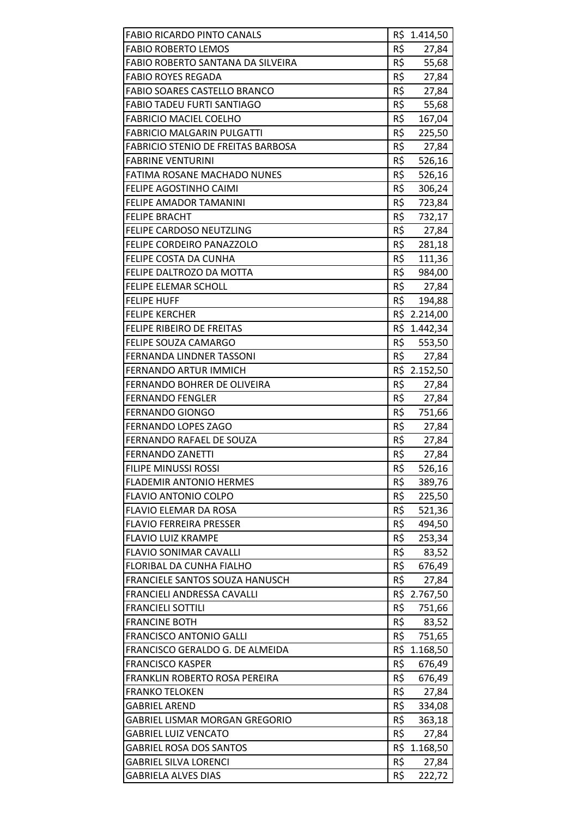| <b>FABIO RICARDO PINTO CANALS</b>         |     | R\$ 1.414,50 |
|-------------------------------------------|-----|--------------|
| <b>FABIO ROBERTO LEMOS</b>                | R\$ | 27,84        |
| FABIO ROBERTO SANTANA DA SILVEIRA         | R\$ | 55,68        |
| <b>FABIO ROYES REGADA</b>                 | R\$ | 27,84        |
| FABIO SOARES CASTELLO BRANCO              | R\$ | 27,84        |
| <b>FABIO TADEU FURTI SANTIAGO</b>         | R\$ | 55,68        |
| <b>FABRICIO MACIEL COELHO</b>             | R\$ | 167,04       |
| <b>FABRICIO MALGARIN PULGATTI</b>         | R\$ | 225,50       |
| <b>FABRICIO STENIO DE FREITAS BARBOSA</b> | R\$ | 27,84        |
| <b>FABRINE VENTURINI</b>                  | R\$ | 526,16       |
| FATIMA ROSANE MACHADO NUNES               | R\$ | 526,16       |
| FELIPE AGOSTINHO CAIMI                    | R\$ | 306,24       |
| FELIPE AMADOR TAMANINI                    | R\$ | 723,84       |
| <b>FELIPE BRACHT</b>                      | R\$ | 732,17       |
| FELIPE CARDOSO NEUTZLING                  | R\$ | 27,84        |
| FELIPE CORDEIRO PANAZZOLO                 |     | R\$ 281,18   |
| FELIPE COSTA DA CUNHA                     | R\$ | 111,36       |
| FELIPE DALTROZO DA MOTTA                  | R\$ | 984,00       |
| <b>FELIPE ELEMAR SCHOLL</b>               | R\$ | 27,84        |
| <b>FELIPE HUFF</b>                        | R\$ | 194,88       |
| <b>FELIPE KERCHER</b>                     |     | R\$ 2.214,00 |
| <b>FELIPE RIBEIRO DE FREITAS</b>          |     | R\$ 1.442,34 |
| FELIPE SOUZA CAMARGO                      | R\$ | 553,50       |
| <b>FERNANDA LINDNER TASSONI</b>           | R\$ | 27,84        |
| <b>FERNANDO ARTUR IMMICH</b>              |     | R\$ 2.152,50 |
| FERNANDO BOHRER DE OLIVEIRA               | R\$ | 27,84        |
| <b>FERNANDO FENGLER</b>                   | R\$ | 27,84        |
| <b>FERNANDO GIONGO</b>                    | R\$ | 751,66       |
| <b>FERNANDO LOPES ZAGO</b>                | R\$ | 27,84        |
| FERNANDO RAFAEL DE SOUZA                  | R\$ | 27,84        |
| <b>FERNANDO ZANETTI</b>                   | R\$ | 27,84        |
| FILIPE MINUSSI ROSSI                      | R\$ | 526,16       |
| <b>FLADEMIR ANTONIO HERMES</b>            | R\$ | 389,76       |
| <b>FLAVIO ANTONIO COLPO</b>               | R\$ | 225,50       |
| FLAVIO ELEMAR DA ROSA                     | R\$ | 521,36       |
| <b>FLAVIO FERREIRA PRESSER</b>            | R\$ | 494,50       |
| <b>FLAVIO LUIZ KRAMPE</b>                 | R\$ | 253,34       |
| <b>FLAVIO SONIMAR CAVALLI</b>             | R\$ | 83,52        |
| FLORIBAL DA CUNHA FIALHO                  | R\$ | 676,49       |
| FRANCIELE SANTOS SOUZA HANUSCH            | R\$ | 27,84        |
| FRANCIELI ANDRESSA CAVALLI                |     | R\$ 2.767,50 |
| <b>FRANCIELI SOTTILI</b>                  | R\$ | 751,66       |
| <b>FRANCINE BOTH</b>                      | R\$ | 83,52        |
| <b>FRANCISCO ANTONIO GALLI</b>            | R\$ | 751,65       |
| FRANCISCO GERALDO G. DE ALMEIDA           | R\$ | 1.168,50     |
| <b>FRANCISCO KASPER</b>                   | R\$ | 676,49       |
| FRANKLIN ROBERTO ROSA PEREIRA             | R\$ | 676,49       |
| <b>FRANKO TELOKEN</b>                     | R\$ | 27,84        |
| <b>GABRIEL AREND</b>                      | R\$ | 334,08       |
| <b>GABRIEL LISMAR MORGAN GREGORIO</b>     | R\$ | 363,18       |
| <b>GABRIEL LUIZ VENCATO</b>               | R\$ | 27,84        |
| <b>GABRIEL ROSA DOS SANTOS</b>            |     | R\$ 1.168,50 |
| <b>GABRIEL SILVA LORENCI</b>              | R\$ | 27,84        |
| <b>GABRIELA ALVES DIAS</b>                | R\$ | 222,72       |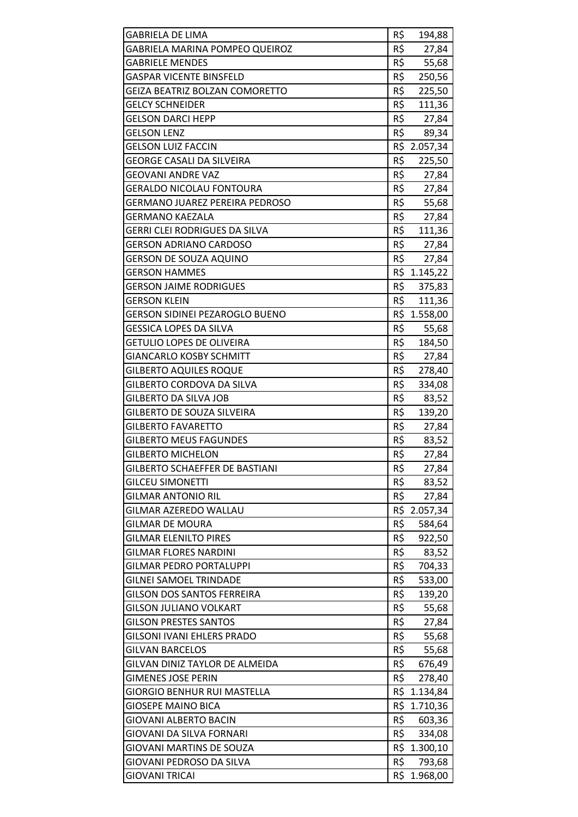| <b>GABRIELA DE LIMA</b>                              | R\$        | 194,88                 |
|------------------------------------------------------|------------|------------------------|
| GABRIELA MARINA POMPEO QUEIROZ                       | R\$        | 27,84                  |
| <b>GABRIELE MENDES</b>                               | R\$        | 55,68                  |
| <b>GASPAR VICENTE BINSFELD</b>                       | R\$        | 250,56                 |
| GEIZA BEATRIZ BOLZAN COMORETTO                       | R\$        | 225,50                 |
| <b>GELCY SCHNEIDER</b>                               | R\$        | 111,36                 |
| <b>GELSON DARCI HEPP</b>                             | R\$        | 27,84                  |
| <b>GELSON LENZ</b>                                   | R\$        | 89,34                  |
| <b>GELSON LUIZ FACCIN</b>                            |            | R\$ 2.057,34           |
| <b>GEORGE CASALI DA SILVEIRA</b>                     | R\$        | 225,50                 |
| <b>GEOVANI ANDRE VAZ</b>                             | R\$        | 27,84                  |
| <b>GERALDO NICOLAU FONTOURA</b>                      | R\$        | 27,84                  |
| GERMANO JUAREZ PEREIRA PEDROSO                       | R\$        | 55,68                  |
| GERMANO KAEZALA                                      | R\$        | 27,84                  |
| <b>GERRI CLEI RODRIGUES DA SILVA</b>                 | R\$        | 111,36                 |
| <b>GERSON ADRIANO CARDOSO</b>                        | R\$        | 27,84                  |
| GERSON DE SOUZA AQUINO                               | R\$        | 27,84                  |
| <b>GERSON HAMMES</b>                                 |            | R\$ 1.145,22           |
| <b>GERSON JAIME RODRIGUES</b>                        | R\$        | 375,83                 |
| <b>GERSON KLEIN</b>                                  | R\$        | 111,36                 |
| GERSON SIDINEI PEZAROGLO BUENO                       |            | R\$ 1.558,00           |
| <b>GESSICA LOPES DA SILVA</b>                        | R\$        | 55,68                  |
| <b>GETULIO LOPES DE OLIVEIRA</b>                     | R\$        | 184,50                 |
| <b>GIANCARLO KOSBY SCHMITT</b>                       | R\$        | 27,84                  |
| <b>GILBERTO AQUILES ROQUE</b>                        | R\$        | 278,40                 |
| GILBERTO CORDOVA DA SILVA                            | R\$        | 334,08                 |
| <b>GILBERTO DA SILVA JOB</b>                         | R\$        | 83,52                  |
| GILBERTO DE SOUZA SILVEIRA                           | R\$        | 139,20                 |
| <b>GILBERTO FAVARETTO</b>                            | R\$        | 27,84                  |
| <b>GILBERTO MEUS FAGUNDES</b>                        | R\$        | 83,52                  |
| <b>GILBERTO MICHELON</b>                             | R\$        | 27,84                  |
| GILBERTO SCHAEFFER DE BASTIANI                       | R\$        | 27,84                  |
| <b>GILCEU SIMONETTI</b>                              | R\$        | 83,52                  |
| <b>GILMAR ANTONIO RIL</b>                            | R\$        | 27,84                  |
| GILMAR AZEREDO WALLAU                                |            | R\$ 2.057,34           |
| <b>GILMAR DE MOURA</b>                               | R\$        | 584,64                 |
| <b>GILMAR ELENILTO PIRES</b>                         | R\$        | 922,50                 |
| <b>GILMAR FLORES NARDINI</b>                         | R\$        | 83,52                  |
| <b>GILMAR PEDRO PORTALUPPI</b>                       | R\$        | 704,33                 |
| <b>GILNEI SAMOEL TRINDADE</b>                        | R\$        | 533,00                 |
| <b>GILSON DOS SANTOS FERREIRA</b>                    | R\$        | 139,20                 |
| <b>GILSON JULIANO VOLKART</b>                        | R\$        | 55,68                  |
| <b>GILSON PRESTES SANTOS</b>                         | R\$        | 27,84                  |
| <b>GILSONI IVANI EHLERS PRADO</b>                    | R\$        | 55,68                  |
| <b>GILVAN BARCELOS</b>                               | R\$        | 55,68                  |
| GILVAN DINIZ TAYLOR DE ALMEIDA                       | R\$        | 676,49                 |
| <b>GIMENES JOSE PERIN</b>                            | R\$        | 278,40                 |
| <b>GIORGIO BENHUR RUI MASTELLA</b>                   |            | R\$ 1.134,84           |
| <b>GIOSEPE MAINO BICA</b>                            | R\$        | 1.710,36               |
| GIOVANI ALBERTO BACIN                                | R\$<br>R\$ | 603,36                 |
| GIOVANI DA SILVA FORNARI                             |            | 334,08<br>R\$ 1.300,10 |
| GIOVANI MARTINS DE SOUZA<br>GIOVANI PEDROSO DA SILVA | R\$        | 793,68                 |
| <b>GIOVANI TRICAI</b>                                | R\$        | 1.968,00               |
|                                                      |            |                        |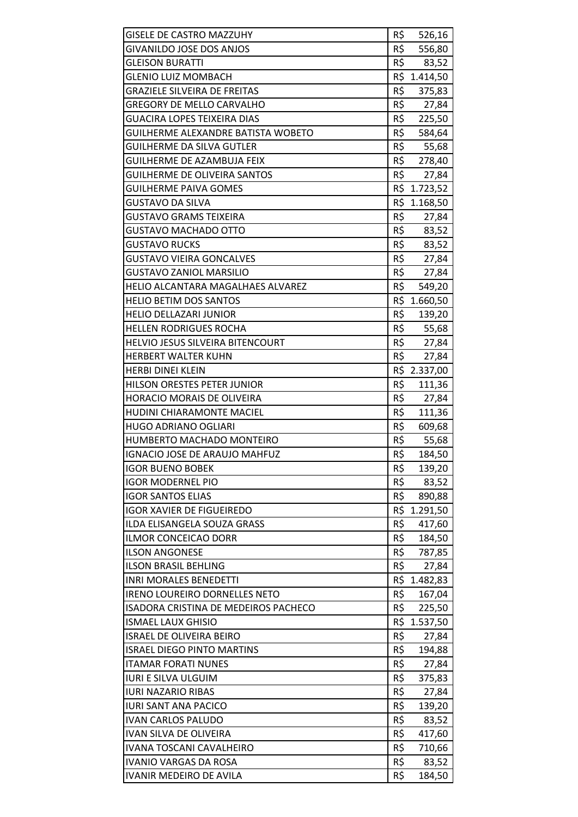| <b>GISELE DE CASTRO MAZZUHY</b><br><b>GIVANILDO JOSE DOS ANJOS</b> | R\$<br>R\$ | 526,16            |
|--------------------------------------------------------------------|------------|-------------------|
| <b>GLEISON BURATTI</b>                                             | R\$        | 556,80            |
| <b>GLENIO LUIZ MOMBACH</b>                                         | R\$        | 83,52<br>1.414,50 |
| <b>GRAZIELE SILVEIRA DE FREITAS</b>                                | R\$        |                   |
| <b>GREGORY DE MELLO CARVALHO</b>                                   |            | 375,83            |
|                                                                    | R\$<br>R\$ | 27,84             |
| GUACIRA LOPES TEIXEIRA DIAS                                        |            | 225,50            |
| GUILHERME ALEXANDRE BATISTA WOBETO                                 | R\$        | 584,64            |
| GUILHERME DA SILVA GUTLER                                          | R\$        | 55,68             |
| <b>GUILHERME DE AZAMBUJA FEIX</b>                                  | R\$        | 278,40            |
| <b>GUILHERME DE OLIVEIRA SANTOS</b>                                | R\$        | 27,84             |
| GUILHERME PAIVA GOMES                                              |            | R\$ 1.723,52      |
| GUSTAVO DA SILVA                                                   | R\$        | 1.168,50          |
| GUSTAVO GRAMS TEIXEIRA                                             | R\$        | 27,84             |
| GUSTAVO MACHADO OTTO                                               | R\$        | 83,52             |
| <b>GUSTAVO RUCKS</b>                                               | R\$        | 83,52             |
| GUSTAVO VIEIRA GONCALVES                                           | R\$        | 27,84             |
| <b>GUSTAVO ZANIOL MARSILIO</b>                                     | R\$        | 27,84             |
| HELIO ALCANTARA MAGALHAES ALVAREZ                                  | R\$        | 549,20            |
| <b>HELIO BETIM DOS SANTOS</b>                                      | R\$        | 1.660,50          |
| <b>HELIO DELLAZARI JUNIOR</b>                                      | R\$        | 139,20            |
| <b>HELLEN RODRIGUES ROCHA</b>                                      | R\$        | 55,68             |
| HELVIO JESUS SILVEIRA BITENCOURT                                   | R\$        | 27,84             |
| <b>HERBERT WALTER KUHN</b>                                         | R\$        | 27,84             |
| <b>HERBI DINEI KLEIN</b>                                           |            | R\$ 2.337,00      |
| HILSON ORESTES PETER JUNIOR                                        | R\$        | 111,36            |
| <b>HORACIO MORAIS DE OLIVEIRA</b>                                  | R\$        | 27,84             |
| <b>HUDINI CHIARAMONTE MACIEL</b>                                   | R\$        | 111,36            |
| <b>HUGO ADRIANO OGLIARI</b>                                        | R\$        | 609,68            |
| HUMBERTO MACHADO MONTEIRO                                          | R\$        | 55,68             |
| <b>IGNACIO JOSE DE ARAUJO MAHFUZ</b>                               | R\$        | 184,50            |
| <b>IGOR BUENO BOBEK</b>                                            | R\$        | 139,20            |
| <b>IGOR MODERNEL PIO</b>                                           | R\$        | 83,52             |
| <b>IGOR SANTOS ELIAS</b>                                           | R\$        | 890,88            |
| <b>IGOR XAVIER DE FIGUEIREDO</b>                                   | R\$        | 1.291,50          |
| ILDA ELISANGELA SOUZA GRASS                                        | R\$        | 417,60            |
| <b>ILMOR CONCEICAO DORR</b>                                        | R\$        | 184,50            |
| <b>ILSON ANGONESE</b>                                              | R\$        | 787,85            |
| <b>ILSON BRASIL BEHLING</b>                                        | R\$        | 27,84             |
| <b>INRI MORALES BENEDETTI</b>                                      | R\$        | 1.482,83          |
| <b>IRENO LOUREIRO DORNELLES NETO</b>                               | R\$        | 167,04            |
| ISADORA CRISTINA DE MEDEIROS PACHECO                               | R\$        | 225,50            |
| <b>ISMAEL LAUX GHISIO</b>                                          |            | R\$ 1.537,50      |
| <b>ISRAEL DE OLIVEIRA BEIRO</b>                                    | R\$        | 27,84             |
| <b>ISRAEL DIEGO PINTO MARTINS</b>                                  | R\$        | 194,88            |
| <b>ITAMAR FORATI NUNES</b>                                         | R\$        | 27,84             |
| <b>IURI E SILVA ULGUIM</b>                                         | R\$        | 375,83            |
| <b>IURI NAZARIO RIBAS</b>                                          | R\$        | 27,84             |
| <b>IURI SANT ANA PACICO</b>                                        | R\$        | 139,20            |
| <b>IVAN CARLOS PALUDO</b>                                          | R\$        | 83,52             |
| <b>IVAN SILVA DE OLIVEIRA</b>                                      | R\$        | 417,60            |
| IVANA TOSCANI CAVALHEIRO                                           | R\$        | 710,66            |
| <b>IVANIO VARGAS DA ROSA</b>                                       | R\$        | 83,52             |
| IVANIR MEDEIRO DE AVILA                                            | R\$        | 184,50            |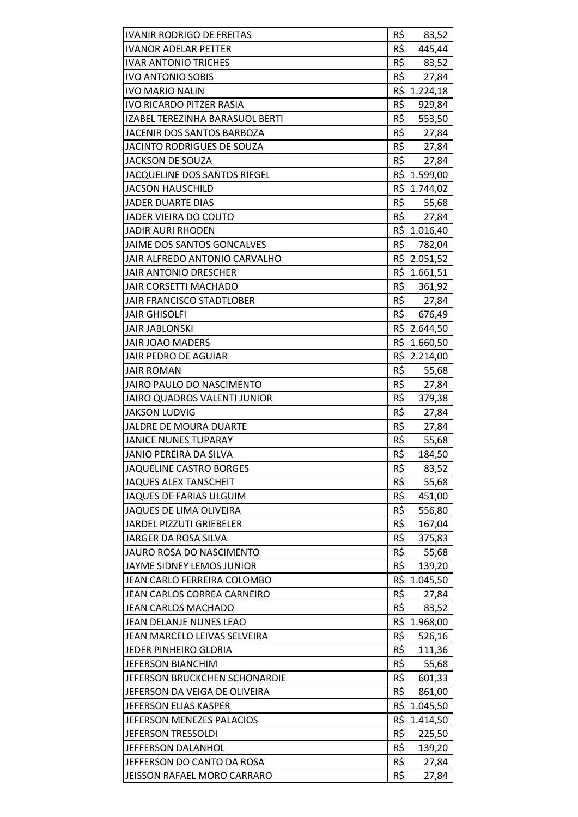| <b>IVANIR RODRIGO DE FREITAS</b>                          | R\$        | 83,52          |
|-----------------------------------------------------------|------------|----------------|
| <b>IVANOR ADELAR PETTER</b>                               | R\$        | 445,44         |
| <b>IVAR ANTONIO TRICHES</b>                               | R\$        | 83,52          |
| <b>IVO ANTONIO SOBIS</b>                                  | R\$        | 27,84          |
| <b>IVO MARIO NALIN</b>                                    |            | R\$ 1.224,18   |
| <b>IVO RICARDO PITZER RASIA</b>                           | R\$        | 929,84         |
| IZABEL TEREZINHA BARASUOL BERTI                           | R\$        | 553,50         |
| <b>JACENIR DOS SANTOS BARBOZA</b>                         | R\$        | 27,84          |
| JACINTO RODRIGUES DE SOUZA                                | R\$        | 27,84          |
| <b>JACKSON DE SOUZA</b>                                   | R\$        | 27,84          |
| JACQUELINE DOS SANTOS RIEGEL                              |            | R\$ 1.599,00   |
| <b>JACSON HAUSCHILD</b>                                   |            | R\$ 1.744,02   |
| <b>JADER DUARTE DIAS</b>                                  | R\$        | 55,68          |
| <b>JADER VIEIRA DO COUTO</b>                              | R\$        | 27,84          |
| <b>JADIR AURI RHODEN</b>                                  |            | R\$ 1.016,40   |
| JAIME DOS SANTOS GONCALVES                                | R\$        | 782,04         |
| <b>JAIR ALFREDO ANTONIO CARVALHO</b>                      |            | R\$ 2.051,52   |
| <b>JAIR ANTONIO DRESCHER</b>                              |            | R\$ 1.661,51   |
| <b>JAIR CORSETTI MACHADO</b>                              | R\$        | 361,92         |
| <b>JAIR FRANCISCO STADTLOBER</b>                          |            | R\$ 27,84      |
| <b>JAIR GHISOLFI</b>                                      |            | R\$ 676,49     |
|                                                           |            |                |
| <b>JAIR JABLONSKI</b>                                     |            | R\$ 2.644,50   |
| <b>JAIR JOAO MADERS</b><br><b>JAIR PEDRO DE AGUIAR</b>    |            | R\$ 1.660,50   |
|                                                           |            | R\$ 2.214,00   |
| <b>JAIR ROMAN</b>                                         | R\$        | 55,68          |
| JAIRO PAULO DO NASCIMENTO                                 | R\$        | 27,84          |
| JAIRO QUADROS VALENTI JUNIOR                              | R\$        | 379,38         |
|                                                           |            |                |
| <b>JAKSON LUDVIG</b>                                      | R\$        | 27,84          |
| JALDRE DE MOURA DUARTE                                    | R\$        | 27,84          |
| <b>JANICE NUNES TUPARAY</b>                               | R\$        | 55,68          |
| <b>JANIO PEREIRA DA SILVA</b>                             | R\$        | 184,50         |
| <b>JAQUELINE CASTRO BORGES</b>                            | R\$        | 83,52          |
| <b>JAQUES ALEX TANSCHEIT</b>                              | R\$        | 55,68          |
| <b>JAQUES DE FARIAS ULGUIM</b>                            | R\$        | 451,00         |
| <b>JAQUES DE LIMA OLIVEIRA</b>                            | R\$        | 556,80         |
| JARDEL PIZZUTI GRIEBELER                                  | R\$        | 167,04         |
| JARGER DA ROSA SILVA                                      | R\$        | 375,83         |
| JAURO ROSA DO NASCIMENTO                                  | R\$        | 55,68          |
| JAYME SIDNEY LEMOS JUNIOR                                 | R\$        | 139,20         |
| JEAN CARLO FERREIRA COLOMBO                               | R\$        | 1.045,50       |
| JEAN CARLOS CORREA CARNEIRO                               | R\$        | 27,84          |
| JEAN CARLOS MACHADO                                       | R\$        | 83,52          |
| JEAN DELANJE NUNES LEAO                                   |            | R\$ 1.968,00   |
| JEAN MARCELO LEIVAS SELVEIRA                              | R\$        | 526,16         |
| JEDER PINHEIRO GLORIA                                     | R\$        | 111,36         |
| <b>JEFERSON BIANCHIM</b>                                  | R\$        | 55,68          |
| JEFERSON BRUCKCHEN SCHONARDIE                             | R\$        | 601,33         |
| JEFERSON DA VEIGA DE OLIVEIRA                             | R\$        | 861,00         |
| JEFERSON ELIAS KASPER                                     | R\$        | 1.045,50       |
| JEFERSON MENEZES PALACIOS                                 | R\$        | 1.414,50       |
| JEFERSON TRESSOLDI                                        | R\$        | 225,50         |
| JEFFERSON DALANHOL                                        | R\$        | 139,20         |
| JEFFERSON DO CANTO DA ROSA<br>JEISSON RAFAEL MORO CARRARO | R\$<br>R\$ | 27,84<br>27,84 |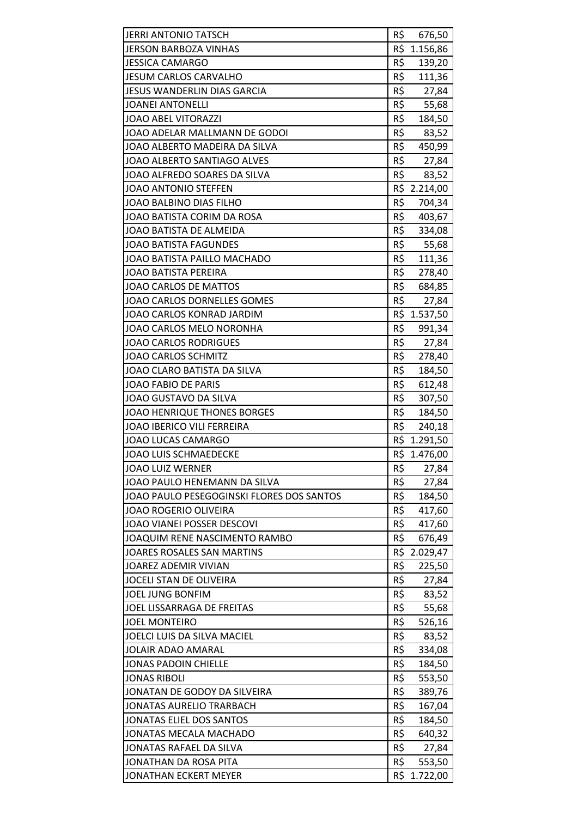| <b>JERRI ANTONIO TATSCH</b>               | R\$ | 676,50       |
|-------------------------------------------|-----|--------------|
| <b>JERSON BARBOZA VINHAS</b>              |     | R\$ 1.156,86 |
| <b>JESSICA CAMARGO</b>                    | R\$ | 139,20       |
| <b>JESUM CARLOS CARVALHO</b>              | R\$ | 111,36       |
| <b>JESUS WANDERLIN DIAS GARCIA</b>        | R\$ | 27,84        |
| <b>JOANEI ANTONELLI</b>                   | R\$ | 55,68        |
| <b>JOAO ABEL VITORAZZI</b>                | R\$ | 184,50       |
| JOAO ADELAR MALLMANN DE GODOI             | R\$ | 83,52        |
| JOAO ALBERTO MADEIRA DA SILVA             | R\$ | 450,99       |
| JOAO ALBERTO SANTIAGO ALVES               | R\$ | 27,84        |
| JOAO ALFREDO SOARES DA SILVA              | R\$ | 83,52        |
| JOAO ANTONIO STEFFEN                      |     | R\$ 2.214,00 |
| JOAO BALBINO DIAS FILHO                   | R\$ | 704,34       |
| JOAO BATISTA CORIM DA ROSA                | R\$ | 403,67       |
| JOAO BATISTA DE ALMEIDA                   | R\$ | 334,08       |
| <b>JOAO BATISTA FAGUNDES</b>              | R\$ | 55,68        |
| JOAO BATISTA PAILLO MACHADO               | R\$ | 111,36       |
| <b>JOAO BATISTA PEREIRA</b>               | R\$ | 278,40       |
| JOAO CARLOS DE MATTOS                     | R\$ | 684,85       |
| JOAO CARLOS DORNELLES GOMES               | R\$ | 27,84        |
| JOAO CARLOS KONRAD JARDIM                 |     | R\$ 1.537,50 |
| JOAO CARLOS MELO NORONHA                  | R\$ | 991,34       |
| <b>JOAO CARLOS RODRIGUES</b>              | R\$ | 27,84        |
| <b>JOAO CARLOS SCHMITZ</b>                | R\$ | 278,40       |
| JOAO CLARO BATISTA DA SILVA               | R\$ | 184,50       |
| <b>JOAO FABIO DE PARIS</b>                | R\$ | 612,48       |
| JOAO GUSTAVO DA SILVA                     | R\$ | 307,50       |
| <b>JOAO HENRIQUE THONES BORGES</b>        | R\$ | 184,50       |
| <b>JOAO IBERICO VILI FERREIRA</b>         | R\$ | 240,18       |
| JOAO LUCAS CAMARGO                        |     | R\$ 1.291,50 |
| <b>JOAO LUIS SCHMAEDECKE</b>              | R\$ | 1.476,00     |
| <b>JOAO LUIZ WERNER</b>                   | R\$ | 27,84        |
| JOAO PAULO HENEMANN DA SILVA              | R\$ | 27,84        |
| JOAO PAULO PESEGOGINSKI FLORES DOS SANTOS | R\$ | 184,50       |
| <b>JOAO ROGERIO OLIVEIRA</b>              | R\$ | 417,60       |
| JOAO VIANEI POSSER DESCOVI                | R\$ | 417,60       |
| JOAQUIM RENE NASCIMENTO RAMBO             | R\$ | 676,49       |
| JOARES ROSALES SAN MARTINS                |     | R\$ 2.029,47 |
| <b>JOAREZ ADEMIR VIVIAN</b>               | R\$ | 225,50       |
| JOCELI STAN DE OLIVEIRA                   | R\$ | 27,84        |
| JOEL JUNG BONFIM                          | R\$ | 83,52        |
| JOEL LISSARRAGA DE FREITAS                | R\$ | 55,68        |
| <b>JOEL MONTEIRO</b>                      | R\$ | 526,16       |
| JOELCI LUIS DA SILVA MACIEL               | R\$ | 83,52        |
| JOLAIR ADAO AMARAL                        | R\$ | 334,08       |
| <b>JONAS PADOIN CHIELLE</b>               | R\$ | 184,50       |
| <b>JONAS RIBOLI</b>                       | R\$ | 553,50       |
| JONATAN DE GODOY DA SILVEIRA              | R\$ | 389,76       |
| <b>JONATAS AURELIO TRARBACH</b>           | R\$ | 167,04       |
| <b>JONATAS ELIEL DOS SANTOS</b>           | R\$ | 184,50       |
| JONATAS MECALA MACHADO                    | R\$ | 640,32       |
| JONATAS RAFAEL DA SILVA                   | R\$ | 27,84        |
| JONATHAN DA ROSA PITA                     | R\$ | 553,50       |
| <b>JONATHAN ECKERT MEYER</b>              | R\$ | 1.722,00     |
|                                           |     |              |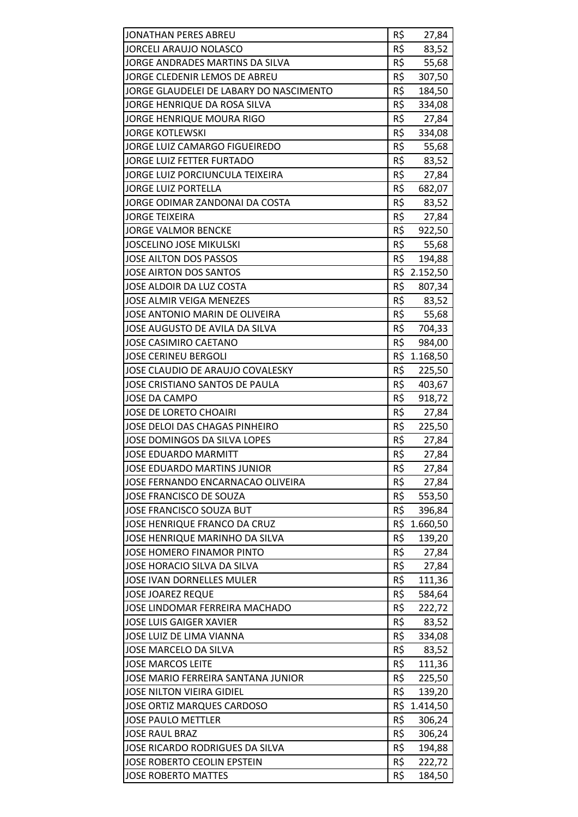| <b>JONATHAN PERES ABREU</b>             | R\$ | 27,84    |
|-----------------------------------------|-----|----------|
| <b>JORCELI ARAUJO NOLASCO</b>           | R\$ | 83,52    |
| JORGE ANDRADES MARTINS DA SILVA         | R\$ | 55,68    |
| JORGE CLEDENIR LEMOS DE ABREU           | R\$ | 307,50   |
| JORGE GLAUDELEI DE LABARY DO NASCIMENTO | R\$ | 184,50   |
| JORGE HENRIQUE DA ROSA SILVA            | R\$ | 334,08   |
| <b>JORGE HENRIQUE MOURA RIGO</b>        | R\$ | 27,84    |
| <b>JORGE KOTLEWSKI</b>                  | R\$ | 334,08   |
| JORGE LUIZ CAMARGO FIGUEIREDO           | R\$ | 55,68    |
| <b>JORGE LUIZ FETTER FURTADO</b>        | R\$ | 83,52    |
| JORGE LUIZ PORCIUNCULA TEIXEIRA         | R\$ | 27,84    |
| <b>JORGE LUIZ PORTELLA</b>              | R\$ | 682,07   |
| JORGE ODIMAR ZANDONAI DA COSTA          | R\$ | 83,52    |
| <b>JORGE TEIXEIRA</b>                   | R\$ | 27,84    |
| <b>JORGE VALMOR BENCKE</b>              | R\$ | 922,50   |
| <b>JOSCELINO JOSE MIKULSKI</b>          | R\$ | 55,68    |
| JOSE AILTON DOS PASSOS                  | R\$ | 194,88   |
| <b>JOSE AIRTON DOS SANTOS</b>           | R\$ | 2.152,50 |
| JOSE ALDOIR DA LUZ COSTA                | R\$ | 807,34   |
| <b>JOSE ALMIR VEIGA MENEZES</b>         | R\$ | 83,52    |
| JOSE ANTONIO MARIN DE OLIVEIRA          | R\$ | 55,68    |
| JOSE AUGUSTO DE AVILA DA SILVA          | R\$ | 704,33   |
| <b>JOSE CASIMIRO CAETANO</b>            | R\$ | 984,00   |
| <b>JOSE CERINEU BERGOLI</b>             | R\$ | 1.168,50 |
| JOSE CLAUDIO DE ARAUJO COVALESKY        | R\$ | 225,50   |
| JOSE CRISTIANO SANTOS DE PAULA          | R\$ | 403,67   |
| <b>JOSE DA CAMPO</b>                    | R\$ | 918,72   |
| <b>JOSE DE LORETO CHOAIRI</b>           | R\$ | 27,84    |
| JOSE DELOI DAS CHAGAS PINHEIRO          | R\$ | 225,50   |
| JOSE DOMINGOS DA SILVA LOPES            | R\$ | 27,84    |
| <b>JOSE EDUARDO MARMITT</b>             | R\$ | 27,84    |
| JOSE EDUARDO MARTINS JUNIOR             | R\$ | 27,84    |
| JOSE FERNANDO ENCARNACAO OLIVEIRA       | R\$ | 27,84    |
| JOSE FRANCISCO DE SOUZA                 | R\$ | 553,50   |
| JOSE FRANCISCO SOUZA BUT                | R\$ | 396,84   |
| JOSE HENRIQUE FRANCO DA CRUZ            | R\$ | 1.660,50 |
| JOSE HENRIQUE MARINHO DA SILVA          | R\$ | 139,20   |
| JOSE HOMERO FINAMOR PINTO               | R\$ | 27,84    |
| JOSE HORACIO SILVA DA SILVA             | R\$ | 27,84    |
| <b>JOSE IVAN DORNELLES MULER</b>        | R\$ | 111,36   |
| <b>JOSE JOAREZ REQUE</b>                | R\$ | 584,64   |
| JOSE LINDOMAR FERREIRA MACHADO          | R\$ | 222,72   |
| <b>JOSE LUIS GAIGER XAVIER</b>          | R\$ | 83,52    |
| JOSE LUIZ DE LIMA VIANNA                | R\$ | 334,08   |
| JOSE MARCELO DA SILVA                   | R\$ | 83,52    |
| <b>JOSE MARCOS LEITE</b>                | R\$ | 111,36   |
| JOSE MARIO FERREIRA SANTANA JUNIOR      | R\$ | 225,50   |
| <b>JOSE NILTON VIEIRA GIDIEL</b>        | R\$ | 139,20   |
| <b>JOSE ORTIZ MARQUES CARDOSO</b>       | R\$ | 1.414,50 |
| <b>JOSE PAULO METTLER</b>               | R\$ | 306,24   |
| <b>JOSE RAUL BRAZ</b>                   | R\$ | 306,24   |
| JOSE RICARDO RODRIGUES DA SILVA         | R\$ | 194,88   |
| JOSE ROBERTO CEOLIN EPSTEIN             | R\$ | 222,72   |
| <b>JOSE ROBERTO MATTES</b>              | R\$ | 184,50   |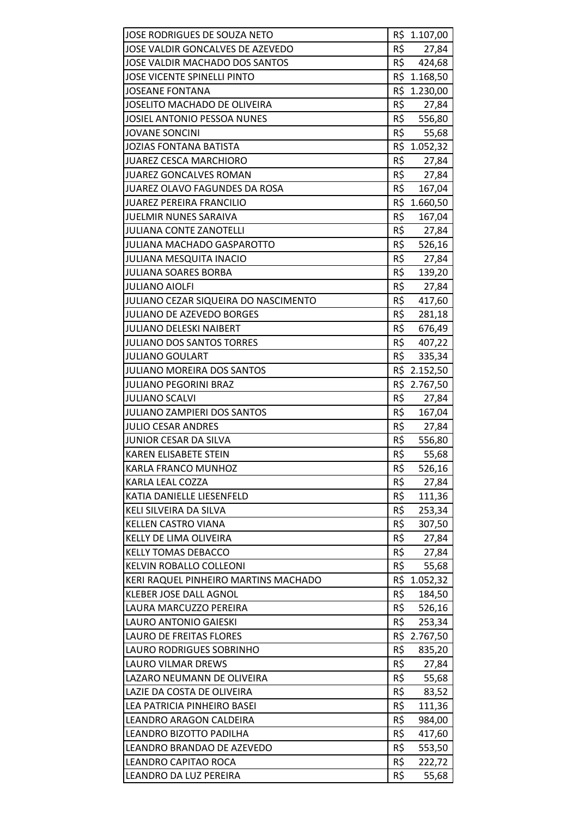| JOSE RODRIGUES DE SOUZA NETO                                  |     | R\$ 1.107,00 |
|---------------------------------------------------------------|-----|--------------|
| JOSE VALDIR GONCALVES DE AZEVEDO                              | R\$ | 27,84        |
| JOSE VALDIR MACHADO DOS SANTOS                                | R\$ | 424,68       |
| <b>JOSE VICENTE SPINELLI PINTO</b>                            |     | R\$ 1.168,50 |
| <b>JOSEANE FONTANA</b>                                        |     | R\$ 1.230,00 |
| JOSELITO MACHADO DE OLIVEIRA                                  | R\$ | 27,84        |
| <b>JOSIEL ANTONIO PESSOA NUNES</b>                            | R\$ | 556,80       |
| <b>JOVANE SONCINI</b>                                         | R\$ | 55,68        |
| <b>JOZIAS FONTANA BATISTA</b>                                 |     | R\$ 1.052,32 |
| <b>JUAREZ CESCA MARCHIORO</b>                                 | R\$ | 27,84        |
| JUAREZ GONCALVES ROMAN                                        | R\$ | 27,84        |
| JUAREZ OLAVO FAGUNDES DA ROSA                                 | R\$ | 167,04       |
| <b>JUAREZ PEREIRA FRANCILIO</b>                               |     | R\$ 1.660,50 |
| <b>JUELMIR NUNES SARAIVA</b>                                  | R\$ | 167,04       |
| <b>JULIANA CONTE ZANOTELLI</b>                                | R\$ | 27,84        |
| JULIANA MACHADO GASPAROTTO                                    |     | R\$ 526,16   |
|                                                               | R\$ |              |
| <b>JULIANA MESQUITA INACIO</b><br><b>JULIANA SOARES BORBA</b> | R\$ | 27,84        |
|                                                               | R\$ | 139,20       |
| <b>JULIANO AIOLFI</b>                                         |     | 27,84        |
| JULIANO CEZAR SIQUEIRA DO NASCIMENTO                          | R\$ | 417,60       |
| <b>JULIANO DE AZEVEDO BORGES</b>                              | R\$ | 281,18       |
| <b>JULIANO DELESKI NAIBERT</b>                                | R\$ | 676,49       |
| <b>JULIANO DOS SANTOS TORRES</b>                              | R\$ | 407,22       |
| <b>JULIANO GOULART</b>                                        | R\$ | 335,34       |
| <b>JULIANO MOREIRA DOS SANTOS</b>                             |     | R\$ 2.152,50 |
| <b>JULIANO PEGORINI BRAZ</b>                                  |     | R\$ 2.767,50 |
| <b>JULIANO SCALVI</b>                                         | R\$ | 27,84        |
| <b>JULIANO ZAMPIERI DOS SANTOS</b>                            | R\$ | 167,04       |
| <b>JULIO CESAR ANDRES</b>                                     | R\$ | 27,84        |
| JUNIOR CESAR DA SILVA                                         | R\$ | 556,80       |
| <b>KAREN ELISABETE STEIN</b>                                  | R\$ | 55,68        |
| KARLA FRANCO MUNHOZ                                           | R\$ | 526,16       |
| KARLA LEAL COZZA                                              | R\$ | 27,84        |
| KATIA DANIELLE LIESENFELD                                     | R\$ | 111,36       |
| KELI SILVEIRA DA SILVA                                        | R\$ | 253,34       |
| <b>KELLEN CASTRO VIANA</b>                                    | R\$ | 307,50       |
| KELLY DE LIMA OLIVEIRA                                        | R\$ | 27,84        |
| <b>KELLY TOMAS DEBACCO</b>                                    | R\$ | 27,84        |
| <b>KELVIN ROBALLO COLLEONI</b>                                | R\$ | 55,68        |
| KERI RAQUEL PINHEIRO MARTINS MACHADO                          | R\$ | 1.052,32     |
| <b>KLEBER JOSE DALL AGNOL</b>                                 | R\$ | 184,50       |
| LAURA MARCUZZO PEREIRA                                        | R\$ | 526,16       |
| <b>LAURO ANTONIO GAIESKI</b>                                  | R\$ | 253,34       |
| <b>LAURO DE FREITAS FLORES</b>                                | R\$ | 2.767,50     |
| LAURO RODRIGUES SOBRINHO                                      | R\$ | 835,20       |
| LAURO VILMAR DREWS                                            | R\$ | 27,84        |
| LAZARO NEUMANN DE OLIVEIRA                                    | R\$ | 55,68        |
| LAZIE DA COSTA DE OLIVEIRA                                    | R\$ | 83,52        |
| LEA PATRICIA PINHEIRO BASEI                                   | R\$ | 111,36       |
| LEANDRO ARAGON CALDEIRA                                       | R\$ | 984,00       |
| LEANDRO BIZOTTO PADILHA                                       | R\$ | 417,60       |
| LEANDRO BRANDAO DE AZEVEDO                                    | R\$ | 553,50       |
| LEANDRO CAPITAO ROCA                                          | R\$ | 222,72       |
| LEANDRO DA LUZ PEREIRA                                        | R\$ | 55,68        |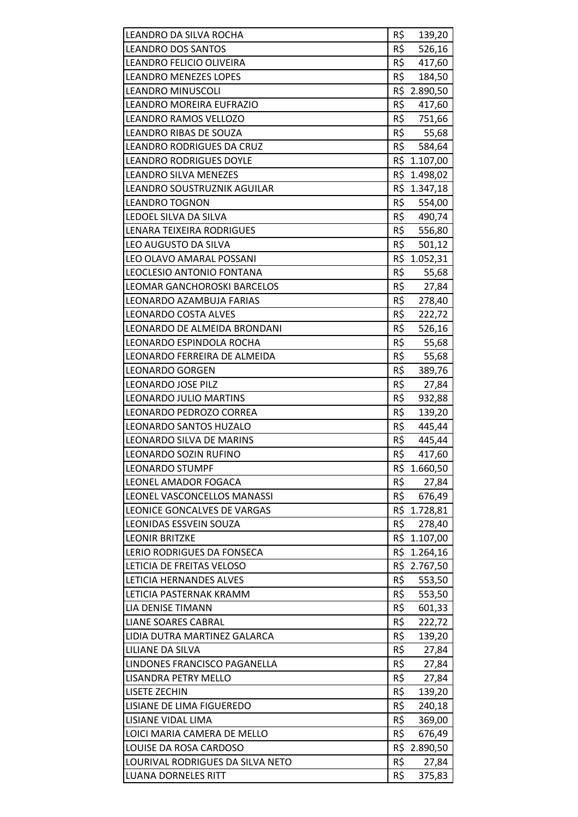| LEANDRO DA SILVA ROCHA                                       | R\$        | 139,20       |
|--------------------------------------------------------------|------------|--------------|
| <b>LEANDRO DOS SANTOS</b>                                    | R\$        | 526,16       |
| LEANDRO FELICIO OLIVEIRA                                     | R\$        | 417,60       |
| <b>LEANDRO MENEZES LOPES</b>                                 | R\$        | 184,50       |
| <b>LEANDRO MINUSCOLI</b>                                     |            | R\$ 2.890,50 |
| LEANDRO MOREIRA EUFRAZIO                                     | R\$        | 417,60       |
| LEANDRO RAMOS VELLOZO                                        | R\$        | 751,66       |
| LEANDRO RIBAS DE SOUZA                                       | R\$        | 55,68        |
| LEANDRO RODRIGUES DA CRUZ                                    | R\$        | 584,64       |
| <b>LEANDRO RODRIGUES DOYLE</b>                               |            | R\$ 1.107,00 |
| <b>LEANDRO SILVA MENEZES</b>                                 |            | R\$ 1.498,02 |
| LEANDRO SOUSTRUZNIK AGUILAR                                  |            | R\$ 1.347,18 |
| <b>LEANDRO TOGNON</b>                                        | R\$        | 554,00       |
| LEDOEL SILVA DA SILVA                                        | R\$        | 490,74       |
| LENARA TEIXEIRA RODRIGUES                                    | R\$        | 556,80       |
| LEO AUGUSTO DA SILVA                                         | R\$        | 501,12       |
| LEO OLAVO AMARAL POSSANI                                     |            | R\$ 1.052,31 |
| LEOCLESIO ANTONIO FONTANA                                    | R\$        | 55,68        |
| LEOMAR GANCHOROSKI BARCELOS                                  | R\$        | 27,84        |
| LEONARDO AZAMBUJA FARIAS                                     | R\$        | 278,40       |
| LEONARDO COSTA ALVES                                         | R\$        |              |
|                                                              |            | 222,72       |
| LEONARDO DE ALMEIDA BRONDANI                                 | R\$        | 526,16       |
| LEONARDO ESPINDOLA ROCHA                                     | R\$<br>R\$ | 55,68        |
| LEONARDO FERREIRA DE ALMEIDA                                 |            | 55,68        |
| <b>LEONARDO GORGEN</b>                                       | R\$<br>R\$ | 389,76       |
| <b>LEONARDO JOSE PILZ</b>                                    |            | 27,84        |
| <b>LEONARDO JULIO MARTINS</b>                                | R\$        | 932,88       |
| LEONARDO PEDROZO CORREA                                      | R\$<br>R\$ | 139,20       |
| LEONARDO SANTOS HUZALO                                       |            | 445,44       |
| LEONARDO SILVA DE MARINS                                     | R\$<br>R\$ | 445,44       |
| LEONARDO SOZIN RUFINO                                        |            | 417,60       |
| <b>LEONARDO STUMPF</b>                                       |            | R\$ 1.660,50 |
| LEONEL AMADOR FOGACA                                         | R\$<br>R\$ | 27,84        |
| LEONEL VASCONCELLOS MANASSI                                  |            | 676,49       |
| LEONICE GONCALVES DE VARGAS<br><b>LEONIDAS ESSVEIN SOUZA</b> | R\$        | R\$ 1.728,81 |
|                                                              |            | 278,40       |
| <b>LEONIR BRITZKE</b>                                        |            | R\$ 1.107,00 |
| LERIO RODRIGUES DA FONSECA                                   |            | R\$ 1.264,16 |
| LETICIA DE FREITAS VELOSO                                    |            | R\$ 2.767,50 |
| LETICIA HERNANDES ALVES                                      | R\$<br>R\$ | 553,50       |
| LETICIA PASTERNAK KRAMM                                      |            | 553,50       |
| LIA DENISE TIMANN                                            | R\$        | 601,33       |
| <b>LIANE SOARES CABRAL</b>                                   | R\$        | 222,72       |
| LIDIA DUTRA MARTINEZ GALARCA                                 | R\$        | 139,20       |
| LILIANE DA SILVA                                             | R\$        | 27,84        |
| LINDONES FRANCISCO PAGANELLA                                 | R\$<br>R\$ | 27,84        |
| LISANDRA PETRY MELLO                                         |            | 27,84        |
| <b>LISETE ZECHIN</b>                                         | R\$        | 139,20       |
| LISIANE DE LIMA FIGUEREDO                                    | R\$        | 240,18       |
| LISIANE VIDAL LIMA                                           | R\$        | 369,00       |
| LOICI MARIA CAMERA DE MELLO                                  | R\$        | 676,49       |
| LOUISE DA ROSA CARDOSO                                       |            | R\$ 2.890,50 |
| LOURIVAL RODRIGUES DA SILVA NETO                             | R\$        | 27,84        |
| LUANA DORNELES RITT                                          | R\$        | 375,83       |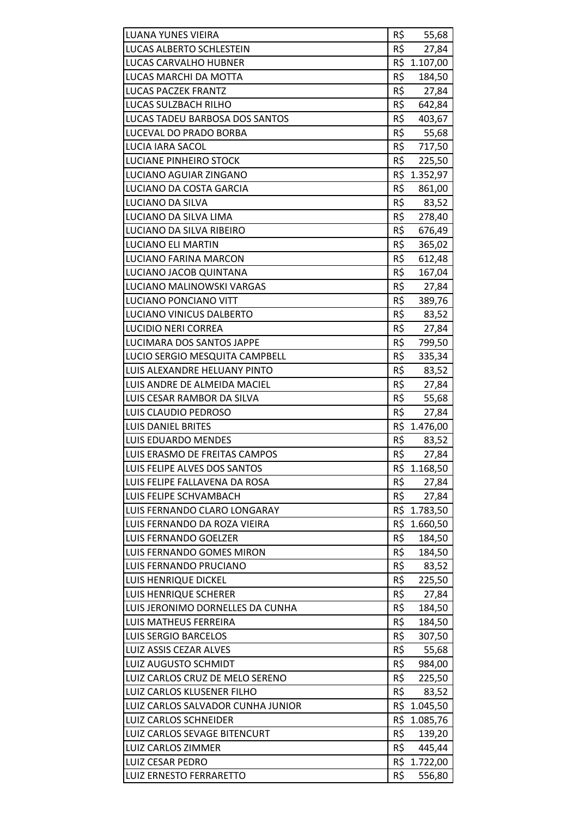| <b>LUANA YUNES VIEIRA</b>         | R\$ | 55,68        |
|-----------------------------------|-----|--------------|
| LUCAS ALBERTO SCHLESTEIN          | R\$ | 27,84        |
| LUCAS CARVALHO HUBNER             |     | R\$ 1.107,00 |
| LUCAS MARCHI DA MOTTA             | R\$ | 184,50       |
| <b>LUCAS PACZEK FRANTZ</b>        | R\$ | 27,84        |
| LUCAS SULZBACH RILHO              | R\$ | 642,84       |
| LUCAS TADEU BARBOSA DOS SANTOS    | R\$ | 403,67       |
| LUCEVAL DO PRADO BORBA            | R\$ | 55,68        |
| <b>LUCIA IARA SACOL</b>           | R\$ | 717,50       |
| LUCIANE PINHEIRO STOCK            | R\$ | 225,50       |
| LUCIANO AGUIAR ZINGANO            |     | R\$ 1.352,97 |
| LUCIANO DA COSTA GARCIA           | R\$ | 861,00       |
| LUCIANO DA SILVA                  | R\$ | 83,52        |
| LUCIANO DA SILVA LIMA             | R\$ | 278,40       |
| LUCIANO DA SILVA RIBEIRO          | R\$ | 676,49       |
| <b>LUCIANO ELI MARTIN</b>         | R\$ | 365,02       |
| LUCIANO FARINA MARCON             | R\$ | 612,48       |
| LUCIANO JACOB QUINTANA            | R\$ | 167,04       |
| LUCIANO MALINOWSKI VARGAS         | R\$ | 27,84        |
| LUCIANO PONCIANO VITT             | R\$ | 389,76       |
| LUCIANO VINICUS DALBERTO          | R\$ | 83,52        |
| <b>LUCIDIO NERI CORREA</b>        | R\$ | 27,84        |
| LUCIMARA DOS SANTOS JAPPE         | R\$ | 799,50       |
| LUCIO SERGIO MESQUITA CAMPBELL    | R\$ | 335,34       |
| LUIS ALEXANDRE HELUANY PINTO      | R\$ | 83,52        |
| LUIS ANDRE DE ALMEIDA MACIEL      | R\$ | 27,84        |
| LUIS CESAR RAMBOR DA SILVA        | R\$ | 55,68        |
| LUIS CLAUDIO PEDROSO              | R\$ | 27,84        |
| <b>LUIS DANIEL BRITES</b>         |     | R\$ 1.476,00 |
| <b>LUIS EDUARDO MENDES</b>        | R\$ | 83,52        |
| LUIS ERASMO DE FREITAS CAMPOS     | R\$ | 27,84        |
| LUIS FELIPE ALVES DOS SANTOS      |     | R\$ 1.168,50 |
| LUIS FELIPE FALLAVENA DA ROSA     | R\$ | 27,84        |
| LUIS FELIPE SCHVAMBACH            | R\$ | 27,84        |
| LUIS FERNANDO CLARO LONGARAY      |     | R\$ 1.783,50 |
| LUIS FERNANDO DA ROZA VIEIRA      | R\$ | 1.660,50     |
| <b>LUIS FERNANDO GOELZER</b>      | R\$ | 184,50       |
| LUIS FERNANDO GOMES MIRON         | R\$ | 184,50       |
| LUIS FERNANDO PRUCIANO            | R\$ | 83,52        |
| <b>LUIS HENRIQUE DICKEL</b>       | R\$ | 225,50       |
| LUIS HENRIQUE SCHERER             | R\$ | 27,84        |
| LUIS JERONIMO DORNELLES DA CUNHA  | R\$ | 184,50       |
| LUIS MATHEUS FERREIRA             | R\$ | 184,50       |
| LUIS SERGIO BARCELOS              | R\$ | 307,50       |
| LUIZ ASSIS CEZAR ALVES            | R\$ | 55,68        |
| LUIZ AUGUSTO SCHMIDT              | R\$ | 984,00       |
| LUIZ CARLOS CRUZ DE MELO SERENO   | R\$ | 225,50       |
| LUIZ CARLOS KLUSENER FILHO        | R\$ | 83,52        |
| LUIZ CARLOS SALVADOR CUNHA JUNIOR | R\$ | 1.045,50     |
| LUIZ CARLOS SCHNEIDER             | R\$ | 1.085,76     |
| LUIZ CARLOS SEVAGE BITENCURT      | R\$ | 139,20       |
| LUIZ CARLOS ZIMMER                | R\$ | 445,44       |
| <b>LUIZ CESAR PEDRO</b>           |     | R\$ 1.722,00 |
| LUIZ ERNESTO FERRARETTO           | R\$ | 556,80       |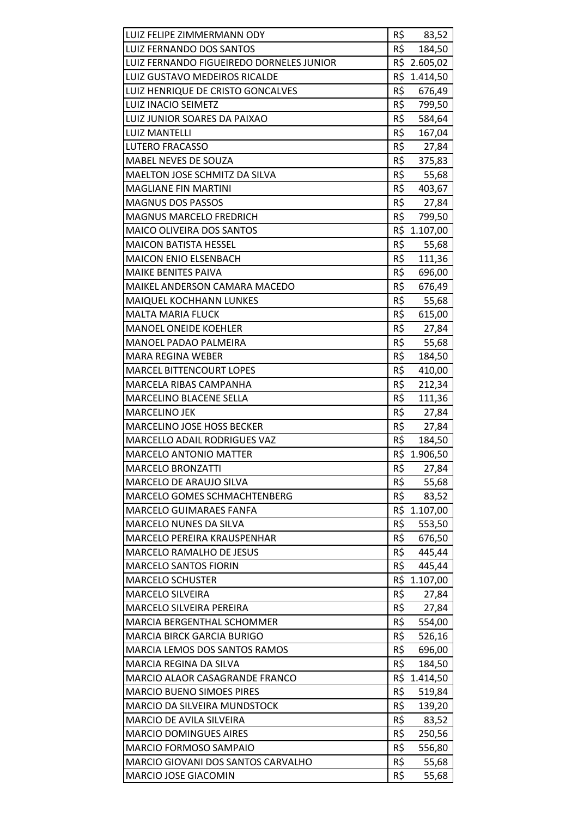| LUIZ FELIPE ZIMMERMANN ODY               | R\$ | 83,52        |
|------------------------------------------|-----|--------------|
| LUIZ FERNANDO DOS SANTOS                 | R\$ | 184,50       |
| LUIZ FERNANDO FIGUEIREDO DORNELES JUNIOR |     | R\$ 2.605,02 |
| LUIZ GUSTAVO MEDEIROS RICALDE            |     | R\$ 1.414,50 |
| LUIZ HENRIQUE DE CRISTO GONCALVES        | R\$ | 676,49       |
| <b>LUIZ INACIO SEIMETZ</b>               | R\$ | 799,50       |
| LUIZ JUNIOR SOARES DA PAIXAO             | R\$ | 584,64       |
| <b>LUIZ MANTELLI</b>                     | R\$ | 167,04       |
| <b>LUTERO FRACASSO</b>                   | R\$ | 27,84        |
| MABEL NEVES DE SOUZA                     | R\$ | 375,83       |
| MAELTON JOSE SCHMITZ DA SILVA            | R\$ | 55,68        |
| <b>MAGLIANE FIN MARTINI</b>              | R\$ | 403,67       |
| <b>MAGNUS DOS PASSOS</b>                 | R\$ | 27,84        |
| <b>MAGNUS MARCELO FREDRICH</b>           | R\$ | 799,50       |
| <b>MAICO OLIVEIRA DOS SANTOS</b>         |     | R\$ 1.107,00 |
| <b>MAICON BATISTA HESSEL</b>             | R\$ | 55,68        |
| MAICON ENIO ELSENBACH                    | R\$ | 111,36       |
| <b>MAIKE BENITES PAIVA</b>               | R\$ | 696,00       |
| MAIKEL ANDERSON CAMARA MACEDO            | R\$ | 676,49       |
| MAIQUEL KOCHHANN LUNKES                  | R\$ | 55,68        |
| <b>MALTA MARIA FLUCK</b>                 | R\$ | 615,00       |
| <b>MANOEL ONEIDE KOEHLER</b>             | R\$ | 27,84        |
| MANOEL PADAO PALMEIRA                    | R\$ | 55,68        |
| <b>MARA REGINA WEBER</b>                 | R\$ | 184,50       |
| <b>MARCEL BITTENCOURT LOPES</b>          | R\$ | 410,00       |
| MARCELA RIBAS CAMPANHA                   | R\$ | 212,34       |
| MARCELINO BLACENE SELLA                  | R\$ | 111,36       |
| <b>MARCELINO JEK</b>                     | R\$ | 27,84        |
| MARCELINO JOSE HOSS BECKER               | R\$ | 27,84        |
| MARCELLO ADAIL RODRIGUES VAZ             | R\$ | 184,50       |
| <b>MARCELO ANTONIO MATTER</b>            |     | R\$ 1.906,50 |
| <b>MARCELO BRONZATTI</b>                 | R\$ | 27,84        |
| MARCELO DE ARAUJO SILVA                  | R\$ | 55,68        |
| MARCELO GOMES SCHMACHTENBERG             | R\$ | 83,52        |
| MARCELO GUIMARAES FANFA                  |     | R\$ 1.107,00 |
| <b>MARCELO NUNES DA SILVA</b>            | R\$ | 553,50       |
| MARCELO PEREIRA KRAUSPENHAR              | R\$ | 676,50       |
| <b>MARCELO RAMALHO DE JESUS</b>          | R\$ | 445,44       |
| <b>MARCELO SANTOS FIORIN</b>             | R\$ | 445,44       |
| <b>MARCELO SCHUSTER</b>                  | R\$ | 1.107,00     |
| <b>MARCELO SILVEIRA</b>                  | R\$ | 27,84        |
| MARCELO SILVEIRA PEREIRA                 | R\$ | 27,84        |
| <b>MARCIA BERGENTHAL SCHOMMER</b>        | R\$ | 554,00       |
| <b>MARCIA BIRCK GARCIA BURIGO</b>        | R\$ | 526,16       |
| <b>MARCIA LEMOS DOS SANTOS RAMOS</b>     | R\$ | 696,00       |
| <b>MARCIA REGINA DA SILVA</b>            | R\$ | 184,50       |
| MARCIO ALAOR CASAGRANDE FRANCO           | R\$ | 1.414,50     |
| <b>MARCIO BUENO SIMOES PIRES</b>         | R\$ | 519,84       |
| MARCIO DA SILVEIRA MUNDSTOCK             | R\$ | 139,20       |
| MARCIO DE AVILA SILVEIRA                 | R\$ | 83,52        |
| <b>MARCIO DOMINGUES AIRES</b>            | R\$ | 250,56       |
| MARCIO FORMOSO SAMPAIO                   | R\$ | 556,80       |
| MARCIO GIOVANI DOS SANTOS CARVALHO       | R\$ | 55,68        |
| MARCIO JOSE GIACOMIN                     | R\$ | 55,68        |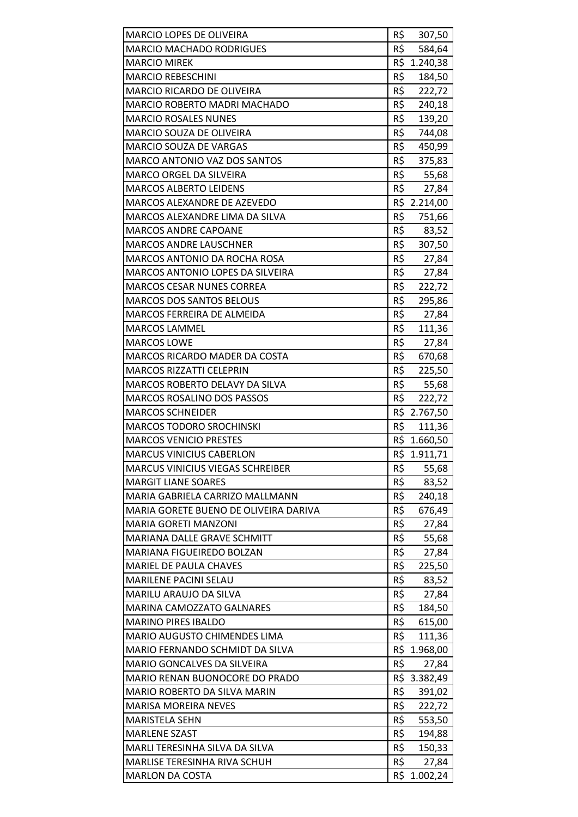| MARCIO LOPES DE OLIVEIRA                                      | R\$        | 307,50            |
|---------------------------------------------------------------|------------|-------------------|
| <b>MARCIO MACHADO RODRIGUES</b>                               | R\$        | 584,64            |
| <b>MARCIO MIREK</b>                                           | R\$        | 1.240,38          |
| <b>MARCIO REBESCHINI</b>                                      | R\$        | 184,50            |
| MARCIO RICARDO DE OLIVEIRA                                    | R\$        | 222,72            |
| MARCIO ROBERTO MADRI MACHADO                                  | R\$        | 240,18            |
| <b>MARCIO ROSALES NUNES</b>                                   | R\$        | 139,20            |
| <b>MARCIO SOUZA DE OLIVEIRA</b>                               | R\$        | 744,08            |
| MARCIO SOUZA DE VARGAS                                        | R\$        | 450,99            |
| <b>MARCO ANTONIO VAZ DOS SANTOS</b>                           | R\$        | 375,83            |
| <b>MARCO ORGEL DA SILVEIRA</b>                                | R\$        | 55,68             |
| <b>MARCOS ALBERTO LEIDENS</b>                                 | R\$        | 27,84             |
| MARCOS ALEXANDRE DE AZEVEDO                                   |            | R\$ 2.214,00      |
| MARCOS ALEXANDRE LIMA DA SILVA                                | R\$        | 751,66            |
| <b>MARCOS ANDRE CAPOANE</b>                                   | R\$        | 83,52             |
| <b>MARCOS ANDRE LAUSCHNER</b>                                 | R\$        | 307,50            |
| <b>MARCOS ANTONIO DA ROCHA ROSA</b>                           | R\$        | 27,84             |
| <b>MARCOS ANTONIO LOPES DA SILVEIRA</b>                       | R\$        | 27,84             |
| MARCOS CESAR NUNES CORREA                                     | R\$        | 222,72            |
| <b>MARCOS DOS SANTOS BELOUS</b>                               | R\$        | 295,86            |
| MARCOS FERREIRA DE ALMEIDA                                    | R\$        |                   |
| <b>MARCOS LAMMEL</b>                                          | R\$        | 27,84             |
|                                                               | R\$        | 111,36            |
| <b>MARCOS LOWE</b><br>MARCOS RICARDO MADER DA COSTA           | R\$        | 27,84             |
|                                                               | R\$        | 670,68            |
| <b>MARCOS RIZZATTI CELEPRIN</b>                               |            | 225,50            |
| MARCOS ROBERTO DELAVY DA SILVA                                | R\$        | 55,68             |
|                                                               |            |                   |
| <b>MARCOS ROSALINO DOS PASSOS</b>                             | R\$        | 222,72            |
| <b>MARCOS SCHNEIDER</b>                                       |            | R\$ 2.767,50      |
| <b>MARCOS TODORO SROCHINSKI</b>                               | R\$        | 111,36            |
| <b>MARCOS VENICIO PRESTES</b>                                 |            | R\$ 1.660,50      |
| <b>MARCUS VINICIUS CABERLON</b>                               |            | R\$ 1.911,71      |
| <b>MARCUS VINICIUS VIEGAS SCHREIBER</b>                       | R\$        | 55,68             |
| <b>MARGIT LIANE SOARES</b>                                    | R\$        | 83,52             |
| MARIA GABRIELA CARRIZO MALLMANN                               | R\$        | 240,18            |
| MARIA GORETE BUENO DE OLIVEIRA DARIVA                         | R\$        | 676,49            |
| <b>MARIA GORETI MANZONI</b>                                   | R\$        | 27,84             |
| MARIANA DALLE GRAVE SCHMITT                                   | R\$        | 55,68             |
| <b>MARIANA FIGUEIREDO BOLZAN</b>                              | R\$        | 27,84             |
| MARIEL DE PAULA CHAVES                                        | R\$        | 225,50            |
| <b>MARILENE PACINI SELAU</b>                                  | R\$        | 83,52             |
| MARILU ARAUJO DA SILVA                                        | R\$        | 27,84             |
| <b>MARINA CAMOZZATO GALNARES</b>                              | R\$        | 184,50            |
| <b>MARINO PIRES IBALDO</b>                                    | R\$        | 615,00            |
| MARIO AUGUSTO CHIMENDES LIMA                                  | R\$        | 111,36            |
| MARIO FERNANDO SCHMIDT DA SILVA                               | R\$        | 1.968,00          |
| MARIO GONCALVES DA SILVEIRA                                   | R\$        | 27,84             |
| MARIO RENAN BUONOCORE DO PRADO                                |            | R\$ 3.382,49      |
| MARIO ROBERTO DA SILVA MARIN                                  | R\$        | 391,02            |
| <b>MARISA MOREIRA NEVES</b>                                   | R\$        | 222,72            |
| <b>MARISTELA SEHN</b>                                         | R\$        | 553,50            |
| <b>MARLENE SZAST</b>                                          | R\$        | 194,88            |
| MARLI TERESINHA SILVA DA SILVA                                | R\$        | 150,33            |
| <b>MARLISE TERESINHA RIVA SCHUH</b><br><b>MARLON DA COSTA</b> | R\$<br>R\$ | 27,84<br>1.002,24 |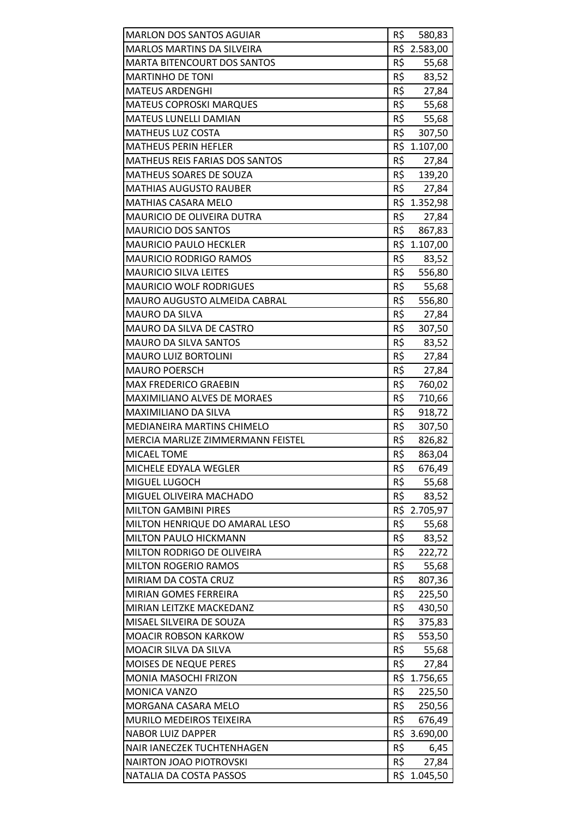| <b>MARLON DOS SANTOS AGUIAR</b>       | R\$ | 580,83       |
|---------------------------------------|-----|--------------|
| <b>MARLOS MARTINS DA SILVEIRA</b>     |     | R\$ 2.583,00 |
| <b>MARTA BITENCOURT DOS SANTOS</b>    | R\$ | 55,68        |
| <b>MARTINHO DE TONI</b>               | R\$ | 83,52        |
| <b>MATEUS ARDENGHI</b>                | R\$ | 27,84        |
| <b>MATEUS COPROSKI MARQUES</b>        | R\$ | 55,68        |
| <b>MATEUS LUNELLI DAMIAN</b>          | R\$ | 55,68        |
| <b>MATHEUS LUZ COSTA</b>              | R\$ | 307,50       |
| <b>MATHEUS PERIN HEFLER</b>           |     | R\$ 1.107,00 |
| <b>MATHEUS REIS FARIAS DOS SANTOS</b> | R\$ | 27,84        |
| MATHEUS SOARES DE SOUZA               | R\$ | 139,20       |
| <b>MATHIAS AUGUSTO RAUBER</b>         | R\$ | 27,84        |
| <b>MATHIAS CASARA MELO</b>            |     | R\$ 1.352,98 |
| MAURICIO DE OLIVEIRA DUTRA            | R\$ | 27,84        |
| <b>MAURICIO DOS SANTOS</b>            | R\$ | 867,83       |
| <b>MAURICIO PAULO HECKLER</b>         |     | R\$ 1.107,00 |
| <b>MAURICIO RODRIGO RAMOS</b>         | R\$ | 83,52        |
| <b>MAURICIO SILVA LEITES</b>          | R\$ | 556,80       |
| <b>MAURICIO WOLF RODRIGUES</b>        | R\$ | 55,68        |
| <b>MAURO AUGUSTO ALMEIDA CABRAL</b>   | R\$ | 556,80       |
| <b>MAURO DA SILVA</b>                 | R\$ | 27,84        |
| MAURO DA SILVA DE CASTRO              | R\$ | 307,50       |
| <b>MAURO DA SILVA SANTOS</b>          | R\$ | 83,52        |
| <b>MAURO LUIZ BORTOLINI</b>           | R\$ | 27,84        |
| <b>MAURO POERSCH</b>                  | R\$ | 27,84        |
| <b>MAX FREDERICO GRAEBIN</b>          | R\$ | 760,02       |
| <b>MAXIMILIANO ALVES DE MORAES</b>    | R\$ | 710,66       |
| MAXIMILIANO DA SILVA                  | R\$ | 918,72       |
| <b>MEDIANEIRA MARTINS CHIMELO</b>     | R\$ | 307,50       |
| MERCIA MARLIZE ZIMMERMANN FEISTEL     | R\$ | 826,82       |
| MICAEL TOME                           | R\$ | 863,04       |
| MICHELE EDYALA WEGLER                 | R\$ | 676,49       |
| MIGUEL LUGOCH                         | R\$ | 55,68        |
| MIGUEL OLIVEIRA MACHADO               | R\$ | 83,52        |
| <b>MILTON GAMBINI PIRES</b>           | R\$ | 2.705,97     |
| MILTON HENRIQUE DO AMARAL LESO        | R\$ | 55,68        |
| MILTON PAULO HICKMANN                 | R\$ | 83,52        |
| MILTON RODRIGO DE OLIVEIRA            | R\$ | 222,72       |
| <b>MILTON ROGERIO RAMOS</b>           | R\$ | 55,68        |
| MIRIAM DA COSTA CRUZ                  | R\$ | 807,36       |
| MIRIAN GOMES FERREIRA                 | R\$ | 225,50       |
| MIRIAN LEITZKE MACKEDANZ              | R\$ | 430,50       |
| MISAEL SILVEIRA DE SOUZA              | R\$ | 375,83       |
| <b>MOACIR ROBSON KARKOW</b>           | R\$ | 553,50       |
| MOACIR SILVA DA SILVA                 | R\$ | 55,68        |
| MOISES DE NEQUE PERES                 | R\$ | 27,84        |
| MONIA MASOCHI FRIZON                  |     | R\$ 1.756,65 |
| <b>MONICA VANZO</b>                   | R\$ | 225,50       |
| MORGANA CASARA MELO                   | R\$ | 250,56       |
| <b>MURILO MEDEIROS TEIXEIRA</b>       | R\$ | 676,49       |
| <b>NABOR LUIZ DAPPER</b>              | R\$ | 3.690,00     |
| <b>NAIR IANECZEK TUCHTENHAGEN</b>     | R\$ | 6,45         |
| <b>NAIRTON JOAO PIOTROVSKI</b>        | R\$ | 27,84        |
| NATALIA DA COSTA PASSOS               | R\$ | 1.045,50     |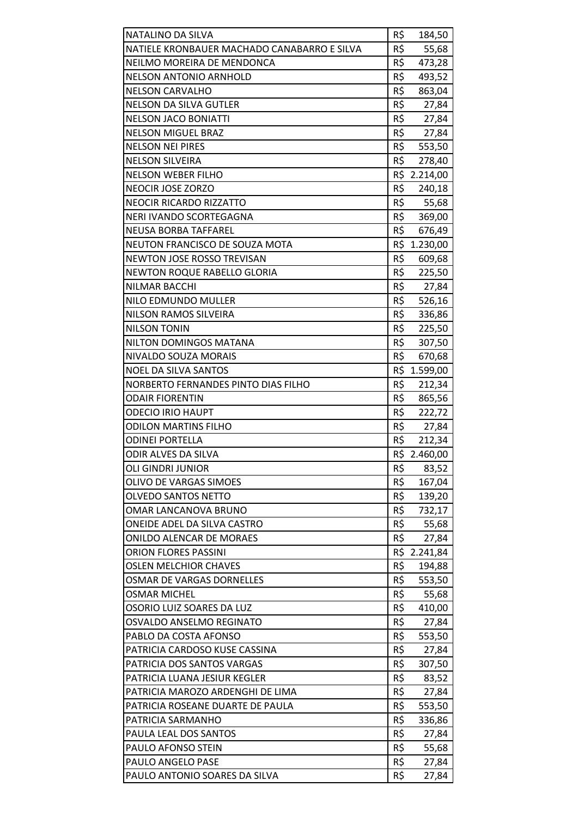| NATALINO DA SILVA                           | R\$ | 184,50       |
|---------------------------------------------|-----|--------------|
| NATIELE KRONBAUER MACHADO CANABARRO E SILVA | R\$ | 55,68        |
| NEILMO MOREIRA DE MENDONCA                  | R\$ | 473,28       |
| <b>NELSON ANTONIO ARNHOLD</b>               | R\$ | 493,52       |
| <b>NELSON CARVALHO</b>                      | R\$ | 863,04       |
| <b>NELSON DA SILVA GUTLER</b>               | R\$ | 27,84        |
| <b>NELSON JACO BONIATTI</b>                 | R\$ | 27,84        |
| <b>NELSON MIGUEL BRAZ</b>                   | R\$ | 27,84        |
| <b>NELSON NEI PIRES</b>                     | R\$ | 553,50       |
| <b>NELSON SILVEIRA</b>                      | R\$ | 278,40       |
| <b>NELSON WEBER FILHO</b>                   |     | R\$ 2.214,00 |
| NEOCIR JOSE ZORZO                           | R\$ | 240,18       |
| NEOCIR RICARDO RIZZATTO                     | R\$ | 55,68        |
| NERI IVANDO SCORTEGAGNA                     | R\$ | 369,00       |
| <b>NEUSA BORBA TAFFAREL</b>                 | R\$ | 676,49       |
| NEUTON FRANCISCO DE SOUZA MOTA              |     | R\$ 1.230,00 |
| <b>NEWTON JOSE ROSSO TREVISAN</b>           | R\$ | 609,68       |
| <b>NEWTON ROQUE RABELLO GLORIA</b>          | R\$ | 225,50       |
| NILMAR BACCHI                               | R\$ | 27,84        |
| NILO EDMUNDO MULLER                         | R\$ | 526,16       |
| NILSON RAMOS SILVEIRA                       | R\$ | 336,86       |
| <b>NILSON TONIN</b>                         | R\$ | 225,50       |
| NILTON DOMINGOS MATANA                      | R\$ | 307,50       |
| NIVALDO SOUZA MORAIS                        | R\$ | 670,68       |
| <b>NOEL DA SILVA SANTOS</b>                 | R\$ | 1.599,00     |
| NORBERTO FERNANDES PINTO DIAS FILHO         | R\$ | 212,34       |
| <b>ODAIR FIORENTIN</b>                      | R\$ | 865,56       |
| <b>ODECIO IRIO HAUPT</b>                    | R\$ | 222,72       |
| <b>ODILON MARTINS FILHO</b>                 | R\$ | 27,84        |
| <b>ODINEI PORTELLA</b>                      | R\$ | 212,34       |
| ODIR ALVES DA SILVA                         |     | R\$ 2.460,00 |
| <b>OLI GINDRI JUNIOR</b>                    | R\$ | 83,52        |
| OLIVO DE VARGAS SIMOES                      | R\$ | 167,04       |
| <b>OLVEDO SANTOS NETTO</b>                  | R\$ | 139,20       |
| OMAR LANCANOVA BRUNO                        | R\$ | 732,17       |
| ONEIDE ADEL DA SILVA CASTRO                 | R\$ | 55,68        |
| <b>ONILDO ALENCAR DE MORAES</b>             | R\$ | 27,84        |
| <b>ORION FLORES PASSINI</b>                 |     | R\$ 2.241,84 |
| <b>OSLEN MELCHIOR CHAVES</b>                | R\$ | 194,88       |
| OSMAR DE VARGAS DORNELLES                   | R\$ | 553,50       |
| <b>OSMAR MICHEL</b>                         | R\$ | 55,68        |
| OSORIO LUIZ SOARES DA LUZ                   | R\$ | 410,00       |
| OSVALDO ANSELMO REGINATO                    | R\$ | 27,84        |
| PABLO DA COSTA AFONSO                       | R\$ | 553,50       |
| PATRICIA CARDOSO KUSE CASSINA               | R\$ | 27,84        |
| PATRICIA DOS SANTOS VARGAS                  | R\$ | 307,50       |
| PATRICIA LUANA JESIUR KEGLER                | R\$ | 83,52        |
| PATRICIA MAROZO ARDENGHI DE LIMA            | R\$ | 27,84        |
| PATRICIA ROSEANE DUARTE DE PAULA            | R\$ | 553,50       |
| PATRICIA SARMANHO                           | R\$ | 336,86       |
| PAULA LEAL DOS SANTOS                       | R\$ | 27,84        |
| PAULO AFONSO STEIN                          | R\$ | 55,68        |
| PAULO ANGELO PASE                           | R\$ | 27,84        |
| PAULO ANTONIO SOARES DA SILVA               | R\$ | 27,84        |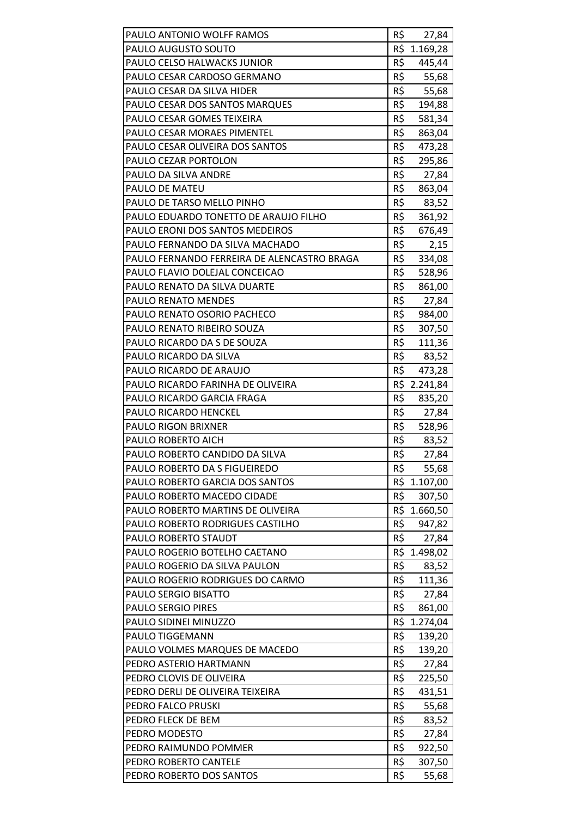| PAULO ANTONIO WOLFF RAMOS                          | R\$        | 27,84           |
|----------------------------------------------------|------------|-----------------|
| PAULO AUGUSTO SOUTO                                |            | R\$ 1.169,28    |
| PAULO CELSO HALWACKS JUNIOR                        | R\$        | 445,44          |
| PAULO CESAR CARDOSO GERMANO                        | R\$        | 55,68           |
| PAULO CESAR DA SILVA HIDER                         | R\$        | 55,68           |
| PAULO CESAR DOS SANTOS MARQUES                     | R\$        | 194,88          |
| PAULO CESAR GOMES TEIXEIRA                         | R\$        | 581,34          |
| PAULO CESAR MORAES PIMENTEL                        | R\$        | 863,04          |
| PAULO CESAR OLIVEIRA DOS SANTOS                    | R\$        | 473,28          |
| PAULO CEZAR PORTOLON                               | R\$        | 295,86          |
| PAULO DA SILVA ANDRE                               | R\$        | 27,84           |
| PAULO DE MATEU                                     | R\$        | 863,04          |
| PAULO DE TARSO MELLO PINHO                         | R\$        | 83,52           |
| PAULO EDUARDO TONETTO DE ARAUJO FILHO              | R\$        | 361,92          |
| PAULO ERONI DOS SANTOS MEDEIROS                    | R\$        | 676,49          |
| PAULO FERNANDO DA SILVA MACHADO                    | R\$        | 2,15            |
| PAULO FERNANDO FERREIRA DE ALENCASTRO BRAGA        | R\$        | 334,08          |
| PAULO FLAVIO DOLEJAL CONCEICAO                     | R\$        | 528,96          |
| PAULO RENATO DA SILVA DUARTE                       | R\$        | 861,00          |
| PAULO RENATO MENDES                                | R\$        | 27,84           |
| PAULO RENATO OSORIO PACHECO                        | R\$        | 984,00          |
| PAULO RENATO RIBEIRO SOUZA                         | R\$        | 307,50          |
| PAULO RICARDO DA S DE SOUZA                        | R\$        | 111,36          |
| PAULO RICARDO DA SILVA                             | R\$        | 83,52           |
| PAULO RICARDO DE ARAUJO                            | R\$        | 473,28          |
| PAULO RICARDO FARINHA DE OLIVEIRA                  |            | R\$ 2.241,84    |
| PAULO RICARDO GARCIA FRAGA                         | R\$        | 835,20          |
| PAULO RICARDO HENCKEL                              | R\$        | 27,84           |
| <b>PAULO RIGON BRIXNER</b>                         | R\$        | 528,96          |
| PAULO ROBERTO AICH                                 | R\$        | 83,52           |
| PAULO ROBERTO CANDIDO DA SILVA                     | R\$        | 27,84           |
| PAULO ROBERTO DA S FIGUEIREDO                      | R\$        | 55,68           |
| PAULO ROBERTO GARCIA DOS SANTOS                    | R\$        | 1.107,00        |
| PAULO ROBERTO MACEDO CIDADE                        | R\$        | 307,50          |
| PAULO ROBERTO MARTINS DE OLIVEIRA                  | R\$        | 1.660,50        |
| PAULO ROBERTO RODRIGUES CASTILHO                   | R\$        | 947,82          |
| PAULO ROBERTO STAUDT                               | R\$        | 27,84           |
| PAULO ROGERIO BOTELHO CAETANO                      | R\$        | 1.498,02        |
| PAULO ROGERIO DA SILVA PAULON                      | R\$        | 83,52           |
| PAULO ROGERIO RODRIGUES DO CARMO                   | R\$        | 111,36          |
| PAULO SERGIO BISATTO                               | R\$        | 27,84           |
| <b>PAULO SERGIO PIRES</b>                          | R\$        | 861,00          |
| PAULO SIDINEI MINUZZO                              | R\$<br>R\$ | 1.274,04        |
| PAULO TIGGEMANN<br>PAULO VOLMES MARQUES DE MACEDO  | R\$        | 139,20          |
|                                                    |            | 139,20          |
| PEDRO ASTERIO HARTMANN<br>PEDRO CLOVIS DE OLIVEIRA | R\$<br>R\$ | 27,84<br>225,50 |
| PEDRO DERLI DE OLIVEIRA TEIXEIRA                   | R\$        | 431,51          |
| PEDRO FALCO PRUSKI                                 | R\$        | 55,68           |
| PEDRO FLECK DE BEM                                 | R\$        | 83,52           |
| PEDRO MODESTO                                      | R\$        | 27,84           |
| PEDRO RAIMUNDO POMMER                              | R\$        | 922,50          |
| PEDRO ROBERTO CANTELE                              | R\$        | 307,50          |
| PEDRO ROBERTO DOS SANTOS                           | R\$        | 55,68           |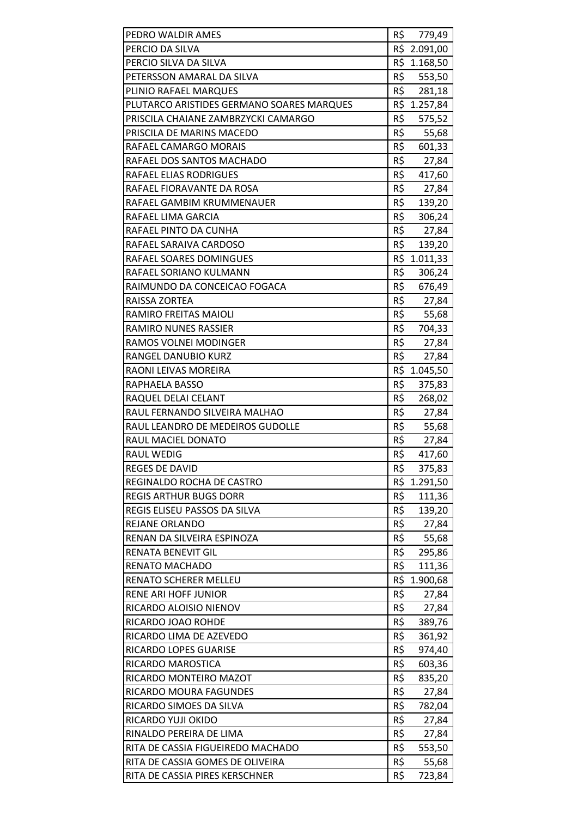| PEDRO WALDIR AMES                         | R\$ | 779,49       |
|-------------------------------------------|-----|--------------|
| PERCIO DA SILVA                           |     | R\$ 2.091,00 |
| PERCIO SILVA DA SILVA                     |     | R\$ 1.168,50 |
| PETERSSON AMARAL DA SILVA                 | R\$ | 553,50       |
| PLINIO RAFAEL MARQUES                     | R\$ | 281,18       |
| PLUTARCO ARISTIDES GERMANO SOARES MARQUES |     | R\$ 1.257,84 |
| PRISCILA CHAIANE ZAMBRZYCKI CAMARGO       | R\$ | 575,52       |
| PRISCILA DE MARINS MACEDO                 | R\$ | 55,68        |
| RAFAEL CAMARGO MORAIS                     | R\$ | 601,33       |
| RAFAEL DOS SANTOS MACHADO                 | R\$ | 27,84        |
| RAFAEL ELIAS RODRIGUES                    | R\$ | 417,60       |
| RAFAEL FIORAVANTE DA ROSA                 | R\$ | 27,84        |
| RAFAEL GAMBIM KRUMMENAUER                 | R\$ | 139,20       |
| RAFAEL LIMA GARCIA                        | R\$ | 306,24       |
| RAFAEL PINTO DA CUNHA                     | R\$ | 27,84        |
| RAFAEL SARAIVA CARDOSO                    | R\$ | 139,20       |
| RAFAEL SOARES DOMINGUES                   |     | R\$ 1.011,33 |
| RAFAEL SORIANO KULMANN                    | R\$ | 306,24       |
| RAIMUNDO DA CONCEICAO FOGACA              | R\$ | 676,49       |
| RAISSA ZORTEA                             | R\$ | 27,84        |
| RAMIRO FREITAS MAIOLI                     | R\$ | 55,68        |
| <b>RAMIRO NUNES RASSIER</b>               | R\$ | 704,33       |
| RAMOS VOLNEI MODINGER                     | R\$ | 27,84        |
| RANGEL DANUBIO KURZ                       | R\$ | 27,84        |
| RAONI LEIVAS MOREIRA                      |     | R\$ 1.045,50 |
| RAPHAELA BASSO                            | R\$ | 375,83       |
| RAQUEL DELAI CELANT                       | R\$ | 268,02       |
| RAUL FERNANDO SILVEIRA MALHAO             | R\$ | 27,84        |
| RAUL LEANDRO DE MEDEIROS GUDOLLE          | R\$ | 55,68        |
| <b>RAUL MACIEL DONATO</b>                 | R\$ | 27,84        |
| <b>RAUL WEDIG</b>                         | R\$ | 417,60       |
| <b>REGES DE DAVID</b>                     | R\$ | 375,83       |
| REGINALDO ROCHA DE CASTRO                 |     | R\$ 1.291,50 |
| <b>REGIS ARTHUR BUGS DORR</b>             | R\$ | 111,36       |
| REGIS ELISEU PASSOS DA SILVA              | R\$ | 139,20       |
| REJANE ORLANDO                            | R\$ | 27,84        |
| RENAN DA SILVEIRA ESPINOZA                | R\$ | 55,68        |
| RENATA BENEVIT GIL                        | R\$ | 295,86       |
| RENATO MACHADO                            | R\$ | 111,36       |
| RENATO SCHERER MELLEU                     | R\$ | 1.900,68     |
| <b>RENE ARI HOFF JUNIOR</b>               | R\$ | 27,84        |
| RICARDO ALOISIO NIENOV                    | R\$ | 27,84        |
| RICARDO JOAO ROHDE                        | R\$ | 389,76       |
| RICARDO LIMA DE AZEVEDO                   | R\$ | 361,92       |
| RICARDO LOPES GUARISE                     | R\$ | 974,40       |
| RICARDO MAROSTICA                         | R\$ | 603,36       |
| RICARDO MONTEIRO MAZOT                    | R\$ | 835,20       |
| RICARDO MOURA FAGUNDES                    | R\$ | 27,84        |
| RICARDO SIMOES DA SILVA                   | R\$ | 782,04       |
| RICARDO YUJI OKIDO                        | R\$ | 27,84        |
| RINALDO PEREIRA DE LIMA                   | R\$ | 27,84        |
| RITA DE CASSIA FIGUEIREDO MACHADO         | R\$ | 553,50       |
| RITA DE CASSIA GOMES DE OLIVEIRA          | R\$ | 55,68        |
| RITA DE CASSIA PIRES KERSCHNER            | R\$ | 723,84       |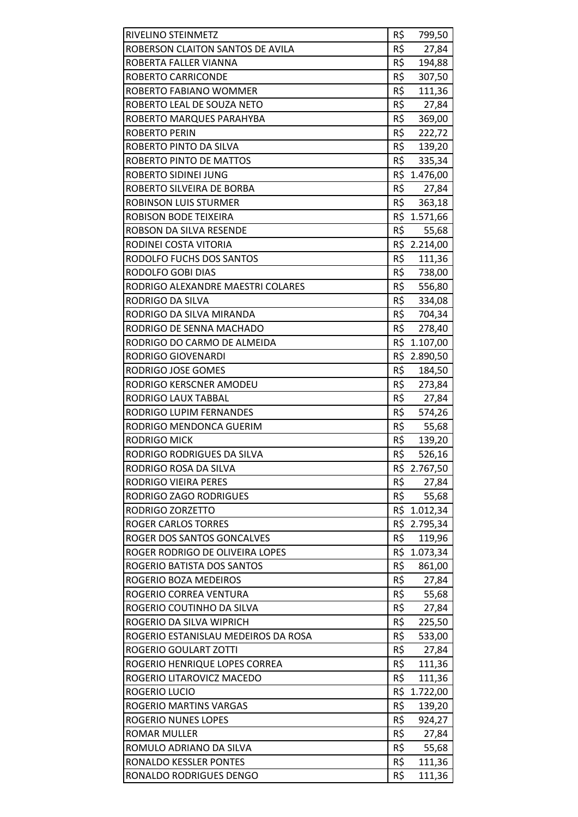| R\$<br>ROBERSON CLAITON SANTOS DE AVILA<br>27,84<br>R\$<br>ROBERTA FALLER VIANNA<br>194,88<br>R\$<br><b>ROBERTO CARRICONDE</b><br>307,50<br>R\$<br>ROBERTO FABIANO WOMMER<br>111,36<br>R\$<br>ROBERTO LEAL DE SOUZA NETO<br>27,84<br>R\$<br>ROBERTO MARQUES PARAHYBA<br>369,00<br>R\$<br><b>ROBERTO PERIN</b><br>222,72<br>R\$<br>ROBERTO PINTO DA SILVA<br>139,20<br>R\$<br>ROBERTO PINTO DE MATTOS<br>335,34<br>R\$ 1.476,00<br>ROBERTO SIDINEI JUNG<br>R\$<br>ROBERTO SILVEIRA DE BORBA<br>27,84<br>R\$<br>ROBINSON LUIS STURMER<br>363,18<br>R\$ 1.571,66<br>ROBISON BODE TEIXEIRA<br>R\$<br>ROBSON DA SILVA RESENDE<br>55,68<br>R\$ 2.214,00<br>RODINEI COSTA VITORIA<br>R\$<br>RODOLFO FUCHS DOS SANTOS<br>111,36<br>R\$<br>RODOLFO GOBI DIAS<br>738,00<br>R\$<br>556,80<br>RODRIGO ALEXANDRE MAESTRI COLARES<br>R\$<br><b>RODRIGO DA SILVA</b><br>334,08<br>R\$<br>RODRIGO DA SILVA MIRANDA<br>704,34<br>R\$<br>RODRIGO DE SENNA MACHADO<br>278,40<br>R\$ 1.107,00<br>RODRIGO DO CARMO DE ALMEIDA<br>R\$ 2.890,50<br><b>RODRIGO GIOVENARDI</b><br>R\$<br>RODRIGO JOSE GOMES<br>184,50<br>R\$<br>RODRIGO KERSCNER AMODEU<br>273,84<br>R\$<br>RODRIGO LAUX TABBAL<br>27,84<br>R\$<br>RODRIGO LUPIM FERNANDES<br>574,26<br>R\$<br>RODRIGO MENDONCA GUERIM<br>55,68<br>R\$<br><b>RODRIGO MICK</b><br>139,20<br>R\$<br>526,16<br>RODRIGO RODRIGUES DA SILVA<br>RODRIGO ROSA DA SILVA<br>R\$ 2.767,50<br>R\$<br><b>RODRIGO VIEIRA PERES</b><br>27,84<br>R\$<br>RODRIGO ZAGO RODRIGUES<br>55,68<br>RODRIGO ZORZETTO<br>R\$ 1.012,34<br>R\$<br><b>ROGER CARLOS TORRES</b><br>2.795,34<br>R\$<br>ROGER DOS SANTOS GONCALVES<br>119,96<br>R\$ 1.073,34<br>ROGER RODRIGO DE OLIVEIRA LOPES<br>R\$<br>ROGERIO BATISTA DOS SANTOS<br>861,00<br>R\$<br>ROGERIO BOZA MEDEIROS<br>27,84<br>R\$<br>ROGERIO CORREA VENTURA<br>55,68<br>R\$<br>ROGERIO COUTINHO DA SILVA<br>27,84<br>R\$<br>ROGERIO DA SILVA WIPRICH<br>225,50<br>R\$<br>ROGERIO ESTANISLAU MEDEIROS DA ROSA<br>533,00<br>R\$<br>ROGERIO GOULART ZOTTI<br>27,84<br>R\$<br>ROGERIO HENRIQUE LOPES CORREA<br>111,36<br>R\$<br>ROGERIO LITAROVICZ MACEDO<br>111,36<br>R\$ 1.722,00<br>ROGERIO LUCIO<br>R\$<br>ROGERIO MARTINS VARGAS<br>139,20<br>R\$<br>ROGERIO NUNES LOPES<br>924,27<br>R\$<br><b>ROMAR MULLER</b><br>27,84<br>R\$<br>ROMULO ADRIANO DA SILVA<br>55,68<br>R\$<br>RONALDO KESSLER PONTES<br>111,36<br>R\$<br>111,36<br>RONALDO RODRIGUES DENGO |                    |     |        |
|------------------------------------------------------------------------------------------------------------------------------------------------------------------------------------------------------------------------------------------------------------------------------------------------------------------------------------------------------------------------------------------------------------------------------------------------------------------------------------------------------------------------------------------------------------------------------------------------------------------------------------------------------------------------------------------------------------------------------------------------------------------------------------------------------------------------------------------------------------------------------------------------------------------------------------------------------------------------------------------------------------------------------------------------------------------------------------------------------------------------------------------------------------------------------------------------------------------------------------------------------------------------------------------------------------------------------------------------------------------------------------------------------------------------------------------------------------------------------------------------------------------------------------------------------------------------------------------------------------------------------------------------------------------------------------------------------------------------------------------------------------------------------------------------------------------------------------------------------------------------------------------------------------------------------------------------------------------------------------------------------------------------------------------------------------------------------------------------------------------------------------------------------------------------------------------------------------------------------------------------------------------------------------------------------------------------------------------------------------------------------------------------------------------|--------------------|-----|--------|
|                                                                                                                                                                                                                                                                                                                                                                                                                                                                                                                                                                                                                                                                                                                                                                                                                                                                                                                                                                                                                                                                                                                                                                                                                                                                                                                                                                                                                                                                                                                                                                                                                                                                                                                                                                                                                                                                                                                                                                                                                                                                                                                                                                                                                                                                                                                                                                                                                  | RIVELINO STEINMETZ | R\$ | 799,50 |
|                                                                                                                                                                                                                                                                                                                                                                                                                                                                                                                                                                                                                                                                                                                                                                                                                                                                                                                                                                                                                                                                                                                                                                                                                                                                                                                                                                                                                                                                                                                                                                                                                                                                                                                                                                                                                                                                                                                                                                                                                                                                                                                                                                                                                                                                                                                                                                                                                  |                    |     |        |
|                                                                                                                                                                                                                                                                                                                                                                                                                                                                                                                                                                                                                                                                                                                                                                                                                                                                                                                                                                                                                                                                                                                                                                                                                                                                                                                                                                                                                                                                                                                                                                                                                                                                                                                                                                                                                                                                                                                                                                                                                                                                                                                                                                                                                                                                                                                                                                                                                  |                    |     |        |
|                                                                                                                                                                                                                                                                                                                                                                                                                                                                                                                                                                                                                                                                                                                                                                                                                                                                                                                                                                                                                                                                                                                                                                                                                                                                                                                                                                                                                                                                                                                                                                                                                                                                                                                                                                                                                                                                                                                                                                                                                                                                                                                                                                                                                                                                                                                                                                                                                  |                    |     |        |
|                                                                                                                                                                                                                                                                                                                                                                                                                                                                                                                                                                                                                                                                                                                                                                                                                                                                                                                                                                                                                                                                                                                                                                                                                                                                                                                                                                                                                                                                                                                                                                                                                                                                                                                                                                                                                                                                                                                                                                                                                                                                                                                                                                                                                                                                                                                                                                                                                  |                    |     |        |
|                                                                                                                                                                                                                                                                                                                                                                                                                                                                                                                                                                                                                                                                                                                                                                                                                                                                                                                                                                                                                                                                                                                                                                                                                                                                                                                                                                                                                                                                                                                                                                                                                                                                                                                                                                                                                                                                                                                                                                                                                                                                                                                                                                                                                                                                                                                                                                                                                  |                    |     |        |
|                                                                                                                                                                                                                                                                                                                                                                                                                                                                                                                                                                                                                                                                                                                                                                                                                                                                                                                                                                                                                                                                                                                                                                                                                                                                                                                                                                                                                                                                                                                                                                                                                                                                                                                                                                                                                                                                                                                                                                                                                                                                                                                                                                                                                                                                                                                                                                                                                  |                    |     |        |
|                                                                                                                                                                                                                                                                                                                                                                                                                                                                                                                                                                                                                                                                                                                                                                                                                                                                                                                                                                                                                                                                                                                                                                                                                                                                                                                                                                                                                                                                                                                                                                                                                                                                                                                                                                                                                                                                                                                                                                                                                                                                                                                                                                                                                                                                                                                                                                                                                  |                    |     |        |
|                                                                                                                                                                                                                                                                                                                                                                                                                                                                                                                                                                                                                                                                                                                                                                                                                                                                                                                                                                                                                                                                                                                                                                                                                                                                                                                                                                                                                                                                                                                                                                                                                                                                                                                                                                                                                                                                                                                                                                                                                                                                                                                                                                                                                                                                                                                                                                                                                  |                    |     |        |
|                                                                                                                                                                                                                                                                                                                                                                                                                                                                                                                                                                                                                                                                                                                                                                                                                                                                                                                                                                                                                                                                                                                                                                                                                                                                                                                                                                                                                                                                                                                                                                                                                                                                                                                                                                                                                                                                                                                                                                                                                                                                                                                                                                                                                                                                                                                                                                                                                  |                    |     |        |
|                                                                                                                                                                                                                                                                                                                                                                                                                                                                                                                                                                                                                                                                                                                                                                                                                                                                                                                                                                                                                                                                                                                                                                                                                                                                                                                                                                                                                                                                                                                                                                                                                                                                                                                                                                                                                                                                                                                                                                                                                                                                                                                                                                                                                                                                                                                                                                                                                  |                    |     |        |
|                                                                                                                                                                                                                                                                                                                                                                                                                                                                                                                                                                                                                                                                                                                                                                                                                                                                                                                                                                                                                                                                                                                                                                                                                                                                                                                                                                                                                                                                                                                                                                                                                                                                                                                                                                                                                                                                                                                                                                                                                                                                                                                                                                                                                                                                                                                                                                                                                  |                    |     |        |
|                                                                                                                                                                                                                                                                                                                                                                                                                                                                                                                                                                                                                                                                                                                                                                                                                                                                                                                                                                                                                                                                                                                                                                                                                                                                                                                                                                                                                                                                                                                                                                                                                                                                                                                                                                                                                                                                                                                                                                                                                                                                                                                                                                                                                                                                                                                                                                                                                  |                    |     |        |
|                                                                                                                                                                                                                                                                                                                                                                                                                                                                                                                                                                                                                                                                                                                                                                                                                                                                                                                                                                                                                                                                                                                                                                                                                                                                                                                                                                                                                                                                                                                                                                                                                                                                                                                                                                                                                                                                                                                                                                                                                                                                                                                                                                                                                                                                                                                                                                                                                  |                    |     |        |
|                                                                                                                                                                                                                                                                                                                                                                                                                                                                                                                                                                                                                                                                                                                                                                                                                                                                                                                                                                                                                                                                                                                                                                                                                                                                                                                                                                                                                                                                                                                                                                                                                                                                                                                                                                                                                                                                                                                                                                                                                                                                                                                                                                                                                                                                                                                                                                                                                  |                    |     |        |
|                                                                                                                                                                                                                                                                                                                                                                                                                                                                                                                                                                                                                                                                                                                                                                                                                                                                                                                                                                                                                                                                                                                                                                                                                                                                                                                                                                                                                                                                                                                                                                                                                                                                                                                                                                                                                                                                                                                                                                                                                                                                                                                                                                                                                                                                                                                                                                                                                  |                    |     |        |
|                                                                                                                                                                                                                                                                                                                                                                                                                                                                                                                                                                                                                                                                                                                                                                                                                                                                                                                                                                                                                                                                                                                                                                                                                                                                                                                                                                                                                                                                                                                                                                                                                                                                                                                                                                                                                                                                                                                                                                                                                                                                                                                                                                                                                                                                                                                                                                                                                  |                    |     |        |
|                                                                                                                                                                                                                                                                                                                                                                                                                                                                                                                                                                                                                                                                                                                                                                                                                                                                                                                                                                                                                                                                                                                                                                                                                                                                                                                                                                                                                                                                                                                                                                                                                                                                                                                                                                                                                                                                                                                                                                                                                                                                                                                                                                                                                                                                                                                                                                                                                  |                    |     |        |
|                                                                                                                                                                                                                                                                                                                                                                                                                                                                                                                                                                                                                                                                                                                                                                                                                                                                                                                                                                                                                                                                                                                                                                                                                                                                                                                                                                                                                                                                                                                                                                                                                                                                                                                                                                                                                                                                                                                                                                                                                                                                                                                                                                                                                                                                                                                                                                                                                  |                    |     |        |
|                                                                                                                                                                                                                                                                                                                                                                                                                                                                                                                                                                                                                                                                                                                                                                                                                                                                                                                                                                                                                                                                                                                                                                                                                                                                                                                                                                                                                                                                                                                                                                                                                                                                                                                                                                                                                                                                                                                                                                                                                                                                                                                                                                                                                                                                                                                                                                                                                  |                    |     |        |
|                                                                                                                                                                                                                                                                                                                                                                                                                                                                                                                                                                                                                                                                                                                                                                                                                                                                                                                                                                                                                                                                                                                                                                                                                                                                                                                                                                                                                                                                                                                                                                                                                                                                                                                                                                                                                                                                                                                                                                                                                                                                                                                                                                                                                                                                                                                                                                                                                  |                    |     |        |
|                                                                                                                                                                                                                                                                                                                                                                                                                                                                                                                                                                                                                                                                                                                                                                                                                                                                                                                                                                                                                                                                                                                                                                                                                                                                                                                                                                                                                                                                                                                                                                                                                                                                                                                                                                                                                                                                                                                                                                                                                                                                                                                                                                                                                                                                                                                                                                                                                  |                    |     |        |
|                                                                                                                                                                                                                                                                                                                                                                                                                                                                                                                                                                                                                                                                                                                                                                                                                                                                                                                                                                                                                                                                                                                                                                                                                                                                                                                                                                                                                                                                                                                                                                                                                                                                                                                                                                                                                                                                                                                                                                                                                                                                                                                                                                                                                                                                                                                                                                                                                  |                    |     |        |
|                                                                                                                                                                                                                                                                                                                                                                                                                                                                                                                                                                                                                                                                                                                                                                                                                                                                                                                                                                                                                                                                                                                                                                                                                                                                                                                                                                                                                                                                                                                                                                                                                                                                                                                                                                                                                                                                                                                                                                                                                                                                                                                                                                                                                                                                                                                                                                                                                  |                    |     |        |
|                                                                                                                                                                                                                                                                                                                                                                                                                                                                                                                                                                                                                                                                                                                                                                                                                                                                                                                                                                                                                                                                                                                                                                                                                                                                                                                                                                                                                                                                                                                                                                                                                                                                                                                                                                                                                                                                                                                                                                                                                                                                                                                                                                                                                                                                                                                                                                                                                  |                    |     |        |
|                                                                                                                                                                                                                                                                                                                                                                                                                                                                                                                                                                                                                                                                                                                                                                                                                                                                                                                                                                                                                                                                                                                                                                                                                                                                                                                                                                                                                                                                                                                                                                                                                                                                                                                                                                                                                                                                                                                                                                                                                                                                                                                                                                                                                                                                                                                                                                                                                  |                    |     |        |
|                                                                                                                                                                                                                                                                                                                                                                                                                                                                                                                                                                                                                                                                                                                                                                                                                                                                                                                                                                                                                                                                                                                                                                                                                                                                                                                                                                                                                                                                                                                                                                                                                                                                                                                                                                                                                                                                                                                                                                                                                                                                                                                                                                                                                                                                                                                                                                                                                  |                    |     |        |
|                                                                                                                                                                                                                                                                                                                                                                                                                                                                                                                                                                                                                                                                                                                                                                                                                                                                                                                                                                                                                                                                                                                                                                                                                                                                                                                                                                                                                                                                                                                                                                                                                                                                                                                                                                                                                                                                                                                                                                                                                                                                                                                                                                                                                                                                                                                                                                                                                  |                    |     |        |
|                                                                                                                                                                                                                                                                                                                                                                                                                                                                                                                                                                                                                                                                                                                                                                                                                                                                                                                                                                                                                                                                                                                                                                                                                                                                                                                                                                                                                                                                                                                                                                                                                                                                                                                                                                                                                                                                                                                                                                                                                                                                                                                                                                                                                                                                                                                                                                                                                  |                    |     |        |
|                                                                                                                                                                                                                                                                                                                                                                                                                                                                                                                                                                                                                                                                                                                                                                                                                                                                                                                                                                                                                                                                                                                                                                                                                                                                                                                                                                                                                                                                                                                                                                                                                                                                                                                                                                                                                                                                                                                                                                                                                                                                                                                                                                                                                                                                                                                                                                                                                  |                    |     |        |
|                                                                                                                                                                                                                                                                                                                                                                                                                                                                                                                                                                                                                                                                                                                                                                                                                                                                                                                                                                                                                                                                                                                                                                                                                                                                                                                                                                                                                                                                                                                                                                                                                                                                                                                                                                                                                                                                                                                                                                                                                                                                                                                                                                                                                                                                                                                                                                                                                  |                    |     |        |
|                                                                                                                                                                                                                                                                                                                                                                                                                                                                                                                                                                                                                                                                                                                                                                                                                                                                                                                                                                                                                                                                                                                                                                                                                                                                                                                                                                                                                                                                                                                                                                                                                                                                                                                                                                                                                                                                                                                                                                                                                                                                                                                                                                                                                                                                                                                                                                                                                  |                    |     |        |
|                                                                                                                                                                                                                                                                                                                                                                                                                                                                                                                                                                                                                                                                                                                                                                                                                                                                                                                                                                                                                                                                                                                                                                                                                                                                                                                                                                                                                                                                                                                                                                                                                                                                                                                                                                                                                                                                                                                                                                                                                                                                                                                                                                                                                                                                                                                                                                                                                  |                    |     |        |
|                                                                                                                                                                                                                                                                                                                                                                                                                                                                                                                                                                                                                                                                                                                                                                                                                                                                                                                                                                                                                                                                                                                                                                                                                                                                                                                                                                                                                                                                                                                                                                                                                                                                                                                                                                                                                                                                                                                                                                                                                                                                                                                                                                                                                                                                                                                                                                                                                  |                    |     |        |
|                                                                                                                                                                                                                                                                                                                                                                                                                                                                                                                                                                                                                                                                                                                                                                                                                                                                                                                                                                                                                                                                                                                                                                                                                                                                                                                                                                                                                                                                                                                                                                                                                                                                                                                                                                                                                                                                                                                                                                                                                                                                                                                                                                                                                                                                                                                                                                                                                  |                    |     |        |
|                                                                                                                                                                                                                                                                                                                                                                                                                                                                                                                                                                                                                                                                                                                                                                                                                                                                                                                                                                                                                                                                                                                                                                                                                                                                                                                                                                                                                                                                                                                                                                                                                                                                                                                                                                                                                                                                                                                                                                                                                                                                                                                                                                                                                                                                                                                                                                                                                  |                    |     |        |
|                                                                                                                                                                                                                                                                                                                                                                                                                                                                                                                                                                                                                                                                                                                                                                                                                                                                                                                                                                                                                                                                                                                                                                                                                                                                                                                                                                                                                                                                                                                                                                                                                                                                                                                                                                                                                                                                                                                                                                                                                                                                                                                                                                                                                                                                                                                                                                                                                  |                    |     |        |
|                                                                                                                                                                                                                                                                                                                                                                                                                                                                                                                                                                                                                                                                                                                                                                                                                                                                                                                                                                                                                                                                                                                                                                                                                                                                                                                                                                                                                                                                                                                                                                                                                                                                                                                                                                                                                                                                                                                                                                                                                                                                                                                                                                                                                                                                                                                                                                                                                  |                    |     |        |
|                                                                                                                                                                                                                                                                                                                                                                                                                                                                                                                                                                                                                                                                                                                                                                                                                                                                                                                                                                                                                                                                                                                                                                                                                                                                                                                                                                                                                                                                                                                                                                                                                                                                                                                                                                                                                                                                                                                                                                                                                                                                                                                                                                                                                                                                                                                                                                                                                  |                    |     |        |
|                                                                                                                                                                                                                                                                                                                                                                                                                                                                                                                                                                                                                                                                                                                                                                                                                                                                                                                                                                                                                                                                                                                                                                                                                                                                                                                                                                                                                                                                                                                                                                                                                                                                                                                                                                                                                                                                                                                                                                                                                                                                                                                                                                                                                                                                                                                                                                                                                  |                    |     |        |
|                                                                                                                                                                                                                                                                                                                                                                                                                                                                                                                                                                                                                                                                                                                                                                                                                                                                                                                                                                                                                                                                                                                                                                                                                                                                                                                                                                                                                                                                                                                                                                                                                                                                                                                                                                                                                                                                                                                                                                                                                                                                                                                                                                                                                                                                                                                                                                                                                  |                    |     |        |
|                                                                                                                                                                                                                                                                                                                                                                                                                                                                                                                                                                                                                                                                                                                                                                                                                                                                                                                                                                                                                                                                                                                                                                                                                                                                                                                                                                                                                                                                                                                                                                                                                                                                                                                                                                                                                                                                                                                                                                                                                                                                                                                                                                                                                                                                                                                                                                                                                  |                    |     |        |
|                                                                                                                                                                                                                                                                                                                                                                                                                                                                                                                                                                                                                                                                                                                                                                                                                                                                                                                                                                                                                                                                                                                                                                                                                                                                                                                                                                                                                                                                                                                                                                                                                                                                                                                                                                                                                                                                                                                                                                                                                                                                                                                                                                                                                                                                                                                                                                                                                  |                    |     |        |
|                                                                                                                                                                                                                                                                                                                                                                                                                                                                                                                                                                                                                                                                                                                                                                                                                                                                                                                                                                                                                                                                                                                                                                                                                                                                                                                                                                                                                                                                                                                                                                                                                                                                                                                                                                                                                                                                                                                                                                                                                                                                                                                                                                                                                                                                                                                                                                                                                  |                    |     |        |
|                                                                                                                                                                                                                                                                                                                                                                                                                                                                                                                                                                                                                                                                                                                                                                                                                                                                                                                                                                                                                                                                                                                                                                                                                                                                                                                                                                                                                                                                                                                                                                                                                                                                                                                                                                                                                                                                                                                                                                                                                                                                                                                                                                                                                                                                                                                                                                                                                  |                    |     |        |
|                                                                                                                                                                                                                                                                                                                                                                                                                                                                                                                                                                                                                                                                                                                                                                                                                                                                                                                                                                                                                                                                                                                                                                                                                                                                                                                                                                                                                                                                                                                                                                                                                                                                                                                                                                                                                                                                                                                                                                                                                                                                                                                                                                                                                                                                                                                                                                                                                  |                    |     |        |
|                                                                                                                                                                                                                                                                                                                                                                                                                                                                                                                                                                                                                                                                                                                                                                                                                                                                                                                                                                                                                                                                                                                                                                                                                                                                                                                                                                                                                                                                                                                                                                                                                                                                                                                                                                                                                                                                                                                                                                                                                                                                                                                                                                                                                                                                                                                                                                                                                  |                    |     |        |
|                                                                                                                                                                                                                                                                                                                                                                                                                                                                                                                                                                                                                                                                                                                                                                                                                                                                                                                                                                                                                                                                                                                                                                                                                                                                                                                                                                                                                                                                                                                                                                                                                                                                                                                                                                                                                                                                                                                                                                                                                                                                                                                                                                                                                                                                                                                                                                                                                  |                    |     |        |
|                                                                                                                                                                                                                                                                                                                                                                                                                                                                                                                                                                                                                                                                                                                                                                                                                                                                                                                                                                                                                                                                                                                                                                                                                                                                                                                                                                                                                                                                                                                                                                                                                                                                                                                                                                                                                                                                                                                                                                                                                                                                                                                                                                                                                                                                                                                                                                                                                  |                    |     |        |
|                                                                                                                                                                                                                                                                                                                                                                                                                                                                                                                                                                                                                                                                                                                                                                                                                                                                                                                                                                                                                                                                                                                                                                                                                                                                                                                                                                                                                                                                                                                                                                                                                                                                                                                                                                                                                                                                                                                                                                                                                                                                                                                                                                                                                                                                                                                                                                                                                  |                    |     |        |
|                                                                                                                                                                                                                                                                                                                                                                                                                                                                                                                                                                                                                                                                                                                                                                                                                                                                                                                                                                                                                                                                                                                                                                                                                                                                                                                                                                                                                                                                                                                                                                                                                                                                                                                                                                                                                                                                                                                                                                                                                                                                                                                                                                                                                                                                                                                                                                                                                  |                    |     |        |
|                                                                                                                                                                                                                                                                                                                                                                                                                                                                                                                                                                                                                                                                                                                                                                                                                                                                                                                                                                                                                                                                                                                                                                                                                                                                                                                                                                                                                                                                                                                                                                                                                                                                                                                                                                                                                                                                                                                                                                                                                                                                                                                                                                                                                                                                                                                                                                                                                  |                    |     |        |
|                                                                                                                                                                                                                                                                                                                                                                                                                                                                                                                                                                                                                                                                                                                                                                                                                                                                                                                                                                                                                                                                                                                                                                                                                                                                                                                                                                                                                                                                                                                                                                                                                                                                                                                                                                                                                                                                                                                                                                                                                                                                                                                                                                                                                                                                                                                                                                                                                  |                    |     |        |
|                                                                                                                                                                                                                                                                                                                                                                                                                                                                                                                                                                                                                                                                                                                                                                                                                                                                                                                                                                                                                                                                                                                                                                                                                                                                                                                                                                                                                                                                                                                                                                                                                                                                                                                                                                                                                                                                                                                                                                                                                                                                                                                                                                                                                                                                                                                                                                                                                  |                    |     |        |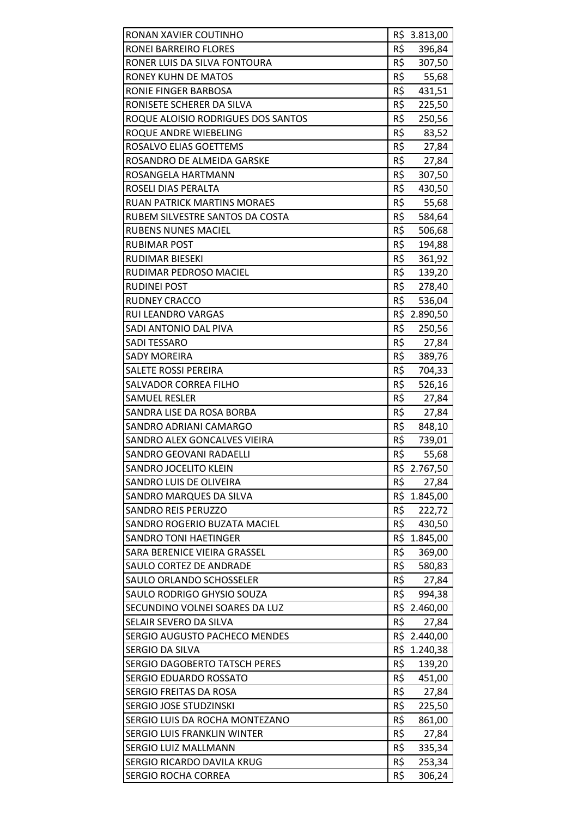| RONAN XAVIER COUTINHO                |     | R\$ 3.813,00 |
|--------------------------------------|-----|--------------|
| RONEI BARREIRO FLORES                | R\$ | 396,84       |
| RONER LUIS DA SILVA FONTOURA         | R\$ | 307,50       |
| <b>RONEY KUHN DE MATOS</b>           | R\$ | 55,68        |
| RONIE FINGER BARBOSA                 | R\$ | 431,51       |
| RONISETE SCHERER DA SILVA            | R\$ | 225,50       |
| ROQUE ALOISIO RODRIGUES DOS SANTOS   | R\$ | 250,56       |
| ROQUE ANDRE WIEBELING                | R\$ | 83,52        |
| ROSALVO ELIAS GOETTEMS               | R\$ | 27,84        |
| ROSANDRO DE ALMEIDA GARSKE           | R\$ | 27,84        |
| ROSANGELA HARTMANN                   | R\$ | 307,50       |
| ROSELI DIAS PERALTA                  | R\$ | 430,50       |
| <b>RUAN PATRICK MARTINS MORAES</b>   | R\$ | 55,68        |
| RUBEM SILVESTRE SANTOS DA COSTA      | R\$ | 584,64       |
| <b>RUBENS NUNES MACIEL</b>           | R\$ | 506,68       |
| <b>RUBIMAR POST</b>                  | R\$ | 194,88       |
| RUDIMAR BIESEKI                      | R\$ | 361,92       |
| RUDIMAR PEDROSO MACIEL               | R\$ | 139,20       |
| <b>RUDINEI POST</b>                  | R\$ | 278,40       |
| <b>RUDNEY CRACCO</b>                 | R\$ | 536,04       |
| RUI LEANDRO VARGAS                   |     | R\$ 2.890,50 |
| SADI ANTONIO DAL PIVA                | R\$ | 250,56       |
| <b>SADI TESSARO</b>                  | R\$ | 27,84        |
| <b>SADY MOREIRA</b>                  | R\$ | 389,76       |
| SALETE ROSSI PEREIRA                 | R\$ | 704,33       |
| SALVADOR CORREA FILHO                | R\$ | 526,16       |
| <b>SAMUEL RESLER</b>                 | R\$ | 27,84        |
| SANDRA LISE DA ROSA BORBA            | R\$ | 27,84        |
| SANDRO ADRIANI CAMARGO               | R\$ | 848,10       |
| SANDRO ALEX GONCALVES VIEIRA         | R\$ | 739,01       |
| SANDRO GEOVANI RADAELLI              | R\$ | 55,68        |
| SANDRO JOCELITO KLEIN                |     | R\$ 2.767,50 |
| SANDRO LUIS DE OLIVEIRA              | R\$ | 27,84        |
| SANDRO MARQUES DA SILVA              | R\$ | 1.845,00     |
| <b>SANDRO REIS PERUZZO</b>           | R\$ | 222,72       |
| SANDRO ROGERIO BUZATA MACIEL         | R\$ | 430,50       |
| <b>SANDRO TONI HAETINGER</b>         | R\$ | 1.845,00     |
| SARA BERENICE VIEIRA GRASSEL         | R\$ | 369,00       |
| SAULO CORTEZ DE ANDRADE              | R\$ | 580,83       |
| SAULO ORLANDO SCHOSSELER             | R\$ | 27,84        |
| SAULO RODRIGO GHYSIO SOUZA           | R\$ | 994,38       |
| SECUNDINO VOLNEI SOARES DA LUZ       |     | R\$ 2.460,00 |
| SELAIR SEVERO DA SILVA               | R\$ | 27,84        |
| SERGIO AUGUSTO PACHECO MENDES        | R\$ | 2.440,00     |
| SERGIO DA SILVA                      | R\$ | 1.240,38     |
| <b>SERGIO DAGOBERTO TATSCH PERES</b> | R\$ | 139,20       |
| SERGIO EDUARDO ROSSATO               | R\$ | 451,00       |
| SERGIO FREITAS DA ROSA               | R\$ | 27,84        |
| SERGIO JOSE STUDZINSKI               | R\$ | 225,50       |
| SERGIO LUIS DA ROCHA MONTEZANO       | R\$ | 861,00       |
| SERGIO LUIS FRANKLIN WINTER          | R\$ | 27,84        |
| SERGIO LUIZ MALLMANN                 | R\$ | 335,34       |
| SERGIO RICARDO DAVILA KRUG           | R\$ | 253,34       |
| <b>SERGIO ROCHA CORREA</b>           | R\$ | 306,24       |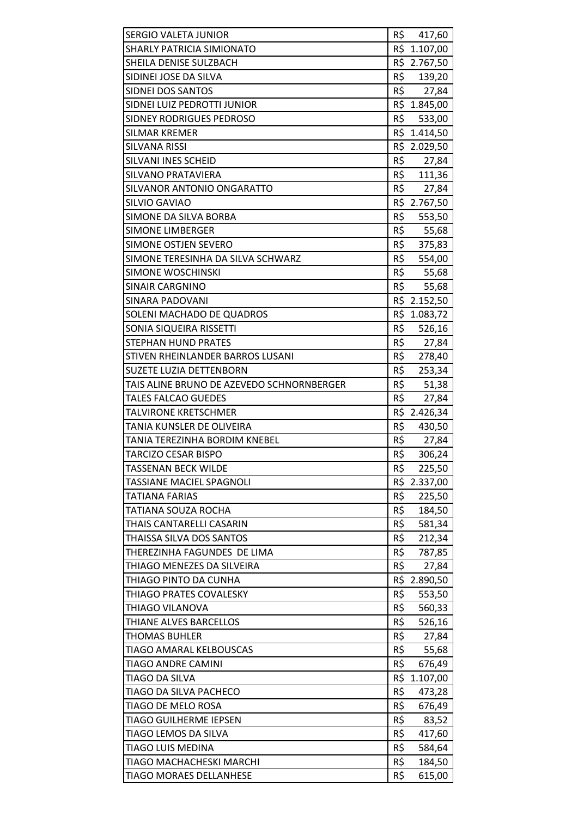| <b>SERGIO VALETA JUNIOR</b>               |     | R\$ 417,60   |
|-------------------------------------------|-----|--------------|
| SHARLY PATRICIA SIMIONATO                 |     | R\$ 1.107,00 |
| SHEILA DENISE SULZBACH                    |     | R\$ 2.767,50 |
| SIDINEI JOSE DA SILVA                     | R\$ | 139,20       |
| SIDNEI DOS SANTOS                         |     | R\$ 27,84    |
| SIDNEI LUIZ PEDROTTI JUNIOR               |     | R\$ 1.845,00 |
| SIDNEY RODRIGUES PEDROSO                  | R\$ | 533,00       |
| <b>SILMAR KREMER</b>                      |     | R\$ 1.414,50 |
| <b>SILVANA RISSI</b>                      |     | R\$ 2.029,50 |
| SILVANI INES SCHEID                       |     | R\$ 27,84    |
| SILVANO PRATAVIERA                        |     | R\$ 111,36   |
| SILVANOR ANTONIO ONGARATTO                | R\$ | 27,84        |
| SILVIO GAVIAO                             |     | R\$ 2.767,50 |
| SIMONE DA SILVA BORBA                     | R\$ | 553,50       |
| <b>SIMONE LIMBERGER</b>                   |     | R\$ 55,68    |
| <b>SIMONE OSTJEN SEVERO</b>               | R\$ | 375,83       |
| SIMONE TERESINHA DA SILVA SCHWARZ         | R\$ | 554,00       |
| <b>SIMONE WOSCHINSKI</b>                  | R\$ | 55,68        |
| <b>SINAIR CARGNINO</b>                    | R\$ | 55,68        |
| <b>SINARA PADOVANI</b>                    |     | R\$ 2.152,50 |
| SOLENI MACHADO DE QUADROS                 |     | R\$ 1.083,72 |
| SONIA SIQUEIRA RISSETTI                   | R\$ | 526,16       |
| <b>STEPHAN HUND PRATES</b>                | R\$ | 27,84        |
| STIVEN RHEINLANDER BARROS LUSANI          | R\$ | 278,40       |
| SUZETE LUZIA DETTENBORN                   | R\$ | 253,34       |
| TAIS ALINE BRUNO DE AZEVEDO SCHNORNBERGER | R\$ | 51,38        |
| TALES FALCAO GUEDES                       | R\$ | 27,84        |
| <b>TALVIRONE KRETSCHMER</b>               |     | R\$ 2.426,34 |
| TANIA KUNSLER DE OLIVEIRA                 | R\$ | 430,50       |
| TANIA TEREZINHA BORDIM KNEBEL             | R\$ | 27,84        |
| <b>TARCIZO CESAR BISPO</b>                | R\$ | 306,24       |
| TASSENAN BECK WILDE                       | R\$ | 225,50       |
| TASSIANE MACIEL SPAGNOLI                  |     | R\$ 2.337,00 |
| TATIANA FARIAS                            | R\$ | 225,50       |
| TATIANA SOUZA ROCHA                       | R\$ | 184,50       |
| THAIS CANTARELLI CASARIN                  | R\$ | 581,34       |
| THAISSA SILVA DOS SANTOS                  | R\$ | 212,34       |
| THEREZINHA FAGUNDES DE LIMA               | R\$ | 787,85       |
| THIAGO MENEZES DA SILVEIRA                | R\$ | 27,84        |
| THIAGO PINTO DA CUNHA                     |     | R\$ 2.890,50 |
| THIAGO PRATES COVALESKY                   | R\$ | 553,50       |
| THIAGO VILANOVA                           | R\$ | 560,33       |
| THIANE ALVES BARCELLOS                    | R\$ | 526,16       |
| <b>THOMAS BUHLER</b>                      | R\$ | 27,84        |
| TIAGO AMARAL KELBOUSCAS                   | R\$ | 55,68        |
| TIAGO ANDRE CAMINI                        | R\$ | 676,49       |
| TIAGO DA SILVA                            |     | R\$ 1.107,00 |
| TIAGO DA SILVA PACHECO                    | R\$ | 473,28       |
| TIAGO DE MELO ROSA                        | R\$ | 676,49       |
| TIAGO GUILHERME IEPSEN                    | R\$ | 83,52        |
| TIAGO LEMOS DA SILVA                      | R\$ | 417,60       |
| <b>TIAGO LUIS MEDINA</b>                  | R\$ | 584,64       |
| TIAGO MACHACHESKI MARCHI                  | R\$ | 184,50       |
| <b>TIAGO MORAES DELLANHESE</b>            | R\$ | 615,00       |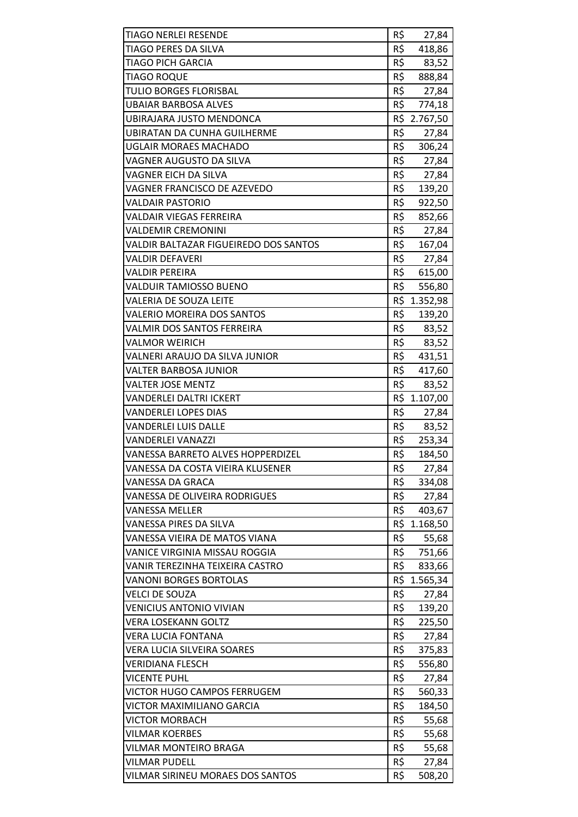| R\$<br>TIAGO PERES DA SILVA<br>418,86<br>R\$<br><b>TIAGO PICH GARCIA</b><br>83,52<br>R\$<br><b>TIAGO ROQUE</b><br>888,84<br>R\$<br><b>TULIO BORGES FLORISBAL</b><br>27,84<br>R\$<br>774,18<br><b>UBAIAR BARBOSA ALVES</b><br>R\$ 2.767,50<br>UBIRAJARA JUSTO MENDONCA<br>R\$<br>UBIRATAN DA CUNHA GUILHERME<br>27,84<br>R\$<br>306,24<br><b>UGLAIR MORAES MACHADO</b><br>R\$<br>VAGNER AUGUSTO DA SILVA<br>27,84<br>R\$<br>VAGNER EICH DA SILVA<br>27,84<br>R\$<br>VAGNER FRANCISCO DE AZEVEDO<br>139,20<br>R\$<br><b>VALDAIR PASTORIO</b><br>922,50<br>R\$<br><b>VALDAIR VIEGAS FERREIRA</b><br>852,66<br>R\$<br><b>VALDEMIR CREMONINI</b><br>27,84<br>R\$<br>VALDIR BALTAZAR FIGUEIREDO DOS SANTOS<br>167,04<br>R\$<br>VALDIR DEFAVERI<br>27,84<br>R\$<br><b>VALDIR PEREIRA</b><br>615,00<br>R\$<br>VALDUIR TAMIOSSO BUENO<br>556,80<br>R\$ 1.352,98<br>VALERIA DE SOUZA LEITE<br>R\$<br><b>VALERIO MOREIRA DOS SANTOS</b><br>139,20<br>R\$<br>VALMIR DOS SANTOS FERREIRA<br>83,52<br>R\$<br><b>VALMOR WEIRICH</b><br>83,52<br>R\$<br>VALNERI ARAUJO DA SILVA JUNIOR<br>431,51<br>R\$<br>VALTER BARBOSA JUNIOR<br>417,60<br>R\$<br><b>VALTER JOSE MENTZ</b><br>83,52<br>R\$ 1.107,00<br><b>VANDERLEI DALTRI ICKERT</b><br>R\$<br><b>VANDERLEI LOPES DIAS</b><br>27,84<br>R\$<br><b>VANDERLEI LUIS DALLE</b><br>83,52<br>R\$<br><b>VANDERLEI VANAZZI</b><br>253,34<br>R\$<br><b>VANESSA BARRETO ALVES HOPPERDIZEL</b><br>184,50<br>R\$<br>VANESSA DA COSTA VIEIRA KLUSENER<br>27,84<br>R\$<br>VANESSA DA GRACA<br>334,08<br>R\$<br>27,84<br>VANESSA DE OLIVEIRA RODRIGUES<br>R\$<br><b>VANESSA MELLER</b><br>403,67<br>R\$<br>VANESSA PIRES DA SILVA<br>1.168,50<br>R\$<br>VANESSA VIEIRA DE MATOS VIANA<br>55,68<br>R\$<br>VANICE VIRGINIA MISSAU ROGGIA<br>751,66<br>R\$<br>VANIR TEREZINHA TEIXEIRA CASTRO<br>833,66<br>R\$<br><b>VANONI BORGES BORTOLAS</b><br>1.565,34<br>R\$<br><b>VELCI DE SOUZA</b><br>27,84<br>R\$<br><b>VENICIUS ANTONIO VIVIAN</b><br>139,20<br>R\$<br><b>VERA LOSEKANN GOLTZ</b><br>225,50<br>R\$<br><b>VERA LUCIA FONTANA</b><br>27,84<br>R\$<br>VERA LUCIA SILVEIRA SOARES<br>375,83<br>R\$<br><b>VERIDIANA FLESCH</b><br>556,80<br>R\$<br><b>VICENTE PUHL</b><br>27,84<br>R\$<br>VICTOR HUGO CAMPOS FERRUGEM<br>560,33<br>R\$<br>VICTOR MAXIMILIANO GARCIA<br>184,50<br>R\$<br><b>VICTOR MORBACH</b><br>55,68<br>R\$<br><b>VILMAR KOERBES</b><br>55,68<br>R\$<br>VILMAR MONTEIRO BRAGA<br>55,68<br><b>VILMAR PUDELL</b><br>R\$<br>27,84 | <b>TIAGO NERLEI RESENDE</b>      | R\$ | 27,84  |
|-------------------------------------------------------------------------------------------------------------------------------------------------------------------------------------------------------------------------------------------------------------------------------------------------------------------------------------------------------------------------------------------------------------------------------------------------------------------------------------------------------------------------------------------------------------------------------------------------------------------------------------------------------------------------------------------------------------------------------------------------------------------------------------------------------------------------------------------------------------------------------------------------------------------------------------------------------------------------------------------------------------------------------------------------------------------------------------------------------------------------------------------------------------------------------------------------------------------------------------------------------------------------------------------------------------------------------------------------------------------------------------------------------------------------------------------------------------------------------------------------------------------------------------------------------------------------------------------------------------------------------------------------------------------------------------------------------------------------------------------------------------------------------------------------------------------------------------------------------------------------------------------------------------------------------------------------------------------------------------------------------------------------------------------------------------------------------------------------------------------------------------------------------------------------------------------------------------------------------------------------------------------------------------------------------------------------------------------------------------------------------------------------------------------------------------------------------------------------|----------------------------------|-----|--------|
|                                                                                                                                                                                                                                                                                                                                                                                                                                                                                                                                                                                                                                                                                                                                                                                                                                                                                                                                                                                                                                                                                                                                                                                                                                                                                                                                                                                                                                                                                                                                                                                                                                                                                                                                                                                                                                                                                                                                                                                                                                                                                                                                                                                                                                                                                                                                                                                                                                                                         |                                  |     |        |
|                                                                                                                                                                                                                                                                                                                                                                                                                                                                                                                                                                                                                                                                                                                                                                                                                                                                                                                                                                                                                                                                                                                                                                                                                                                                                                                                                                                                                                                                                                                                                                                                                                                                                                                                                                                                                                                                                                                                                                                                                                                                                                                                                                                                                                                                                                                                                                                                                                                                         |                                  |     |        |
|                                                                                                                                                                                                                                                                                                                                                                                                                                                                                                                                                                                                                                                                                                                                                                                                                                                                                                                                                                                                                                                                                                                                                                                                                                                                                                                                                                                                                                                                                                                                                                                                                                                                                                                                                                                                                                                                                                                                                                                                                                                                                                                                                                                                                                                                                                                                                                                                                                                                         |                                  |     |        |
|                                                                                                                                                                                                                                                                                                                                                                                                                                                                                                                                                                                                                                                                                                                                                                                                                                                                                                                                                                                                                                                                                                                                                                                                                                                                                                                                                                                                                                                                                                                                                                                                                                                                                                                                                                                                                                                                                                                                                                                                                                                                                                                                                                                                                                                                                                                                                                                                                                                                         |                                  |     |        |
|                                                                                                                                                                                                                                                                                                                                                                                                                                                                                                                                                                                                                                                                                                                                                                                                                                                                                                                                                                                                                                                                                                                                                                                                                                                                                                                                                                                                                                                                                                                                                                                                                                                                                                                                                                                                                                                                                                                                                                                                                                                                                                                                                                                                                                                                                                                                                                                                                                                                         |                                  |     |        |
|                                                                                                                                                                                                                                                                                                                                                                                                                                                                                                                                                                                                                                                                                                                                                                                                                                                                                                                                                                                                                                                                                                                                                                                                                                                                                                                                                                                                                                                                                                                                                                                                                                                                                                                                                                                                                                                                                                                                                                                                                                                                                                                                                                                                                                                                                                                                                                                                                                                                         |                                  |     |        |
|                                                                                                                                                                                                                                                                                                                                                                                                                                                                                                                                                                                                                                                                                                                                                                                                                                                                                                                                                                                                                                                                                                                                                                                                                                                                                                                                                                                                                                                                                                                                                                                                                                                                                                                                                                                                                                                                                                                                                                                                                                                                                                                                                                                                                                                                                                                                                                                                                                                                         |                                  |     |        |
|                                                                                                                                                                                                                                                                                                                                                                                                                                                                                                                                                                                                                                                                                                                                                                                                                                                                                                                                                                                                                                                                                                                                                                                                                                                                                                                                                                                                                                                                                                                                                                                                                                                                                                                                                                                                                                                                                                                                                                                                                                                                                                                                                                                                                                                                                                                                                                                                                                                                         |                                  |     |        |
|                                                                                                                                                                                                                                                                                                                                                                                                                                                                                                                                                                                                                                                                                                                                                                                                                                                                                                                                                                                                                                                                                                                                                                                                                                                                                                                                                                                                                                                                                                                                                                                                                                                                                                                                                                                                                                                                                                                                                                                                                                                                                                                                                                                                                                                                                                                                                                                                                                                                         |                                  |     |        |
|                                                                                                                                                                                                                                                                                                                                                                                                                                                                                                                                                                                                                                                                                                                                                                                                                                                                                                                                                                                                                                                                                                                                                                                                                                                                                                                                                                                                                                                                                                                                                                                                                                                                                                                                                                                                                                                                                                                                                                                                                                                                                                                                                                                                                                                                                                                                                                                                                                                                         |                                  |     |        |
|                                                                                                                                                                                                                                                                                                                                                                                                                                                                                                                                                                                                                                                                                                                                                                                                                                                                                                                                                                                                                                                                                                                                                                                                                                                                                                                                                                                                                                                                                                                                                                                                                                                                                                                                                                                                                                                                                                                                                                                                                                                                                                                                                                                                                                                                                                                                                                                                                                                                         |                                  |     |        |
|                                                                                                                                                                                                                                                                                                                                                                                                                                                                                                                                                                                                                                                                                                                                                                                                                                                                                                                                                                                                                                                                                                                                                                                                                                                                                                                                                                                                                                                                                                                                                                                                                                                                                                                                                                                                                                                                                                                                                                                                                                                                                                                                                                                                                                                                                                                                                                                                                                                                         |                                  |     |        |
|                                                                                                                                                                                                                                                                                                                                                                                                                                                                                                                                                                                                                                                                                                                                                                                                                                                                                                                                                                                                                                                                                                                                                                                                                                                                                                                                                                                                                                                                                                                                                                                                                                                                                                                                                                                                                                                                                                                                                                                                                                                                                                                                                                                                                                                                                                                                                                                                                                                                         |                                  |     |        |
|                                                                                                                                                                                                                                                                                                                                                                                                                                                                                                                                                                                                                                                                                                                                                                                                                                                                                                                                                                                                                                                                                                                                                                                                                                                                                                                                                                                                                                                                                                                                                                                                                                                                                                                                                                                                                                                                                                                                                                                                                                                                                                                                                                                                                                                                                                                                                                                                                                                                         |                                  |     |        |
|                                                                                                                                                                                                                                                                                                                                                                                                                                                                                                                                                                                                                                                                                                                                                                                                                                                                                                                                                                                                                                                                                                                                                                                                                                                                                                                                                                                                                                                                                                                                                                                                                                                                                                                                                                                                                                                                                                                                                                                                                                                                                                                                                                                                                                                                                                                                                                                                                                                                         |                                  |     |        |
|                                                                                                                                                                                                                                                                                                                                                                                                                                                                                                                                                                                                                                                                                                                                                                                                                                                                                                                                                                                                                                                                                                                                                                                                                                                                                                                                                                                                                                                                                                                                                                                                                                                                                                                                                                                                                                                                                                                                                                                                                                                                                                                                                                                                                                                                                                                                                                                                                                                                         |                                  |     |        |
|                                                                                                                                                                                                                                                                                                                                                                                                                                                                                                                                                                                                                                                                                                                                                                                                                                                                                                                                                                                                                                                                                                                                                                                                                                                                                                                                                                                                                                                                                                                                                                                                                                                                                                                                                                                                                                                                                                                                                                                                                                                                                                                                                                                                                                                                                                                                                                                                                                                                         |                                  |     |        |
|                                                                                                                                                                                                                                                                                                                                                                                                                                                                                                                                                                                                                                                                                                                                                                                                                                                                                                                                                                                                                                                                                                                                                                                                                                                                                                                                                                                                                                                                                                                                                                                                                                                                                                                                                                                                                                                                                                                                                                                                                                                                                                                                                                                                                                                                                                                                                                                                                                                                         |                                  |     |        |
|                                                                                                                                                                                                                                                                                                                                                                                                                                                                                                                                                                                                                                                                                                                                                                                                                                                                                                                                                                                                                                                                                                                                                                                                                                                                                                                                                                                                                                                                                                                                                                                                                                                                                                                                                                                                                                                                                                                                                                                                                                                                                                                                                                                                                                                                                                                                                                                                                                                                         |                                  |     |        |
|                                                                                                                                                                                                                                                                                                                                                                                                                                                                                                                                                                                                                                                                                                                                                                                                                                                                                                                                                                                                                                                                                                                                                                                                                                                                                                                                                                                                                                                                                                                                                                                                                                                                                                                                                                                                                                                                                                                                                                                                                                                                                                                                                                                                                                                                                                                                                                                                                                                                         |                                  |     |        |
|                                                                                                                                                                                                                                                                                                                                                                                                                                                                                                                                                                                                                                                                                                                                                                                                                                                                                                                                                                                                                                                                                                                                                                                                                                                                                                                                                                                                                                                                                                                                                                                                                                                                                                                                                                                                                                                                                                                                                                                                                                                                                                                                                                                                                                                                                                                                                                                                                                                                         |                                  |     |        |
|                                                                                                                                                                                                                                                                                                                                                                                                                                                                                                                                                                                                                                                                                                                                                                                                                                                                                                                                                                                                                                                                                                                                                                                                                                                                                                                                                                                                                                                                                                                                                                                                                                                                                                                                                                                                                                                                                                                                                                                                                                                                                                                                                                                                                                                                                                                                                                                                                                                                         |                                  |     |        |
|                                                                                                                                                                                                                                                                                                                                                                                                                                                                                                                                                                                                                                                                                                                                                                                                                                                                                                                                                                                                                                                                                                                                                                                                                                                                                                                                                                                                                                                                                                                                                                                                                                                                                                                                                                                                                                                                                                                                                                                                                                                                                                                                                                                                                                                                                                                                                                                                                                                                         |                                  |     |        |
|                                                                                                                                                                                                                                                                                                                                                                                                                                                                                                                                                                                                                                                                                                                                                                                                                                                                                                                                                                                                                                                                                                                                                                                                                                                                                                                                                                                                                                                                                                                                                                                                                                                                                                                                                                                                                                                                                                                                                                                                                                                                                                                                                                                                                                                                                                                                                                                                                                                                         |                                  |     |        |
|                                                                                                                                                                                                                                                                                                                                                                                                                                                                                                                                                                                                                                                                                                                                                                                                                                                                                                                                                                                                                                                                                                                                                                                                                                                                                                                                                                                                                                                                                                                                                                                                                                                                                                                                                                                                                                                                                                                                                                                                                                                                                                                                                                                                                                                                                                                                                                                                                                                                         |                                  |     |        |
|                                                                                                                                                                                                                                                                                                                                                                                                                                                                                                                                                                                                                                                                                                                                                                                                                                                                                                                                                                                                                                                                                                                                                                                                                                                                                                                                                                                                                                                                                                                                                                                                                                                                                                                                                                                                                                                                                                                                                                                                                                                                                                                                                                                                                                                                                                                                                                                                                                                                         |                                  |     |        |
|                                                                                                                                                                                                                                                                                                                                                                                                                                                                                                                                                                                                                                                                                                                                                                                                                                                                                                                                                                                                                                                                                                                                                                                                                                                                                                                                                                                                                                                                                                                                                                                                                                                                                                                                                                                                                                                                                                                                                                                                                                                                                                                                                                                                                                                                                                                                                                                                                                                                         |                                  |     |        |
|                                                                                                                                                                                                                                                                                                                                                                                                                                                                                                                                                                                                                                                                                                                                                                                                                                                                                                                                                                                                                                                                                                                                                                                                                                                                                                                                                                                                                                                                                                                                                                                                                                                                                                                                                                                                                                                                                                                                                                                                                                                                                                                                                                                                                                                                                                                                                                                                                                                                         |                                  |     |        |
|                                                                                                                                                                                                                                                                                                                                                                                                                                                                                                                                                                                                                                                                                                                                                                                                                                                                                                                                                                                                                                                                                                                                                                                                                                                                                                                                                                                                                                                                                                                                                                                                                                                                                                                                                                                                                                                                                                                                                                                                                                                                                                                                                                                                                                                                                                                                                                                                                                                                         |                                  |     |        |
|                                                                                                                                                                                                                                                                                                                                                                                                                                                                                                                                                                                                                                                                                                                                                                                                                                                                                                                                                                                                                                                                                                                                                                                                                                                                                                                                                                                                                                                                                                                                                                                                                                                                                                                                                                                                                                                                                                                                                                                                                                                                                                                                                                                                                                                                                                                                                                                                                                                                         |                                  |     |        |
|                                                                                                                                                                                                                                                                                                                                                                                                                                                                                                                                                                                                                                                                                                                                                                                                                                                                                                                                                                                                                                                                                                                                                                                                                                                                                                                                                                                                                                                                                                                                                                                                                                                                                                                                                                                                                                                                                                                                                                                                                                                                                                                                                                                                                                                                                                                                                                                                                                                                         |                                  |     |        |
|                                                                                                                                                                                                                                                                                                                                                                                                                                                                                                                                                                                                                                                                                                                                                                                                                                                                                                                                                                                                                                                                                                                                                                                                                                                                                                                                                                                                                                                                                                                                                                                                                                                                                                                                                                                                                                                                                                                                                                                                                                                                                                                                                                                                                                                                                                                                                                                                                                                                         |                                  |     |        |
|                                                                                                                                                                                                                                                                                                                                                                                                                                                                                                                                                                                                                                                                                                                                                                                                                                                                                                                                                                                                                                                                                                                                                                                                                                                                                                                                                                                                                                                                                                                                                                                                                                                                                                                                                                                                                                                                                                                                                                                                                                                                                                                                                                                                                                                                                                                                                                                                                                                                         |                                  |     |        |
|                                                                                                                                                                                                                                                                                                                                                                                                                                                                                                                                                                                                                                                                                                                                                                                                                                                                                                                                                                                                                                                                                                                                                                                                                                                                                                                                                                                                                                                                                                                                                                                                                                                                                                                                                                                                                                                                                                                                                                                                                                                                                                                                                                                                                                                                                                                                                                                                                                                                         |                                  |     |        |
|                                                                                                                                                                                                                                                                                                                                                                                                                                                                                                                                                                                                                                                                                                                                                                                                                                                                                                                                                                                                                                                                                                                                                                                                                                                                                                                                                                                                                                                                                                                                                                                                                                                                                                                                                                                                                                                                                                                                                                                                                                                                                                                                                                                                                                                                                                                                                                                                                                                                         |                                  |     |        |
|                                                                                                                                                                                                                                                                                                                                                                                                                                                                                                                                                                                                                                                                                                                                                                                                                                                                                                                                                                                                                                                                                                                                                                                                                                                                                                                                                                                                                                                                                                                                                                                                                                                                                                                                                                                                                                                                                                                                                                                                                                                                                                                                                                                                                                                                                                                                                                                                                                                                         |                                  |     |        |
|                                                                                                                                                                                                                                                                                                                                                                                                                                                                                                                                                                                                                                                                                                                                                                                                                                                                                                                                                                                                                                                                                                                                                                                                                                                                                                                                                                                                                                                                                                                                                                                                                                                                                                                                                                                                                                                                                                                                                                                                                                                                                                                                                                                                                                                                                                                                                                                                                                                                         |                                  |     |        |
|                                                                                                                                                                                                                                                                                                                                                                                                                                                                                                                                                                                                                                                                                                                                                                                                                                                                                                                                                                                                                                                                                                                                                                                                                                                                                                                                                                                                                                                                                                                                                                                                                                                                                                                                                                                                                                                                                                                                                                                                                                                                                                                                                                                                                                                                                                                                                                                                                                                                         |                                  |     |        |
|                                                                                                                                                                                                                                                                                                                                                                                                                                                                                                                                                                                                                                                                                                                                                                                                                                                                                                                                                                                                                                                                                                                                                                                                                                                                                                                                                                                                                                                                                                                                                                                                                                                                                                                                                                                                                                                                                                                                                                                                                                                                                                                                                                                                                                                                                                                                                                                                                                                                         |                                  |     |        |
|                                                                                                                                                                                                                                                                                                                                                                                                                                                                                                                                                                                                                                                                                                                                                                                                                                                                                                                                                                                                                                                                                                                                                                                                                                                                                                                                                                                                                                                                                                                                                                                                                                                                                                                                                                                                                                                                                                                                                                                                                                                                                                                                                                                                                                                                                                                                                                                                                                                                         |                                  |     |        |
|                                                                                                                                                                                                                                                                                                                                                                                                                                                                                                                                                                                                                                                                                                                                                                                                                                                                                                                                                                                                                                                                                                                                                                                                                                                                                                                                                                                                                                                                                                                                                                                                                                                                                                                                                                                                                                                                                                                                                                                                                                                                                                                                                                                                                                                                                                                                                                                                                                                                         |                                  |     |        |
|                                                                                                                                                                                                                                                                                                                                                                                                                                                                                                                                                                                                                                                                                                                                                                                                                                                                                                                                                                                                                                                                                                                                                                                                                                                                                                                                                                                                                                                                                                                                                                                                                                                                                                                                                                                                                                                                                                                                                                                                                                                                                                                                                                                                                                                                                                                                                                                                                                                                         |                                  |     |        |
|                                                                                                                                                                                                                                                                                                                                                                                                                                                                                                                                                                                                                                                                                                                                                                                                                                                                                                                                                                                                                                                                                                                                                                                                                                                                                                                                                                                                                                                                                                                                                                                                                                                                                                                                                                                                                                                                                                                                                                                                                                                                                                                                                                                                                                                                                                                                                                                                                                                                         |                                  |     |        |
|                                                                                                                                                                                                                                                                                                                                                                                                                                                                                                                                                                                                                                                                                                                                                                                                                                                                                                                                                                                                                                                                                                                                                                                                                                                                                                                                                                                                                                                                                                                                                                                                                                                                                                                                                                                                                                                                                                                                                                                                                                                                                                                                                                                                                                                                                                                                                                                                                                                                         |                                  |     |        |
|                                                                                                                                                                                                                                                                                                                                                                                                                                                                                                                                                                                                                                                                                                                                                                                                                                                                                                                                                                                                                                                                                                                                                                                                                                                                                                                                                                                                                                                                                                                                                                                                                                                                                                                                                                                                                                                                                                                                                                                                                                                                                                                                                                                                                                                                                                                                                                                                                                                                         |                                  |     |        |
|                                                                                                                                                                                                                                                                                                                                                                                                                                                                                                                                                                                                                                                                                                                                                                                                                                                                                                                                                                                                                                                                                                                                                                                                                                                                                                                                                                                                                                                                                                                                                                                                                                                                                                                                                                                                                                                                                                                                                                                                                                                                                                                                                                                                                                                                                                                                                                                                                                                                         |                                  |     |        |
|                                                                                                                                                                                                                                                                                                                                                                                                                                                                                                                                                                                                                                                                                                                                                                                                                                                                                                                                                                                                                                                                                                                                                                                                                                                                                                                                                                                                                                                                                                                                                                                                                                                                                                                                                                                                                                                                                                                                                                                                                                                                                                                                                                                                                                                                                                                                                                                                                                                                         |                                  |     |        |
|                                                                                                                                                                                                                                                                                                                                                                                                                                                                                                                                                                                                                                                                                                                                                                                                                                                                                                                                                                                                                                                                                                                                                                                                                                                                                                                                                                                                                                                                                                                                                                                                                                                                                                                                                                                                                                                                                                                                                                                                                                                                                                                                                                                                                                                                                                                                                                                                                                                                         |                                  |     |        |
|                                                                                                                                                                                                                                                                                                                                                                                                                                                                                                                                                                                                                                                                                                                                                                                                                                                                                                                                                                                                                                                                                                                                                                                                                                                                                                                                                                                                                                                                                                                                                                                                                                                                                                                                                                                                                                                                                                                                                                                                                                                                                                                                                                                                                                                                                                                                                                                                                                                                         |                                  |     |        |
|                                                                                                                                                                                                                                                                                                                                                                                                                                                                                                                                                                                                                                                                                                                                                                                                                                                                                                                                                                                                                                                                                                                                                                                                                                                                                                                                                                                                                                                                                                                                                                                                                                                                                                                                                                                                                                                                                                                                                                                                                                                                                                                                                                                                                                                                                                                                                                                                                                                                         |                                  |     |        |
|                                                                                                                                                                                                                                                                                                                                                                                                                                                                                                                                                                                                                                                                                                                                                                                                                                                                                                                                                                                                                                                                                                                                                                                                                                                                                                                                                                                                                                                                                                                                                                                                                                                                                                                                                                                                                                                                                                                                                                                                                                                                                                                                                                                                                                                                                                                                                                                                                                                                         |                                  |     |        |
|                                                                                                                                                                                                                                                                                                                                                                                                                                                                                                                                                                                                                                                                                                                                                                                                                                                                                                                                                                                                                                                                                                                                                                                                                                                                                                                                                                                                                                                                                                                                                                                                                                                                                                                                                                                                                                                                                                                                                                                                                                                                                                                                                                                                                                                                                                                                                                                                                                                                         |                                  |     |        |
|                                                                                                                                                                                                                                                                                                                                                                                                                                                                                                                                                                                                                                                                                                                                                                                                                                                                                                                                                                                                                                                                                                                                                                                                                                                                                                                                                                                                                                                                                                                                                                                                                                                                                                                                                                                                                                                                                                                                                                                                                                                                                                                                                                                                                                                                                                                                                                                                                                                                         | VILMAR SIRINEU MORAES DOS SANTOS | R\$ | 508,20 |